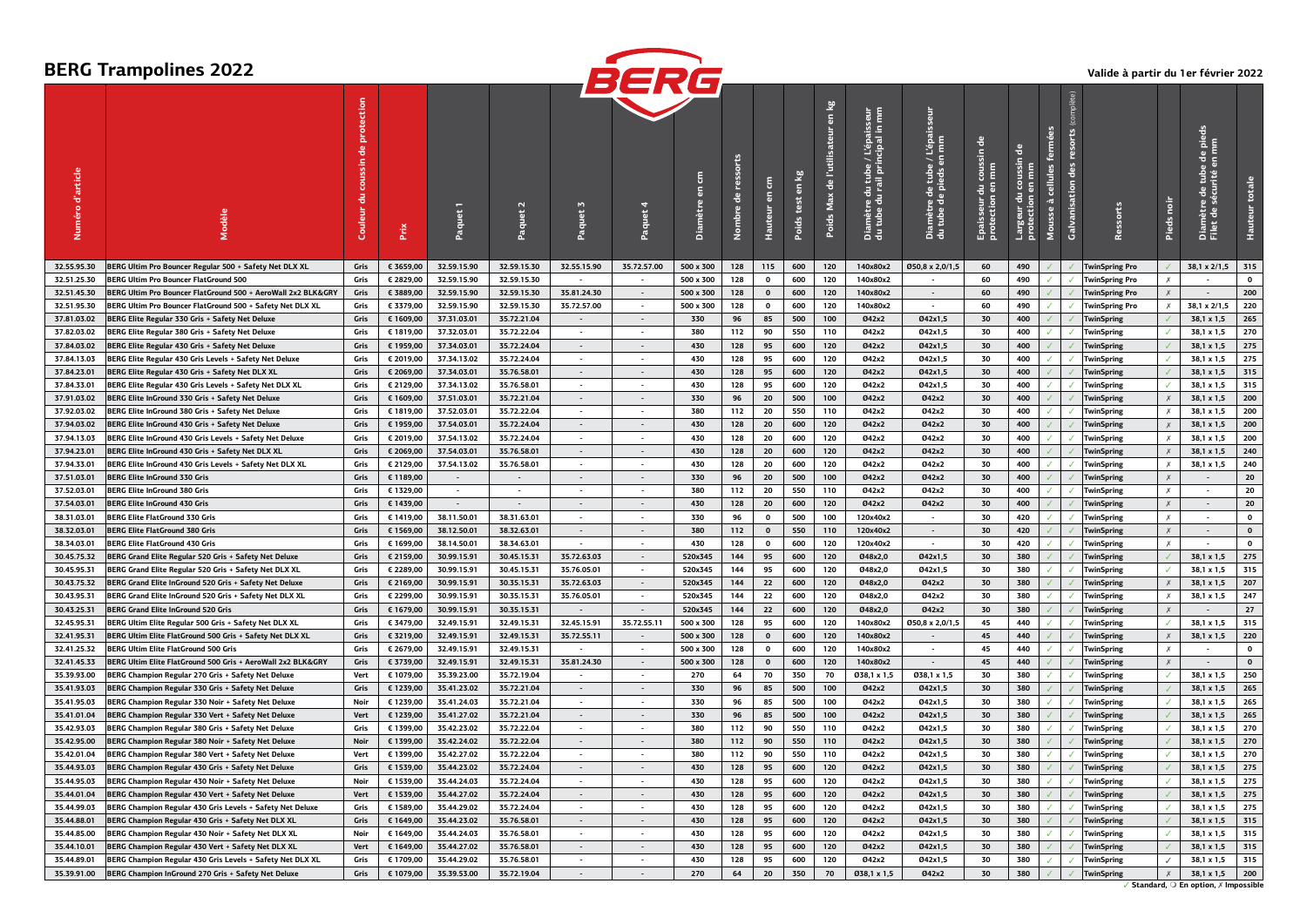# **BERG Trampolines 2022**



### **Valide à partir du 1er février 2022**

|                            |                                                                                                                  |              |           |             |                          |                             | DCNC                     |           |                       |                          |                                          |                                     |                                                                                                        |                                                                                    |                                                        |                                                            |                         |                                     |                                 |                           |                                                           |                    |
|----------------------------|------------------------------------------------------------------------------------------------------------------|--------------|-----------|-------------|--------------------------|-----------------------------|--------------------------|-----------|-----------------------|--------------------------|------------------------------------------|-------------------------------------|--------------------------------------------------------------------------------------------------------|------------------------------------------------------------------------------------|--------------------------------------------------------|------------------------------------------------------------|-------------------------|-------------------------------------|---------------------------------|---------------------------|-----------------------------------------------------------|--------------------|
| d'article<br>Numéro        |                                                                                                                  | Couleur      | Prix      | Paquet      |                          | Paquet 3                    | Paquet                   | Diamètr   | ressorts<br>응<br>mbre | Ê<br>듧<br><b>Hauteur</b> | $\overline{\mathbf{e}}$<br>test<br>Poids | en kg<br>de l'utili<br>Max<br>Poids | e / L'épaisseur<br>fincipal in mm<br>re du tube<br>: du rail priı<br>효<br>ımètr<br>tube<br>a<br>a<br>d | Ē<br>$\overline{\textbf{a}}$<br>re de tube<br>: de pieds e<br>amètr<br>tube<br>å a | coussin de<br>$rac{6}{5}$<br>Epaisseur d<br>protection | $\overline{\textbf{a}}$<br>S<br>Largeur du<br>protection e | cellules<br>à<br>Mousse | resorts<br><b>Galvanisation</b> des | essorts                         | Pieds noi                 | de pieds<br>tube<br>1té e<br>Diamètre de<br>Filet de sécu | totale             |
| 32.55.95.30                | BERG Ultim Pro Bouncer Regular 500 + Safety Net DLX XL                                                           | Gris         | € 3659,00 | 32.59.15.90 | 32.59.15.30              | 32.55.15.90                 | 35.72.57.00              | 500 x 300 | 128                   | 115                      | 600                                      | 120                                 | 140x80x2                                                                                               | Ø50,8 x 2,0/1,5                                                                    | 60                                                     | 490                                                        |                         |                                     | <b>TwinSpring Pro</b>           |                           | 38,1 x 2/1,5                                              | 315                |
| 32.51.25.30                | <b>BERG Ultim Pro Bouncer FlatGround 500</b>                                                                     | Gris         | € 2829,00 | 32.59.15.90 | 32.59.15.30              | $\sim$                      | $\sim$                   | 500 x 300 | 128                   | $\mathbf{o}$             | 600                                      | 120                                 | 140x80x2                                                                                               | $\sim$                                                                             | 60                                                     | 490                                                        |                         | $\checkmark$                        | <b>TwinSpring Pro</b>           | Х                         |                                                           | $\mathbf 0$        |
| 32.51.45.30                | BERG Ultim Pro Bouncer FlatGround 500 + AeroWall 2x2 BLK&GRY                                                     | Gris         | € 3889,00 | 32.59.15.90 | 32.59.15.30              | 35.81.24.30                 | $\sim$                   | 500 x 300 | 128                   | $\pmb{0}$                | 600                                      | 120                                 | 140x80x2                                                                                               | $\sim$                                                                             | 60                                                     | 490                                                        |                         |                                     | <b>TwinSpring Pro</b>           | $\chi$                    | $\sim$                                                    | 200                |
| 32.51.95.30                | BERG Ultim Pro Bouncer FlatGround 500 + Safety Net DLX XL                                                        | Gris         | € 3379,00 | 32.59.15.90 | 32.59.15.30              | 35.72.57.00                 | $\sim$                   | 500 x 300 | 128                   | $\mathbf{o}$             | 600                                      | 120                                 | 140x80x2                                                                                               | $\sim$                                                                             | 60                                                     | 490                                                        |                         |                                     | <b>TwinSpring Pro</b>           | $\times$                  | 38,1 x 2/1,5                                              | 220                |
| 37.81.03.02                | BERG Elite Regular 330 Gris + Safety Net Deluxe                                                                  | Gris         | € 1609,00 | 37.31.03.01 | 35.72.21.04              |                             | $\blacksquare$           | 330       | 96                    | 85                       | 500                                      | 100                                 | Ø42x2                                                                                                  | Ø42x1,5                                                                            | 30                                                     | 400                                                        |                         |                                     | <b>TwinSpring</b>               |                           | 38,1 x 1,5                                                | 265                |
| 37.82.03.02                | BERG Elite Regular 380 Gris + Safety Net Deluxe                                                                  | Gris         | € 1819,00 | 37.32.03.01 | 35.72.22.04              | $\sim$                      | $\sim$                   | 380       | 112                   | 90                       | 550                                      | 110                                 | Ø42x2                                                                                                  | Ø42x1,5                                                                            | 30                                                     | 400                                                        |                         | $\checkmark$                        | TwinSpring                      | $\checkmark$              | 38,1 x 1,5                                                | 270                |
| 37.84.03.02                | BERG Elite Regular 430 Gris + Safety Net Deluxe                                                                  | Gris         | € 1959,00 | 37.34.03.01 | 35.72.24.04              | $\sim$                      | $\sim$                   | 430       | 128                   | 95                       | 600                                      | 120                                 | Ø42x2                                                                                                  | Ø42x1,5                                                                            | 30                                                     | 400                                                        |                         |                                     | <b>TwinSpring</b>               |                           | 38,1 x 1,5                                                | 275                |
| 37.84.13.03                | BERG Elite Regular 430 Gris Levels + Safety Net Deluxe                                                           | Gris         | € 2019,00 | 37.34.13.02 | 35.72.24.04              | $\blacksquare$              | $\overline{\phantom{a}}$ | 430       | 128                   | 95                       | 600                                      | 120                                 | 042x2                                                                                                  | Ø42x1,5                                                                            | 30                                                     | 400                                                        |                         |                                     | <b>TwinSpring</b>               |                           | 38,1 x 1,5                                                | 275                |
| 37.84.23.01                | BERG Elite Regular 430 Gris + Safety Net DLX XL                                                                  | Gris         | € 2069,00 | 37.34.03.01 | 35.76.58.01              | $\mathcal{L}^{\mathcal{A}}$ | $\overline{\phantom{a}}$ | 430       | 128                   | 95                       | 600                                      | 120                                 | 042x2                                                                                                  | Ø42x1,5                                                                            | 30                                                     | 400                                                        |                         |                                     | <b>TwinSpring</b>               |                           | 38,1 x 1,5                                                | 315                |
| 37.84.33.01                | BERG Elite Regular 430 Gris Levels + Safety Net DLX XL                                                           | Gris         | € 2129,00 | 37.34.13.02 | 35.76.58.01              | $\sim$                      | $\sim$                   | 430       | 128                   | 95                       | 600                                      | 120                                 | 042x2                                                                                                  | Ø42x1.5                                                                            | 30                                                     | 400                                                        |                         | $\checkmark$                        | TwinSpring                      | ✓                         | 38,1 x 1,5                                                | 315                |
| 37.91.03.02                | BERG Elite InGround 330 Gris + Safety Net Deluxe                                                                 | Gris         | € 1609,00 | 37.51.03.01 | 35.72.21.04              | $\sim$                      | $\overline{a}$           | 330       | 96                    | 20                       | 500                                      | 100                                 | 042x2                                                                                                  | 042x2                                                                              | 30                                                     | 400                                                        |                         |                                     | <b>TwinSpring</b>               |                           | 38,1 x 1,5                                                | 200                |
| 37.92.03.02                | BERG Elite InGround 380 Gris + Safety Net Deluxe                                                                 | Gris         | € 1819,00 | 37.52.03.01 | 35.72.22.04              | $\overline{\phantom{a}}$    | $\sim$                   | 380       | 112                   | 20                       | 550                                      | 110                                 | 042x2                                                                                                  | 042x2                                                                              | 30                                                     | 400                                                        |                         |                                     | <b>TwinSpring</b>               | $\times$                  | 38,1 x 1,5                                                | 200                |
| 37.94.03.02                | BERG Elite InGround 430 Gris + Safety Net Deluxe                                                                 | Gris         | € 1959,00 | 37.54.03.01 | 35.72.24.04              | $\overline{a}$              | $\sim$                   | 430       | 128                   | 20                       | 600                                      | 120                                 | <b>042x2</b>                                                                                           | 042x2                                                                              | 30                                                     | 400                                                        |                         |                                     | <b>TwinSpring</b>               |                           | 38,1 x 1,5                                                | 200                |
|                            |                                                                                                                  |              |           | 37.54.13.02 |                          | $\overline{\phantom{a}}$    | $\sim$                   | 430       | 128                   |                          | 600                                      | 120                                 | 042x2                                                                                                  | 042x2                                                                              | 30                                                     | 400                                                        |                         |                                     |                                 | Х                         |                                                           | 200                |
| 37.94.13.03                | BERG Elite InGround 430 Gris Levels + Safety Net Deluxe                                                          | Gris         | € 2019,00 | 37.54.03.01 | 35.72.24.04              | $\mathcal{L}^{\mathcal{A}}$ | $\sim$                   | 430       | 128                   | 20                       | 600                                      | 120                                 | 042x2                                                                                                  | 042x2                                                                              | 30                                                     | 400                                                        |                         |                                     | <b>TwinSpring</b>               |                           | 38,1 x 1,5<br>38,1 x 1,5                                  |                    |
| 37.94.23.01                | BERG Elite InGround 430 Gris + Safety Net DLX XL                                                                 | Gris         | € 2069,00 |             | 35.76.58.01              |                             |                          |           |                       | 20                       |                                          |                                     |                                                                                                        |                                                                                    |                                                        |                                                            |                         |                                     | <b>TwinSpring</b>               |                           |                                                           | 240                |
| 37.94.33.01                | BERG Elite InGround 430 Gris Levels + Safety Net DLX XL                                                          | Gris         | € 2129,00 | 37.54.13.02 | 35.76.58.01              | $\overline{\phantom{a}}$    | $\sim$                   | 430       | 128                   | 20                       | 600                                      | 120                                 | 042x2                                                                                                  | 042x2                                                                              | 30                                                     | 400                                                        |                         |                                     | <b>TwinSpring</b>               | Х                         | 38,1 x 1,5                                                | 240                |
| 37.51.03.01                | <b>BERG Elite InGround 330 Gris</b>                                                                              | Gris         | € 1189,00 |             |                          | $\overline{a}$              | $\sim$                   | 330       | 96                    | 20                       | 500                                      | 100                                 | Ø42x2                                                                                                  | Ø42x2                                                                              | 30                                                     | 400                                                        |                         |                                     | <b>TwinSpring</b>               | $\boldsymbol{\mathsf{x}}$ |                                                           | 20                 |
| 37.52.03.01                | <b>BERG Elite InGround 380 Gris</b>                                                                              | Gris         | € 1329,00 |             | $\overline{\phantom{a}}$ | $\overline{a}$              | $\overline{a}$           | 380       | 112                   | 20                       | 550                                      | 110                                 | 042x2                                                                                                  | 042x2                                                                              | 30                                                     | 400                                                        |                         |                                     | <b>TwinSpring</b>               | $\chi$                    |                                                           | 20                 |
| 37.54.03.01                | <b>BERG Elite InGround 430 Gris</b>                                                                              | Gris         | € 1439.00 |             | $\overline{\phantom{a}}$ | $\overline{a}$              | $\mathcal{L}$            | 430       | 128                   | 20                       | 600                                      | 120                                 | Ø42x2                                                                                                  | 042x2                                                                              | 30                                                     | 400                                                        |                         |                                     | <b>TwinSpring</b>               | $\boldsymbol{x}$          | $\mathcal{L}$                                             | 20                 |
| 38.31.03.01                | <b>BERG Elite FlatGround 330 Gris</b>                                                                            | Gris         | € 1419.00 | 38.11.50.01 | 38.31.63.01              | $\overline{\phantom{a}}$    | $\sim$                   | 330       | 96                    | $\Omega$                 | 500                                      | 100                                 | 120x40x2                                                                                               | $\overline{\phantom{a}}$                                                           | 30                                                     | 420                                                        |                         |                                     | <b>TwinSpring</b>               | $\boldsymbol{x}$          | $\sim$                                                    | $\Omega$           |
| 38.32.03.01                | <b>BERG Elite FlatGround 380 Gris</b>                                                                            | Gris         | € 1569,00 | 38.12.50.01 | 38.32.63.01              | $\sim$                      | $\sim$                   | 380       | 112                   | $\mathbf{0}$             | 550                                      | 110                                 | 120x40x2                                                                                               | $\sim$                                                                             | 30                                                     | 420                                                        |                         |                                     | <b>TwinSpring</b>               | $\chi$                    | $\sim$                                                    | $\pmb{\mathsf{o}}$ |
| 38.34.03.01                | <b>BERG Elite FlatGround 430 Gris</b>                                                                            | Gris         | € 1699,00 | 38.14.50.01 | 38.34.63.01              | $\overline{\phantom{a}}$    | $\overline{\phantom{a}}$ | 430       | 128                   | $\mathbf 0$              | 600                                      | 120                                 | 120x40x2                                                                                               | $\overline{\phantom{a}}$                                                           | 30                                                     | 420                                                        |                         |                                     | TwinSpring                      | $\chi$                    |                                                           | $\mathbf{o}$       |
| 30.45.75.32                | BERG Grand Elite Regular 520 Gris + Safety Net Deluxe                                                            | Gris         | € 2159,00 | 30.99.15.91 | 30.45.15.31              | 35.72.63.03                 | $\sim$                   | 520x345   | 144                   | 95                       | 600                                      | 120                                 | 048x2,0                                                                                                | Ø42x1,5                                                                            | 30                                                     | 380                                                        |                         |                                     | <b>TwinSpring</b>               |                           | 38,1 x 1,5                                                | 275                |
| 30.45.95.31                | BERG Grand Elite Regular 520 Gris + Safety Net DLX XL                                                            | Gris         | € 2289,00 | 30.99.15.91 | 30.45.15.31              | 35.76.05.01                 | $\overline{\phantom{a}}$ | 520x345   | 144                   | 95                       | 600                                      | 120                                 | 048x2,0                                                                                                | Ø42x1,5                                                                            | 30                                                     | 380                                                        |                         |                                     | <b>TwinSpring</b>               |                           | 38,1 x 1,5                                                | 315                |
| 30.43.75.32                | BERG Grand Elite InGround 520 Gris + Safety Net Deluxe                                                           | Gris         | € 2169,00 | 30.99.15.91 | 30.35.15.31              | 35.72.63.03                 | $\sim$                   | 520x345   | 144                   | 22                       | 600                                      | 120                                 | Ø48x2.0                                                                                                | Ø42x2                                                                              | 30                                                     | 380                                                        |                         |                                     | <b>TwinSpring</b>               | $\chi$                    | 38,1 x 1,5                                                | 207                |
| 30.43.95.31                | BERG Grand Elite InGround 520 Gris + Safety Net DLX XL                                                           | Gris         | € 2299,00 | 30.99.15.91 | 30.35.15.31              | 35.76.05.01                 | $\overline{\phantom{a}}$ | 520x345   | 144                   | 22                       | 600                                      | 120                                 | 048x2.0                                                                                                | 042x2                                                                              | 30                                                     | 380                                                        |                         |                                     | <b>TwinSpring</b>               | Х                         | 38,1 x 1,5                                                | 247                |
| 30.43.25.31                | <b>BERG Grand Elite InGround 520 Gris</b>                                                                        | Gris         | € 1679,00 | 30.99.15.91 | 30.35.15.31              | $\sim$                      | $\sim$                   | 520x345   | 144                   | 22                       | 600                                      | 120                                 | Ø48x2,0                                                                                                | Ø42x2                                                                              | 30                                                     | 380                                                        |                         |                                     | <b>TwinSpring</b>               | $\chi$                    |                                                           | 27                 |
| 32.45.95.31                | BERG Ultim Elite Regular 500 Gris + Safety Net DLX XL                                                            | Gris         | € 3479,00 | 32.49.15.91 | 32.49.15.31              | 32.45.15.91                 | 35.72.55.11              | 500 x 300 | 128                   | 95                       | 600                                      | 120                                 | 140x80x2                                                                                               | Ø50.8 x 2.0/1.5                                                                    | 45                                                     | 440                                                        |                         |                                     | <b>TwinSpring</b>               |                           | 38,1 x 1,5                                                | 315                |
| 32.41.95.31                | BERG Ultim Elite FlatGround 500 Gris + Safety Net DLX XL                                                         | Gris         | € 3219,00 | 32.49.15.91 | 32.49.15.31              | 35.72.55.11                 | $\sim$                   | 500 x 300 | 128                   | $\mathbf 0$              | 600                                      | 120                                 | 140x80x2                                                                                               | $\sim$                                                                             | 45                                                     | 440                                                        |                         |                                     | <b>TwinSpring</b>               | $\chi$                    | 38,1 x 1,5                                                | 220                |
| 32.41.25.32                | <b>BERG Ultim Elite FlatGround 500 Gris</b>                                                                      | Gris         | € 2679,00 | 32.49.15.91 | 32.49.15.31              |                             | $\mathbf{r}$             | 500 x 300 | 128                   | $\mathbf{0}$             | 600                                      | 120                                 | 140x80x2                                                                                               | $\sim$                                                                             | 45                                                     | 440                                                        |                         |                                     | <b>TwinSpring</b>               | $\chi$                    |                                                           | $\mathbf{o}$       |
| 32.41.45.33                | BERG Ultim Elite FlatGround 500 Gris + AeroWall 2x2 BLK&GRY                                                      | Gris         | € 3739,00 | 32.49.15.91 | 32.49.15.31              | 35.81.24.30                 | $\sim$                   | 500 x 300 | 128                   | $\mathbf{0}$             | 600                                      | 120                                 | 140x80x2                                                                                               | $\sim$                                                                             | 45                                                     | 440                                                        |                         |                                     | <b>TwinSpring</b>               | $\boldsymbol{x}$          | $\sim$                                                    | $\mathbf{0}$       |
| 35.39.93.00                | BERG Champion Regular 270 Gris + Safety Net Deluxe                                                               | Vert         | € 1079,00 | 35.39.23.00 | 35.72.19.04              |                             | $\overline{\phantom{a}}$ | 270       | 64                    | 70                       | 350                                      | 70                                  | 038,1 x 1,5                                                                                            | Ø38,1 x 1,5                                                                        | 30                                                     | 380                                                        |                         |                                     | <b>TwinSpring</b>               |                           | 38,1 x 1,5                                                | 250                |
| 35.41.93.03                | BERG Champion Regular 330 Gris + Safety Net Deluxe                                                               | Gris         | € 1239,00 | 35.41.23.02 | 35.72.21.04              | $\sim$                      | $\sim$                   | 330       | 96                    | 85                       | 500                                      | 100                                 | 042x2                                                                                                  | Ø42x1,5                                                                            | 30                                                     | 380                                                        |                         |                                     | TwinSpring                      |                           | 38,1 x 1,5                                                | 265                |
| 35.41.95.03                | BERG Champion Regular 330 Noir + Safety Net Deluxe                                                               | Noir         | € 1239,00 | 35.41.24.03 | 35.72.21.04              |                             |                          | 330       | 96                    | 85                       | 500                                      | 100                                 | 042x2                                                                                                  | Ø42x1,5                                                                            | 30                                                     | 380                                                        |                         |                                     | <b>TwinSpring</b>               |                           | 38,1 x 1,5                                                | 265                |
| 35.41.01.04                | BERG Champion Regular 330 Vert + Safety Net Deluxe                                                               | Vert         | € 1239,00 | 35.41.27.02 | 35.72.21.04              | $\bullet$                   | $\sim$                   | 330       | 96                    | 85                       | 500                                      | 100                                 | Ø42x2                                                                                                  | Ø42x1,5                                                                            | 30                                                     | 380                                                        |                         |                                     | <b>TwinSpring</b>               |                           | 38,1 x 1,5                                                | 265                |
| 35.42.93.03                | BERG Champion Regular 380 Gris + Safety Net Deluxe                                                               | Gris         | € 1399,00 | 35.42.23.02 | 35.72.22.04              |                             |                          | 380       | 112                   | 90                       | 550                                      | 110                                 | 042x2                                                                                                  | Ø42x1,5                                                                            | 30                                                     | 380                                                        |                         |                                     | <b>TwinSpring</b>               |                           | 38,1 x 1,5                                                | 270                |
| 35.42.95.00                | BERG Champion Regular 380 Noir + Safety Net Deluxe                                                               | Noir         | € 1399,00 | 35.42.24.02 | 35.72.22.04              | $\sim$                      | $\sim$                   | 380       | 112                   | 90                       | 550                                      | 110                                 | Ø42x2                                                                                                  | Ø42x1,5                                                                            | 30                                                     | 380                                                        |                         |                                     | <b>TwinSpring</b>               |                           | 38,1 x 1,5                                                | 270                |
| 35.42.01.04                | BERG Champion Regular 380 Vert + Safety Net Deluxe                                                               | Vert         | € 1399,00 | 35.42.27.02 | 35.72.22.04              | $\overline{\phantom{a}}$    |                          | 380       | 112                   | 90                       | 550                                      | 110                                 | 042x2                                                                                                  | Ø42x1,5                                                                            | 30                                                     | 380                                                        |                         |                                     | <b>TwinSpring</b>               |                           | 38,1 x 1,5                                                | 270                |
| 35.44.93.03                | BERG Champion Regular 430 Gris + Safety Net Deluxe                                                               | Gris         | € 1539,00 | 35.44.23.02 | 35.72.24.04              | $\blacksquare$              | $\sim$                   | 430       | 128                   | 95                       | 600                                      | 120                                 | Ø42x2                                                                                                  | Ø42x1,5                                                                            | 30                                                     | 380                                                        |                         |                                     | <b>TwinSpring</b>               |                           | 38,1 x 1,5                                                | 275                |
| 35.44.95.03                | BERG Champion Regular 430 Noir + Safety Net Deluxe                                                               | Noir         | € 1539,00 | 35.44.24.03 | 35.72.24.04              | $\overline{\phantom{a}}$    |                          | 430       | 128                   | 95                       | 600                                      | 120                                 | 042x2                                                                                                  | Ø42x1,5                                                                            | 30                                                     | 380                                                        |                         |                                     | <b>TwinSpring</b>               |                           | 38,1 x 1,5                                                | 275                |
| 35.44.01.04                | BERG Champion Regular 430 Vert + Safety Net Deluxe                                                               | Vert         | € 1539,00 | 35.44.27.02 | 35.72.24.04              | $\sim$                      | $\sim$                   | 430       | 128                   | 95                       | 600                                      | 120                                 | 042x2                                                                                                  | Ø42x1,5                                                                            | 30                                                     | 380                                                        |                         |                                     | <b>TwinSpring</b>               |                           | 38,1 x 1,5                                                | 275                |
| 35.44.99.03                | BERG Champion Regular 430 Gris Levels + Safety Net Deluxe                                                        | Gris         | € 1589,00 | 35.44.29.02 | 35.72.24.04              |                             |                          | 430       | 128                   | 95                       | 600                                      | 120                                 | 042x2                                                                                                  | 042x1,5                                                                            | 30                                                     | 380                                                        |                         |                                     | <b>TwinSpring</b>               |                           | 38,1 x 1,5                                                | 275                |
| 35.44.88.01                | BERG Champion Regular 430 Gris + Safety Net DLX XL                                                               | Gris         | € 1649,00 | 35.44.23.02 | 35.76.58.01              | $\overline{\phantom{a}}$    | $\sim$                   | 430       | 128                   | 95                       | 600                                      | 120                                 | Ø42x2                                                                                                  | 042x1,5                                                                            | 30                                                     | 380                                                        |                         |                                     | <b>TwinSpring</b>               |                           | 38,1 x 1,5                                                | 315                |
| 35.44.85.00                | BERG Champion Regular 430 Noir + Safety Net DLX XL                                                               | Noir         | € 1649,00 | 35.44.24.03 | 35.76.58.01              |                             |                          | 430       | 128                   | 95                       | 600                                      | 120                                 | 042x2                                                                                                  | Ø42x1,5                                                                            | 30                                                     | 380                                                        |                         |                                     | <b>TwinSpring</b>               |                           | 38,1 x 1,5                                                | 315                |
| 35.44.10.01                |                                                                                                                  | Vert         | € 1649,00 | 35.44.27.02 | 35.76.58.01              | $\overline{\phantom{a}}$    | $\overline{a}$           | 430       | 128                   | 95                       | 600                                      | 120                                 | 042x2                                                                                                  | Ø42x1,5                                                                            | 30                                                     | 380                                                        |                         |                                     |                                 |                           | 38,1 x 1,5                                                | 315                |
|                            | BERG Champion Regular 430 Vert + Safety Net DLX XL                                                               |              | € 1709,00 | 35.44.29.02 | 35.76.58.01              |                             |                          | 430       | 128                   | 95                       | 600                                      | 120                                 |                                                                                                        | Ø42x1,5                                                                            |                                                        | 380                                                        |                         |                                     | <b>TwinSpring</b>               | $\checkmark$              | 38,1 x 1,5                                                | 315                |
| 35.44.89.01<br>35.39.91.00 | BERG Champion Regular 430 Gris Levels + Safety Net DLX XL<br>BERG Champion InGround 270 Gris + Safety Net Deluxe | Gris<br>Gris | € 1079.00 | 35.39.53.00 | 35.72.19.04              |                             |                          | 270       | 64                    | 20                       | 350                                      | 70                                  | 042x2<br>038,1 x 1,5                                                                                   | 042x2                                                                              | 30<br>30                                               | 380                                                        |                         |                                     | <b>TwinSpring</b><br>TwinSpring | $\chi$                    | 38.1 x 1.5                                                | 200                |
|                            |                                                                                                                  |              |           |             |                          |                             |                          |           |                       |                          |                                          |                                     |                                                                                                        |                                                                                    |                                                        |                                                            |                         |                                     |                                 |                           |                                                           |                    |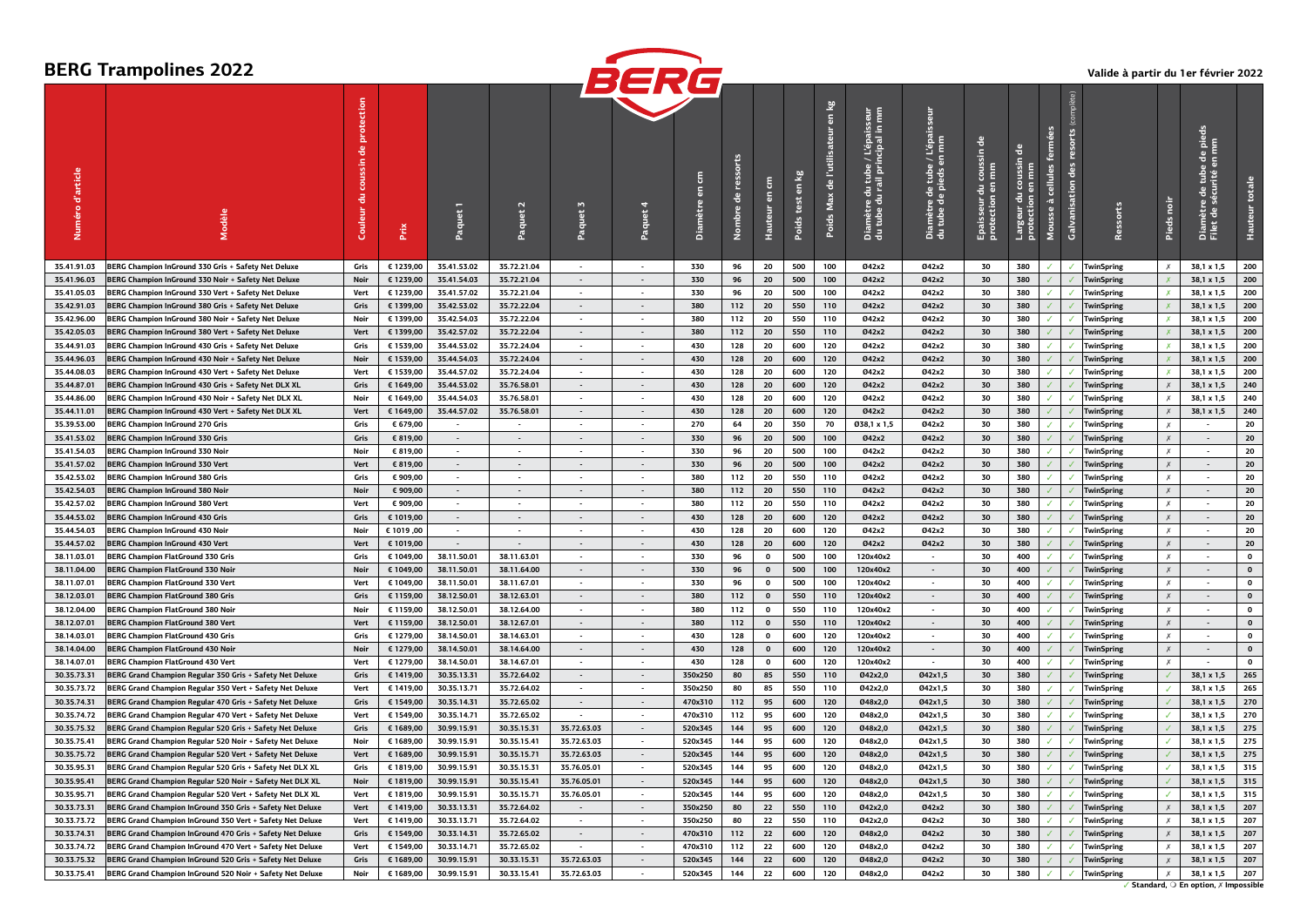|             |                                                           |         |           |             |                          |                             | BERG                     |         |             |                                |                        |              |                                                                                       |                                                                   |                                             |                                                 |                           |                    |                   |                           |                                               |              |
|-------------|-----------------------------------------------------------|---------|-----------|-------------|--------------------------|-----------------------------|--------------------------|---------|-------------|--------------------------------|------------------------|--------------|---------------------------------------------------------------------------------------|-------------------------------------------------------------------|---------------------------------------------|-------------------------------------------------|---------------------------|--------------------|-------------------|---------------------------|-----------------------------------------------|--------------|
| d'article   |                                                           | Couleur | Ě         |             | $\mathbf{z}$             | Paquet 3                    |                          | â       | 음<br>Nombre | 톱<br>$\overline{5}$<br>Hauteur | $\overline{a}$<br>test | en kg<br>Max | E<br>u tube / L'épaisseur<br>rail principal in mn<br>- 금<br>ımètre d<br>tube du<br>음등 | L'épai<br>Imm<br>5<br>amètre de tube /<br>tube de pieds en<br>음 글 | coussin de<br>Epaisseur du<br>protection en | $\overline{a}$<br>゠<br>Largeur du<br>protection | $\overline{\mathfrak{m}}$ | ě<br>Calvanisation |                   |                           | 豊富<br>Diamètre de tube<br>Filet de sécurité e |              |
| 35.41.91.03 | BERG Champion InGround 330 Gris + Safety Net Deluxe       | Gris    | € 1239,00 | 35.41.53.02 | 35.72.21.04              | $\sim$                      | $\sim$                   | 330     | 96          | 20                             | 500                    | 100          | 042x2                                                                                 | 042x2                                                             | 30                                          | 380                                             |                           |                    | <b>TwinSpring</b> | $\times$                  | 38,1 x 1,5                                    | 200          |
| 35.41.96.03 | BERG Champion InGround 330 Noir + Safety Net Deluxe       | Noir    | € 1239,00 | 35.41.54.03 | 35.72.21.04              | $\overline{\phantom{a}}$    | $\sim$                   | 330     | 96          | 20                             | 500                    | 100          | Ø42x2                                                                                 | 042x2                                                             | 30                                          | 380                                             |                           |                    | <b>TwinSpring</b> | $\boldsymbol{x}$          | 38,1 x 1,5                                    | 200          |
| 35.41.05.03 | BERG Champion InGround 330 Vert + Safety Net Deluxe       | Vert    | € 1239,00 | 35.41.57.02 | 35.72.21.04              | $\overline{\phantom{a}}$    | $\overline{\phantom{a}}$ | 330     | 96          | 20                             | 500                    | 100          | Ø42x2                                                                                 | 042x2                                                             | 30                                          | 380                                             |                           |                    | TwinSpring        | $\boldsymbol{x}$          | 38,1 x 1,5                                    | 200          |
| 35.42.91.03 | BERG Champion InGround 380 Gris + Safety Net Deluxe       | Gris    | € 1399,00 | 35.42.53.02 | 35.72.22.04              | $\blacksquare$              | $\mathcal{L}$            | 380     | 112         | 20                             | 550                    | 110          | Ø42x2                                                                                 | 042x2                                                             | 30                                          | 380                                             |                           |                    | <b>TwinSpring</b> |                           | 38.1 x 1.5                                    | 200          |
| 35.42.96.00 | BERG Champion InGround 380 Noir + Safety Net Deluxe       | Noir    | € 1399,00 | 35.42.54.03 | 35.72.22.04              | $\blacksquare$              | $\sim$                   | 380     | 112         | 20                             | 550                    | 110          | Ø42x2                                                                                 | 042x2                                                             | 30                                          | 380                                             |                           |                    | TwinSpring        | $\boldsymbol{x}$          | 38.1 x 1.5                                    | 200          |
| 35.42.05.03 | BERG Champion InGround 380 Vert + Safety Net Deluxe       | Vert    | € 1399,00 | 35.42.57.02 | 35.72.22.04              | $\sim$                      | $\sim$                   | 380     | 112         | 20                             | 550                    | 110          | Ø42x2                                                                                 | Ø42x2                                                             | 30                                          | 380                                             |                           |                    | <b>TwinSpring</b> |                           | 38,1 x 1,5                                    | 200          |
| 35.44.91.03 | BERG Champion InGround 430 Gris + Safety Net Deluxe       | Gris    | € 1539,00 | 35.44.53.02 | 35.72.24.04              | $\overline{\phantom{a}}$    | $\overline{\phantom{a}}$ | 430     | 128         | 20                             | 600                    | 120          | 042x2                                                                                 | 042x2                                                             | 30                                          | 380                                             | $\checkmark$              |                    | TwinSpring        | X                         | 38,1 x 1,5                                    | 200          |
| 35.44.96.03 | BERG Champion InGround 430 Noir + Safety Net Deluxe       | Noir    | € 1539,00 | 35.44.54.03 | 35.72.24.04              | $\overline{\phantom{a}}$    |                          | 430     | 128         | 20                             | 600                    | 120          | 042x2                                                                                 | 042x2                                                             | 30                                          | 380                                             |                           |                    | <b>TwinSpring</b> |                           | 38,1 x 1,5                                    | 200          |
| 35.44.08.03 | BERG Champion InGround 430 Vert + Safety Net Deluxe       | Vert    | € 1539,00 | 35.44.57.02 | 35.72.24.04              | $\overline{\phantom{a}}$    | $\overline{\phantom{a}}$ | 430     | 128         | 20                             | 600                    | 120          | 042x2                                                                                 | 042x2                                                             | 30                                          | 380                                             |                           |                    | <b>TwinSpring</b> | $\boldsymbol{x}$          | 38,1 x 1,5                                    | 200          |
| 35.44.87.01 | BERG Champion InGround 430 Gris + Safety Net DLX XL       | Gris    | € 1649,00 | 35.44.53.02 | 35.76.58.01              | $\sim$                      | $\mathbb{Z}^2$           | 430     | 128         | 20                             | 600                    | 120          | Ø42x2                                                                                 | Ø42x2                                                             | 30                                          | 380                                             |                           |                    | <b>TwinSpring</b> | $\chi$                    | 38,1 x 1,5                                    | 240          |
| 35.44.86.00 | BERG Champion InGround 430 Noir + Safety Net DLX XL       | Noir    | € 1649,00 | 35.44.54.03 | 35.76.58.01              |                             | $\overline{\phantom{a}}$ | 430     | 128         | 20                             | 600                    | 120          | 042x2                                                                                 | 042x2                                                             | 30                                          | 380                                             |                           |                    | TwinSpring        | $\boldsymbol{x}$          | 38,1 x 1,5                                    | 240          |
| 35.44.11.01 | BERG Champion InGround 430 Vert + Safety Net DLX XL       | Vert    | € 1649,00 | 35.44.57.02 | 35.76.58.01              | $\sim$                      | $\sim$                   | 430     | 128         | 20                             | 600                    | 120          | Ø42x2                                                                                 | 042x2                                                             | 30                                          | 380                                             | $\mathcal{L}$             |                    | TwinSpring        | $\boldsymbol{\mathsf{x}}$ | 38,1 x 1,5                                    | 240          |
| 35.39.53.00 | <b>BERG Champion InGround 270 Gris</b>                    | Gris    | € 679,00  | $\sim$      | $\sim$                   | $\overline{\phantom{a}}$    | $\overline{\phantom{a}}$ | 270     | 64          | 20                             | 350                    | 70           | Ø38,1 x 1,5                                                                           | 042x2                                                             | 30                                          | 380                                             |                           |                    | <b>TwinSpring</b> | $\boldsymbol{x}$          |                                               | 20           |
| 35.41.53.02 | <b>BERG Champion InGround 330 Gris</b>                    | Gris    | € 819,00  | $\sim$      | $\sim$                   | $\sim$                      | $\sim$                   | 330     | 96          | 20                             | 500                    | 100          | Ø42x2                                                                                 | Ø42x2                                                             | 30                                          | 380                                             |                           |                    | <b>TwinSpring</b> | $\times$                  |                                               | 20           |
| 35.41.54.03 | BERG Champion InGround 330 Noir                           | Noir    | € 819.00  |             |                          |                             |                          | 330     | 96          | 20                             | 500                    | 100          | 042x2                                                                                 | 042x2                                                             | 30                                          | 380                                             |                           |                    | TwinSpring        | $\boldsymbol{x}$          |                                               | 20           |
| 35.41.57.02 | <b>BERG Champion InGround 330 Vert</b>                    | Vert    | € 819,00  | $\sim$      | $\sim$                   | $\sim$                      | $\sim$                   | 330     | 96          | 20                             | 500                    | 100          | Ø42x2                                                                                 | Ø42x2                                                             | 30                                          | 380                                             |                           |                    | <b>TwinSpring</b> | $\times$                  | $\sim$                                        | 20           |
| 35.42.53.02 | <b>BERG Champion InGround 380 Gris</b>                    | Gris    | € 909,00  |             |                          |                             | $\overline{\phantom{a}}$ | 380     | 112         | 20                             | 550                    | 110          | Ø42x2                                                                                 | 042x2                                                             | 30                                          | 380                                             |                           |                    | <b>TwinSpring</b> | $\boldsymbol{\mathsf{x}}$ |                                               | 20           |
| 35.42.54.03 | <b>BERG Champion InGround 380 Noir</b>                    | Noir    | € 909,00  | $\sim$      | $\sim$                   | $\sim$                      | $\overline{\phantom{a}}$ | 380     | 112         | 20                             | 550                    | 110          | Ø42x2                                                                                 | 042x2                                                             | 30                                          | 380                                             |                           |                    | TwinSpring        | $\times$                  | ÷.                                            | 20           |
| 35.42.57.02 | <b>BERG Champion InGround 380 Vert</b>                    | Vert    | € 909,00  |             |                          | $\overline{\phantom{a}}$    |                          | 380     | 112         | 20                             | 550                    | 110          | 042x2                                                                                 | 042x2                                                             | 30                                          | 380                                             |                           |                    | TwinSpring        | $\boldsymbol{x}$          |                                               | 20           |
| 35.44.53.02 | <b>BERG Champion InGround 430 Gris</b>                    | Gris    | € 1019,00 |             | $\overline{\phantom{a}}$ | $\overline{\phantom{a}}$    | $\overline{\phantom{a}}$ | 430     | 128         | 20                             | 600                    | 120          | Ø42x2                                                                                 | Ø42x2                                                             | 30                                          | 380                                             |                           |                    | TwinSpring        | $\chi$                    |                                               | 20           |
| 35.44.54.03 | <b>BERG Champion InGround 430 Noir</b>                    | Noir    | € 1019,00 |             |                          |                             |                          | 430     | 128         | 20                             | 600                    | 120          | 042x2                                                                                 | 042x2                                                             | 30                                          | 380                                             |                           |                    | TwinSpring        | $\boldsymbol{x}$          |                                               | 20           |
| 35.44.57.02 | <b>BERG Champion InGround 430 Vert</b>                    | Vert    | € 1019,00 |             |                          | $\overline{\phantom{a}}$    | $\overline{\phantom{a}}$ | 430     | 128         | 20                             | 600                    | 120          | <b>042x2</b>                                                                          | 042x2                                                             | 30                                          | 380                                             |                           |                    | <b>TwinSpring</b> | $\chi$                    |                                               | 20           |
| 38.11.03.01 | <b>BERG Champion FlatGround 330 Gris</b>                  | Gris    | € 1049,00 | 38.11.50.01 | 38.11.63.01              | $\sim$                      | $\mathbf{r}$             | 330     | 96          | $\Omega$                       | 500                    | 100          | 120x40x2                                                                              |                                                                   | 30                                          | 400                                             |                           |                    | TwinSpring        | $\boldsymbol{x}$          |                                               | $\mathbf{o}$ |
| 38.11.04.00 | <b>BERG Champion FlatGround 330 Noir</b>                  | Noir    | € 1049,00 | 38.11.50.01 | 38.11.64.00              | $\blacksquare$              | $\overline{\phantom{a}}$ | 330     | 96          | $\mathbf{o}$                   | 500                    | 100          | 120x40x2                                                                              | $\overline{\phantom{a}}$                                          | 30                                          | 400                                             |                           |                    | TwinSpring        | $\chi$                    |                                               | $\mathbf{o}$ |
| 38.11.07.01 | <b>BERG Champion FlatGround 330 Vert</b>                  | Vert    | € 1049,00 | 38.11.50.01 | 38.11.67.01              | $\blacksquare$              | $\blacksquare$           | 330     | 96          | $\mathbf{o}$                   | 500                    | 100          | 120x40x2                                                                              | $\overline{\phantom{a}}$                                          | 30                                          | 400                                             |                           |                    | TwinSpring        | $\times$                  |                                               | $\mathbf{o}$ |
| 38.12.03.01 | <b>BERG Champion FlatGround 380 Gris</b>                  | Gris    | € 1159,00 | 38.12.50.01 | 38.12.63.01              | $\overline{\phantom{a}}$    | $\overline{\phantom{a}}$ | 380     | 112         | $\mathbf{0}$                   | 550                    | 110          | 120x40x2                                                                              | $\overline{\phantom{a}}$                                          | 30                                          | 400                                             |                           |                    | <b>TwinSpring</b> | $\chi$                    |                                               | $\mathbf{o}$ |
| 38.12.04.00 | <b>BERG Champion FlatGround 380 Noir</b>                  | Noir    | € 1159,00 | 38.12.50.01 | 38.12.64.00              | $\overline{\phantom{a}}$    | $\sim$                   | 380     | 112         | $\mathbf 0$                    | 550                    | 110          | 120x40x2                                                                              | $\sim$                                                            | 30                                          | 400                                             |                           |                    | TwinSpring        | $\times$                  |                                               | $\mathbf{o}$ |
| 38.12.07.01 | <b>BERG Champion FlatGround 380 Vert</b>                  | Vert    | € 1159,00 | 38.12.50.01 | 38.12.67.01              | $\sim$                      | $\overline{\phantom{a}}$ | 380     | 112         | $\mathbf{0}$                   | 550                    | 110          | 120x40x2                                                                              |                                                                   | 30                                          | 400                                             |                           |                    | winSpring         | $\chi$                    |                                               | $\mathbf{0}$ |
| 38.14.03.01 | <b>BERG Champion FlatGround 430 Gris</b>                  | Gris    | € 1279,00 | 38.14.50.01 | 38.14.63.01              | $\sim$                      | $\blacksquare$           | 430     | 128         | $\mathbf 0$                    | 600                    | 120          | 120x40x2                                                                              | $\sim$                                                            | 30                                          | 400                                             | $\checkmark$              |                    | TwinSpring        | $\times$                  | $\overline{\phantom{a}}$                      | $\mathbf 0$  |
| 38.14.04.00 | <b>BERG Champion FlatGround 430 Noir</b>                  | Noir    | € 1279,00 | 38.14.50.01 | 38.14.64.00              | $\mathcal{L}^{\mathcal{A}}$ | $\overline{\phantom{a}}$ | 430     | 128         | $\mathbf{0}$                   | 600                    | 120          | 120x40x2                                                                              | $\mathcal{L}$                                                     | 30                                          | 400                                             |                           |                    | winSpring         | $\chi$                    |                                               | $\mathbf{0}$ |
| 38.14.07.01 | <b>BERG Champion FlatGround 430 Vert</b>                  | Vert    | € 1279,00 | 38.14.50.01 | 38.14.67.01              | $\sim$                      | $\sim$                   | 430     | 128         | $\mathbf{o}$                   | 600                    | 120          | 120x40x2                                                                              | $\sim$                                                            | 30                                          | 400                                             |                           |                    | TwinSpring        | $\times$                  |                                               | $\Omega$     |
| 30.35.73.31 | BERG Grand Champion Regular 350 Gris + Safety Net Deluxe  | Gris    | € 1419,00 | 30.35.13.31 | 35.72.64.02              | $\sim$                      | $\sim$                   | 350x250 | 80          | 85                             | 550                    | 110          | Ø42x2,0                                                                               | Ø42x1,5                                                           | 30                                          | 380                                             |                           |                    | TwinSpring        |                           | 38,1 x 1,5                                    | 265          |
| 30.35.73.72 | BERG Grand Champion Regular 350 Vert + Safety Net Deluxe  | Vert    | € 1419,00 | 30.35.13.71 | 35.72.64.02              | $\sim$                      | $\sim$                   | 350x250 | 80          | 85                             | 550                    | 110          | 042x2,0                                                                               | 042x1,5                                                           | 30                                          | 380                                             | $\checkmark$              |                    | TwinSpring        |                           | 38,1 x 1,5                                    | 265          |
| 30.35.74.31 | BERG Grand Champion Regular 470 Gris + Safety Net Deluxe  | Gris    | € 1549,00 | 30.35.14.31 | 35.72.65.02              | $\sim$                      |                          | 470x310 | 112         | 95                             | 600                    | 120          | Ø48x2,0                                                                               | Ø42x1,5                                                           | 30                                          | 380                                             |                           |                    | <b>TwinSpring</b> |                           | 38,1 x 1,5                                    | 270          |
| 30.35.74.72 | BERG Grand Champion Regular 470 Vert + Safety Net Deluxe  | Vert    | € 1549,00 | 30.35.14.71 | 35.72.65.02              | $\sim$                      | $\overline{\phantom{a}}$ | 470×310 | 112         | 95                             | 600                    | 120          | 048x2.0                                                                               | Ø42x1,5                                                           | 30                                          | 380                                             |                           |                    | <b>TwinSpring</b> |                           | 38,1 x 1,5                                    | 270          |
| 30.35.75.32 | BERG Grand Champion Regular 520 Gris + Safety Net Deluxe  | Gris    | € 1689,00 | 30.99.15.91 | 30.35.15.31              | 35.72.63.03                 | $\sim$                   | 520x345 | 144         | 95                             | 600                    | 120          | Ø48x2.0                                                                               | Ø42x1.5                                                           | 30                                          | 380                                             |                           |                    | <b>TwinSpring</b> |                           | 38,1 x 1,5                                    | 275          |
| 30.35.75.41 | BERG Grand Champion Regular 520 Noir + Safety Net Deluxe  | Noir    | € 1689,00 | 30.99.15.91 | 30.35.15.41              | 35.72.63.03                 | $\sim$                   | 520×345 | 144         | 95                             | 600                    | 120          | Ø48x2.0                                                                               | 042x1.5                                                           | 30                                          | 380                                             | $\overline{J}$            |                    | <b>TwinSpring</b> |                           | 38,1 x 1,5                                    | 275          |
| 30.35.75.72 | BERG Grand Champion Regular 520 Vert + Safety Net Deluxe  | Vert    | € 1689,00 | 30.99.15.91 | 30.35.15.71              | 35.72.63.03                 | $\sim$                   | 520x345 | 144         | 95                             | 600                    | 120          | Ø48x2,0                                                                               | Ø42x1,5                                                           | 30                                          | 380                                             |                           |                    | <b>TwinSpring</b> |                           | 38,1 x 1,5                                    | 275          |
| 30.35.95.31 | BERG Grand Champion Regular 520 Gris + Safety Net DLX XL  | Gris    | € 1819,00 | 30.99.15.91 | 30.35.15.31              | 35.76.05.01                 | $\sim$                   | 520x345 | 144         | 95                             | 600                    | 120          | Ø48x2.0                                                                               | Ø42x1,5                                                           | 30                                          | 380                                             |                           |                    | TwinSpring        |                           | 38,1 x 1,5                                    | 315          |
| 30.35.95.41 | BERG Grand Champion Regular 520 Noir + Safety Net DLX XL  | Noir    | € 1819,00 | 30.99.15.91 | 30.35.15.41              | 35.76.05.01                 | $\sim$                   | 520x345 | 144         | 95                             | 600                    | 120          | Ø48x2,0                                                                               | Ø42x1.5                                                           | 30                                          | 380                                             |                           |                    | <b>TwinSpring</b> |                           | 38,1 x 1,5                                    | 315          |
| 30.35.95.71 | BERG Grand Champion Regular 520 Vert + Safety Net DLX XL  | Vert    | € 1819,00 | 30.99.15.91 | 30.35.15.71              | 35.76.05.01                 | $\sim$                   | 520x345 | 144         | 95                             | 600                    | 120          | Ø48x2,0                                                                               | Ø42x1,5                                                           | 30                                          | 380                                             |                           |                    | TwinSpring        |                           | 38,1 x 1,5                                    | 315          |
| 30.33.73.31 | BERG Grand Champion InGround 350 Gris + Safety Net Deluxe | Vert    | € 1419,00 | 30.33.13.31 | 35.72.64.02              | $\sim$                      | $\sim$                   | 350x250 | 80          | 22                             | 550                    | 110          | Ø42x2,0                                                                               | 042x2                                                             | 30                                          | 380                                             | $\mathcal{J}$             |                    | <b>TwinSpring</b> | $\times$                  | 38,1 x 1,5                                    | 207          |
| 30.33.73.72 | BERG Grand Champion InGround 350 Vert + Safety Net Deluxe | Vert    | € 1419,00 | 30.33.13.71 | 35.72.64.02              |                             |                          | 350x250 | 80          | 22                             | 550                    | 110          | 042x2,0                                                                               | 042x2                                                             | 30                                          | 380                                             |                           |                    | <b>TwinSpring</b> | Х                         | 38,1 x 1,5                                    | 207          |
| 30.33.74.31 | BERG Grand Champion InGround 470 Gris + Safety Net Deluxe | Gris    | € 1549,00 | 30.33.14.31 | 35.72.65.02              | $\sim$                      | $\sim$                   | 470x310 | 112         | 22                             | 600                    | 120          | Ø48x2,0                                                                               | 042x2                                                             | 30                                          | 380                                             |                           |                    | TwinSpring        | $\chi$                    | 38,1 x 1,5                                    | 207          |
| 30.33.74.72 | BERG Grand Champion InGround 470 Vert + Safety Net Deluxe | Vert    | € 1549,00 | 30.33.14.71 | 35.72.65.02              |                             |                          | 470x310 | 112         | 22                             | 600                    | 120          | 048x2.0                                                                               | 042x2                                                             | 30                                          | 380                                             |                           |                    | TwinSpring        | $\boldsymbol{x}$          | 38,1 x 1,5                                    | 207          |
| 30.33.75.32 | BERG Grand Champion InGround 520 Gris + Safety Net Deluxe | Gris    | € 1689,00 | 30.99.15.91 | 30.33.15.31              | 35.72.63.03                 | $\sim$                   | 520x345 | 144         | 22                             | 600                    | 120          | Ø48x2,0                                                                               | 042x2                                                             | 30                                          | 380                                             |                           |                    | <b>TwinSpring</b> | $\chi$                    | 38,1 x 1,5                                    | 207          |
| 30.33.75.41 | BERG Grand Champion InGround 520 Noir + Safety Net Deluxe | Noir    | € 1689,00 | 30.99.15.91 | 30.33.15.41              | 35.72.63.03                 |                          | 520x345 | 144         | 22                             | 600                    | 120          | Ø48x2,0                                                                               | 042x2                                                             | 30                                          | 380                                             | $\checkmark$              |                    | <b>TwinSpring</b> | $\times$                  | 38.1 x 1.5                                    | 207          |

# **BERG Trampolines 2022**

**Valide à partir du 1er février 2022**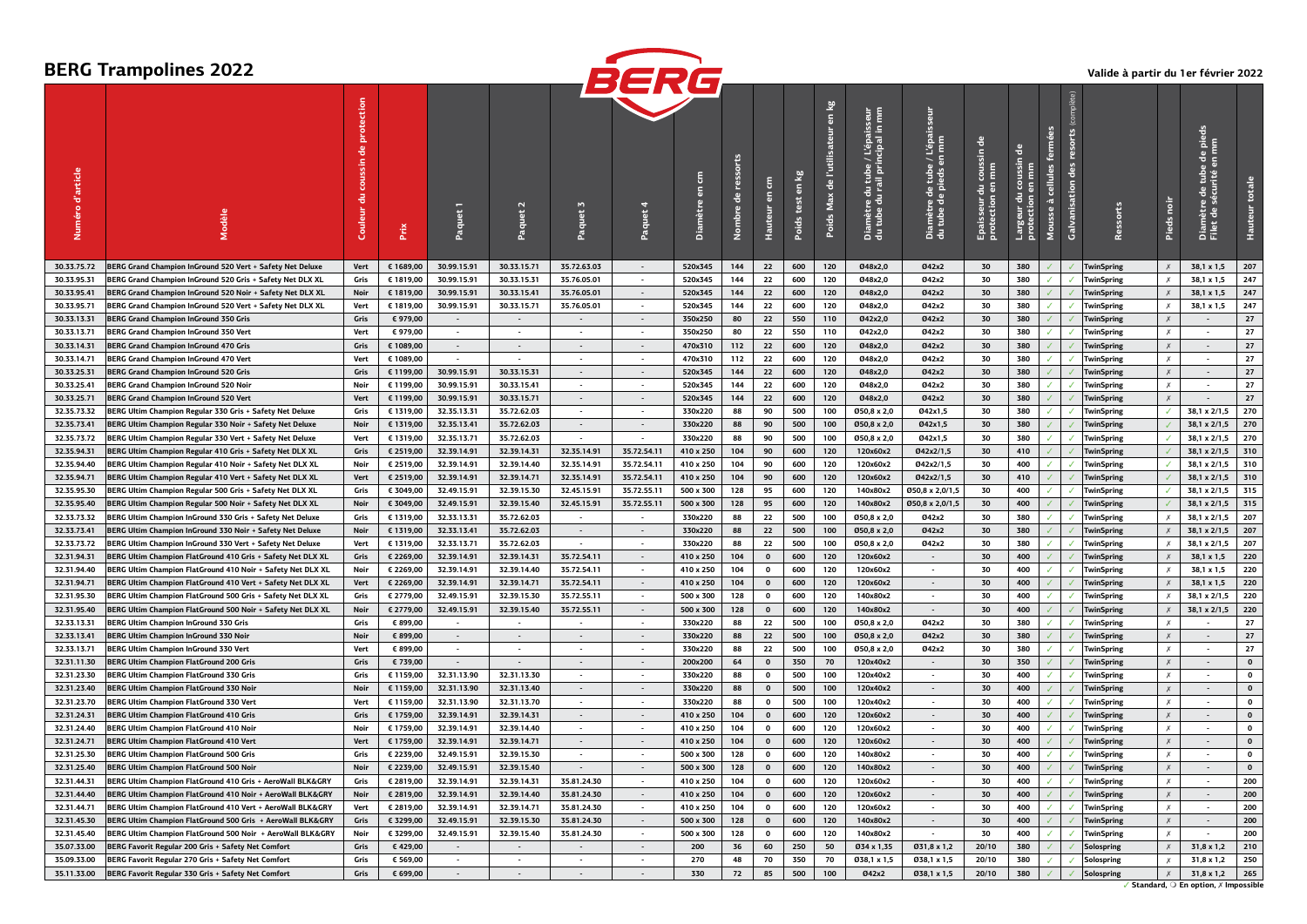# **BERG Trampolines 2022**



#### **Valide à partir du 1er février 2022**

|                     |                                                             |             |           |                    |                          |                             | DCNL                     |           |                |                     |                                 |                                  |                                                                                                           |                                                                      |                                                 |                                                                 |                                                 |                          |                   |                           |                                                       |                    |
|---------------------|-------------------------------------------------------------|-------------|-----------|--------------------|--------------------------|-----------------------------|--------------------------|-----------|----------------|---------------------|---------------------------------|----------------------------------|-----------------------------------------------------------------------------------------------------------|----------------------------------------------------------------------|-------------------------------------------------|-----------------------------------------------------------------|-------------------------------------------------|--------------------------|-------------------|---------------------------|-------------------------------------------------------|--------------------|
| d'article<br>Numéro | Modèle                                                      | Couleur     | Prix      | <sup>P</sup> aquet |                          | $\mathbf{M}$<br>Paquet      | Paquet                   | Diamètre  | 出<br>mbre<br>ē | 톱<br>$\overline{a}$ | $\overline{a}$<br>test<br>Poids | en kg<br>de l'utili<br>Poids Max | : / L'épaisseur<br>incipal in mm<br>lu tube<br>rail prii<br>E<br>amètre du 1<br>tube du ra<br>a<br>a<br>d | en mm<br>le tube<br>pieds e<br>a de<br>de pi<br>ımètr<br>tube<br>å a | ゠゚<br>coussin<br>콩<br>Epaisseur c<br>protection | ē<br>$\overline{\mathsf{s}}$<br>₹<br>Largeur du<br>protection e | cellules<br>$\overline{\mathfrak{m}}$<br>Mousse | <b>Galvanisation</b> des | Ressorts          | Pieds noi                 | $\frac{1}{\sigma}$<br>rité<br>Diamètre<br>Filet de sé |                    |
| 30.33.75.72         | BERG Grand Champion InGround 520 Vert + Safety Net Deluxe   | Vert        | € 1689,00 | 30.99.15.91        | 30.33.15.71              | 35.72.63.03                 | $\sim$                   | 520x345   | 144            | 22                  | 600                             | 120                              | 048x2.0                                                                                                   | 042x2                                                                | 30                                              | 380                                                             |                                                 |                          | TwinSpring        | $\boldsymbol{x}$          | 38,1 x 1,5                                            | 207                |
| 30.33.95.31         | BERG Grand Champion InGround 520 Gris + Safety Net DLX XL   | Gris        | € 1819,00 | 30.99.15.91        | 30.33.15.31              | 35.76.05.01                 | $\sim$                   | 520x345   | 144            | 22                  | 600                             | 120                              | Ø48x2,0                                                                                                   | 042x2                                                                | 30                                              | 380                                                             |                                                 |                          | <b>TwinSpring</b> | Х                         | 38,1 x 1,5                                            | 247                |
| 30.33.95.41         | BERG Grand Champion InGround 520 Noir + Safety Net DLX XL   | Noir        | € 1819,00 | 30.99.15.91        | 30.33.15.41              | 35.76.05.01                 | $\overline{\phantom{a}}$ | 520x345   | 144            | 22                  | 600                             | 120                              | Ø48x2.0                                                                                                   | 042x2                                                                | 30                                              | 380                                                             |                                                 |                          | <b>TwinSpring</b> | $\boldsymbol{\mathsf{x}}$ | 38,1 x 1,5                                            | 247                |
| 30.33.95.71         | BERG Grand Champion InGround 520 Vert + Safety Net DLX XL   | Vert        | € 1819,00 | 30.99.15.91        | 30.33.15.71              | 35.76.05.01                 | $\sim$                   | 520x345   | 144            | 22                  | 600                             | 120                              | Ø48x2.0                                                                                                   | 042x2                                                                | 30                                              | 380                                                             |                                                 |                          | <b>TwinSpring</b> | $\chi$                    | 38,1 x 1,5                                            | 247                |
| 30.33.13.31         | <b>BERG Grand Champion InGround 350 Gris</b>                | Gris        | €979.00   |                    | $\overline{\phantom{a}}$ |                             | Ξ.                       | 350x250   | 80             | 22                  | 550                             | 110                              | 042x2.0                                                                                                   | 042x2                                                                | 30                                              | 380                                                             |                                                 |                          | <b>TwinSpring</b> | $\chi$                    |                                                       | 27                 |
| 30.33.13.71         | BERG Grand Champion InGround 350 Vert                       | Vert        | € 979,00  | $\sim$             | $\overline{\phantom{a}}$ | $\sim$                      | $\sim$                   | 350x250   | 80             | 22                  | 550                             | 110                              | Ø42x2,0                                                                                                   | 042x2                                                                | 30                                              | 380                                                             |                                                 | $\checkmark$             | <b>TwinSpring</b> | $\times$                  | $\overline{\phantom{a}}$                              | 27                 |
| 30.33.14.31         | <b>BERG Grand Champion InGround 470 Gris</b>                | Gris        | € 1089,00 |                    | $\sim$                   | $\blacksquare$              | $\sim$                   | 470x310   | 112            | 22                  | 600                             | 120                              | Ø48x2,0                                                                                                   | Ø42x2                                                                | 30                                              | 380                                                             |                                                 |                          | TwinSpring        | $\chi$                    | $\sim$                                                | 27                 |
| 30.33.14.71         | <b>BERG Grand Champion InGround 470 Vert</b>                | Vert        | € 1089,00 |                    | $\overline{\phantom{a}}$ | $\blacksquare$              | $\overline{\phantom{a}}$ | 470x310   | 112            | 22                  | 600                             | 120                              | 048x2,0                                                                                                   | 042x2                                                                | 30                                              | 380                                                             |                                                 |                          | <b>TwinSpring</b> | $\chi$                    | $\overline{\phantom{a}}$                              | 27                 |
| 30.33.25.31         | <b>BERG Grand Champion InGround 520 Gris</b>                | Gris        | € 1199,00 | 30.99.15.91        | 30.33.15.31              | $\sim$                      | $\sim$                   | 520x345   | 144            | 22                  | 600                             | 120                              | Ø48x2,0                                                                                                   | Ø42x2                                                                | 30                                              | 380                                                             |                                                 |                          | <b>TwinSpring</b> | $\chi$                    | $\sim$                                                | $27$               |
| 30.33.25.41         | <b>BERG Grand Champion InGround 520 Noir</b>                | Noir        | € 1199,00 | 30.99.15.91        | 30.33.15.41              | $\blacksquare$              | $\overline{\phantom{a}}$ | 520x345   | 144            | 22                  | 600                             | 120                              | 048x2,0                                                                                                   | Ø42x2                                                                | 30                                              | 380                                                             |                                                 | $\checkmark$             | <b>TwinSpring</b> | Х                         | $\sim$                                                | 27                 |
| 30.33.25.71         | <b>BERG Grand Champion InGround 520 Vert</b>                | Vert        | € 1199,00 | 30.99.15.91        | 30.33.15.71              | $\sim$                      | $\sim$                   | 520x345   | 144            | 22                  | 600                             | 120                              | Ø48x2.0                                                                                                   | Ø42x2                                                                | 30                                              | 380                                                             |                                                 |                          | <b>TwinSpring</b> | $\chi$                    |                                                       | 27                 |
| 32.35.73.32         | BERG Ultim Champion Regular 330 Gris + Safety Net Deluxe    | Gris        | € 1319,00 | 32.35.13.31        | 35.72.62.03              | $\sim$                      | $\overline{\phantom{a}}$ | 330x220   | 88             | 90                  | 500                             | 100                              | 050,8 x 2,0                                                                                               | Ø42x1.5                                                              | 30                                              | 380                                                             |                                                 | ✓                        | <b>TwinSpring</b> | $\checkmark$              | 38,1 x 2/1,5                                          | 270                |
|                     |                                                             | Noir        | € 1319,00 | 32.35.13.41        | 35.72.62.03              | $\sim$                      | $\sim$                   | 330x220   | 88             | 90                  | 500                             | 100                              | Ø50,8 x 2,0                                                                                               | Ø42x1,5                                                              |                                                 | 380                                                             |                                                 |                          | <b>TwinSpring</b> |                           |                                                       | 270                |
| 32.35.73.41         | BERG Ultim Champion Regular 330 Noir + Safety Net Deluxe    |             |           |                    |                          |                             |                          |           |                |                     |                                 |                                  |                                                                                                           |                                                                      | 30                                              |                                                                 |                                                 |                          |                   |                           | 38,1 x 2/1,5                                          |                    |
| 32.35.73.72         | BERG Ultim Champion Regular 330 Vert + Safety Net Deluxe    | Vert        | € 1319,00 | 32.35.13.71        | 35.72.62.03              | $\overline{\phantom{a}}$    | $\overline{\phantom{a}}$ | 330x220   | 88             | 90                  | 500                             | 100                              | Ø50,8 x 2,0                                                                                               | Ø42x1.5                                                              | 30                                              | 380                                                             |                                                 | $\checkmark$             | TwinSpring        | ✓                         | 38,1 x 2/1,5                                          | 270                |
| 32.35.94.31         | BERG Ultim Champion Regular 410 Gris + Safety Net DLX XL    | Gris        | € 2519,00 | 32.39.14.91        | 32.39.14.31              | 32.35.14.91                 | 35.72.54.11              | 410 x 250 | 104            | 90                  | 600                             | 120                              | 120x60x2                                                                                                  | Ø42x2/1,5                                                            | 30                                              | 410                                                             |                                                 |                          | <b>TwinSpring</b> |                           | 38,1 x 2/1,5                                          | 310                |
| 32.35.94.40         | BERG Ultim Champion Regular 410 Noir + Safety Net DLX XL    | Noir        | € 2519,00 | 32.39.14.91        | 32.39.14.40              | 32.35.14.91                 | 35.72.54.11              | 410 x 250 | 104            | 90                  | 600                             | 120                              | 120×60×2                                                                                                  | Ø42x2/1,5                                                            | 30                                              | 400                                                             |                                                 |                          | <b>TwinSpring</b> |                           | 38,1 x 2/1,5                                          | 310                |
| 32.35.94.71         | BERG Ultim Champion Regular 410 Vert + Safety Net DLX XL    | Vert        | € 2519,00 | 32.39.14.91        | 32.39.14.71              | 32.35.14.91                 | 35.72.54.11              | 410 x 250 | 104            | 90                  | 600                             | 120                              | 120x60x2                                                                                                  | Ø42x2/1,5                                                            | 30                                              | 410                                                             |                                                 |                          | <b>TwinSpring</b> |                           | 38,1 x 2/1,5                                          | 310                |
| 32.35.95.30         | BERG Ultim Champion Regular 500 Gris + Safety Net DLX XL    | Gris        | € 3049,00 | 32.49.15.91        | 32.39.15.30              | 32.45.15.91                 | 35.72.55.11              | 500 x 300 | 128            | 95                  | 600                             | 120                              | 140×80×2                                                                                                  | Ø50,8 x 2,0/1,5                                                      | 30                                              | 400                                                             |                                                 | $\checkmark$             | TwinSpring        |                           | 38,1 x 2/1,5                                          | 315                |
| 32.35.95.40         | BERG Ultim Champion Regular 500 Noir + Safety Net DLX XL    | Noir        | € 3049,00 | 32.49.15.91        | 32.39.15.40              | 32.45.15.91                 | 35.72.55.11              | 500 x 300 | 128            | 95                  | 600                             | 120                              | 140x80x2                                                                                                  | 050,8 x 2,0/1,5                                                      | 30                                              | 400                                                             |                                                 |                          | <b>TwinSpring</b> |                           | 38,1 x 2/1,5                                          | 315                |
| 32.33.73.32         | BERG Ultim Champion InGround 330 Gris + Safety Net Deluxe   | Gris        | € 1319,00 | 32.33.13.31        | 35.72.62.03              | $\overline{\phantom{a}}$    | $\sim$                   | 330x220   | 88             | 22                  | 500                             | 100                              | 050,8 x 2,0                                                                                               | 042x2                                                                | 30                                              | 380                                                             |                                                 |                          | <b>TwinSpring</b> | X                         | 38,1 x 2/1,5                                          | 207                |
| 32.33.73.41         | BERG Ultim Champion InGround 330 Noir + Safety Net Deluxe   | Noir        | € 1319,00 | 32.33.13.41        | 35.72.62.03              | $\sim$                      | $\mathbf{r}$             | 330x220   | 88             | 22                  | 500                             | 100                              | Ø50,8 x 2,0                                                                                               | 042x2                                                                | 30                                              | 380                                                             |                                                 |                          | <b>TwinSpring</b> |                           | 38,1 x 2/1,5                                          | 207                |
| 32.33.73.72         | BERG Ultim Champion InGround 330 Vert + Safety Net Deluxe   | Vert        | € 1319,00 | 32.33.13.71        | 35.72.62.03              | $\overline{\phantom{a}}$    | $\overline{\phantom{a}}$ | 330×220   | 88             | 22                  | 500                             | 100                              | Ø50,8 x 2,0                                                                                               | 042x2                                                                | 30                                              | 380                                                             |                                                 | $\checkmark$             | TwinSpring        | Х                         | 38,1 x 2/1,5                                          | 207                |
| 32.31.94.31         | BERG Ultim Champion FlatGround 410 Gris + Safety Net DLX XL | Gris        | € 2269,00 | 32.39.14.91        | 32.39.14.31              | 35.72.54.11                 | $\sim$                   | 410 x 250 | 104            | $\mathbf{0}$        | 600                             | 120                              | 120x60x2                                                                                                  | $\sim$                                                               | 30                                              | 400                                                             |                                                 |                          | <b>TwinSpring</b> |                           | 38,1 x 1,5                                            | 220                |
| 32.31.94.40         | BERG Ultim Champion FlatGround 410 Noir + Safety Net DLX XL | Noir        | € 2269,00 | 32.39.14.91        | 32.39.14.40              | 35.72.54.11                 | $\overline{\phantom{a}}$ | 410 x 250 | 104            | $\Omega$            | 600                             | 120                              | 120×60×2                                                                                                  | $\overline{\phantom{a}}$                                             | 30                                              | 400                                                             |                                                 |                          | <b>TwinSpring</b> | Х                         | 38.1 x 1.5                                            | 220                |
| 32.31.94.71         | BERG Ultim Champion FlatGround 410 Vert + Safety Net DLX XL | Vert        | € 2269,00 | 32.39.14.91        | 32.39.14.71              | 35.72.54.11                 | $\sim$                   | 410 x 250 | 104            | $\mathbf{0}$        | 600                             | 120                              | 120x60x2                                                                                                  | $\sim$                                                               | 30                                              | 400                                                             |                                                 |                          | <b>TwinSpring</b> |                           | 38,1 x 1,5                                            | 220                |
| 32.31.95.30         | BERG Ultim Champion FlatGround 500 Gris + Safety Net DLX XL | Gris        | € 2779,00 | 32.49.15.91        | 32.39.15.30              | 35.72.55.11                 | $\sim$                   | 500 x 300 | 128            | $\mathbf 0$         | 600                             | 120                              | 140x80x2                                                                                                  | $\sim$                                                               | 30                                              | 400                                                             |                                                 |                          | TwinSpring        | $\chi$                    | 38,1 x 2/1,5                                          | 220                |
| 32.31.95.40         | BERG Ultim Champion FlatGround 500 Noir + Safety Net DLX XL | Noir        | € 2779,00 | 32.49.15.91        | 32.39.15.40              | 35.72.55.11                 | $\sim$                   | 500 x 300 | 128            | $\mathbf 0$         | 600                             | 120                              | 140x80x2                                                                                                  | $\sim$                                                               | 30                                              | 400                                                             |                                                 |                          | <b>TwinSpring</b> | $\boldsymbol{\mathsf{x}}$ | 38,1 x 2/1,5                                          | 220                |
| 32.33.13.31         | <b>BERG Ultim Champion InGround 330 Gris</b>                | Gris        | € 899,00  | $\sim$             | $\sim$                   | $\overline{\phantom{a}}$    | $\mathbf{r}$             | 330×220   | 88             | 22                  | 500                             | 100                              | $050.8 \times 2.0$                                                                                        | 042x2                                                                | 30                                              | 380                                                             |                                                 |                          | <b>TwinSpring</b> | $\boldsymbol{\mathsf{x}}$ |                                                       | 27                 |
| 32.33.13.41         | <b>BERG Ultim Champion InGround 330 Noir</b>                | Noir        | € 899,00  | $\sim$             | $\sim$                   | $\sim$                      | $\sim$                   | 330x220   | 88             | 22                  | 500                             | 100                              | 050,8 x 2,0                                                                                               | 042x2                                                                | 30                                              | 380                                                             |                                                 |                          | <b>TwinSpring</b> | $\times$                  | $\sim$                                                | 27                 |
| 32.33.13.71         | BERG Ultim Champion InGround 330 Vert                       | Vert        | € 899,00  | $\sim$             | $\sim$                   | $\mathcal{L}_{\mathcal{A}}$ | $\mathbf{r}$             | 330×220   | 88             | 22                  | 500                             | 100                              | 050,8 x 2,0                                                                                               | 042x2                                                                | 30                                              | 380                                                             |                                                 |                          | <b>TwinSpring</b> | $\chi$                    | $\overline{\phantom{a}}$                              | 27                 |
| 32.31.11.30         | <b>BERG Ultim Champion FlatGround 200 Gris</b>              | Gris        | € 739,00  | $\sim$             | $\overline{\phantom{a}}$ | $\sim$                      | $\sim$                   | 200x200   | 64             | $\mathbf{o}$        | 350                             | 70                               | 120x40x2                                                                                                  | $\sim$                                                               | 30                                              | 350                                                             |                                                 |                          |                   | $\times$                  | $\sim$                                                | $\pmb{\mathsf{o}}$ |
| 32.31.23.30         |                                                             | Gris        | € 1159,00 | 32.31.13.90        | 32.31.13.30              | $\frac{1}{2}$               | $\overline{a}$           | 330x220   | 88             | $\mathbf{o}$        | 500                             | 100                              | 120x40x2                                                                                                  |                                                                      | 30                                              | 400                                                             |                                                 |                          | <b>TwinSpring</b> | $\chi$                    |                                                       | $\mathbf 0$        |
|                     | <b>BERG Ultim Champion FlatGround 330 Gris</b>              |             |           |                    |                          |                             |                          |           |                |                     |                                 |                                  |                                                                                                           |                                                                      |                                                 |                                                                 |                                                 |                          | <b>TwinSpring</b> |                           |                                                       |                    |
| 32.31.23.40         | <b>BERG Ultim Champion FlatGround 330 Noir</b>              | Noir        | € 1159,00 | 32.31.13.90        | 32.31.13.40              | $\sim$                      | $\blacksquare$           | 330x220   | 88             | $\mathbf{o}$        | 500                             | 100                              | 120x40x2                                                                                                  | $\blacksquare$                                                       | 30                                              | 400                                                             |                                                 |                          | <b>TwinSpring</b> | $\chi$                    | $\overline{\phantom{a}}$                              | $\pmb{\mathsf{o}}$ |
| 32.31.23.70         | BERG Ultim Champion FlatGround 330 Vert                     | Vert        | € 1159,00 | 32.31.13.90        | 32.31.13.70              | $\mathcal{L}_{\mathcal{A}}$ |                          | 330×220   | 88             | $\mathbf{0}$        | 500                             | 100                              | 120x40x2                                                                                                  |                                                                      | 30                                              | 400                                                             |                                                 |                          | <b>TwinSpring</b> | $\boldsymbol{x}$          |                                                       | $\mathbf{o}$       |
| 32.31.24.31         | <b>BERG Ultim Champion FlatGround 410 Gris</b>              | Gris        | € 1759,00 | 32.39.14.91        | 32.39.14.31              | $\sim$                      | $\sim$                   | 410 x 250 | 104            | $\mathbf{0}$        | 600                             | 120                              | 120x60x2                                                                                                  | $\sim$                                                               | 30                                              | 400                                                             |                                                 |                          | <b>TwinSpring</b> | $\times$                  | $\overline{\phantom{a}}$                              | $\mathbf{0}$       |
| 32.31.24.40         | <b>BERG Ultim Champion FlatGround 410 Noir</b>              | Noir        | € 1759,00 | 32.39.14.91        | 32.39.14.40              | $\overline{\phantom{a}}$    |                          | 410 x 250 | 104            | $\mathbf 0$         | 600                             | 120                              | 120x60x2                                                                                                  |                                                                      | 30                                              | 400                                                             |                                                 |                          | TwinSpring        | Х                         |                                                       | $\mathbf 0$        |
| 32.31.24.71         | <b>BERG Ultim Champion FlatGround 410 Vert</b>              | Vert        | € 1759,00 | 32.39.14.91        | 32.39.14.71              | $\sim$                      | $\sim$                   | 410 x 250 | 104            | $\mathbf{0}$        | 600                             | 120                              | 120x60x2                                                                                                  | $\sim$                                                               | 30                                              | 400                                                             |                                                 |                          | <b>TwinSpring</b> | $\chi$                    | $\sim$                                                | $\mathbf{0}$       |
| 32.31.25.30         | <b>BERG Ultim Champion FlatGround 500 Gris</b>              | Gris        | € 2239,00 | 32.49.15.91        | 32.39.15.30              | $\overline{a}$              | $\overline{a}$           | 500 x 300 | 128            | $\mathbf 0$         | 600                             | 120                              | 140x80x2                                                                                                  | $\overline{\phantom{a}}$                                             | 30                                              | 400                                                             |                                                 |                          | <b>TwinSpring</b> | $\chi$                    |                                                       | $\mathbf 0$        |
| 32.31.25.40         | <b>BERG Ultim Champion FlatGround 500 Noir</b>              | Noir        | € 2239,00 | 32.49.15.91        | 32.39.15.40              | $\sim$                      | $\sim$                   | 500 x 300 | 128            | $\mathbf 0$         | 600                             | 120                              | 140x80x2                                                                                                  | $\sim$                                                               | 30                                              | 400                                                             |                                                 |                          | TwinSpring        | $\chi$                    | $\overline{\phantom{a}}$                              | $\mathbf 0$        |
| 32.31.44.31         | BERG Ultim Champion FlatGround 410 Gris + AeroWall BLK&GRY  | Gris        | € 2819,00 | 32.39.14.91        | 32.39.14.31              | 35.81.24.30                 |                          | 410 x 250 | 104            | $\pmb{0}$           | 600                             | 120                              | 120x60x2                                                                                                  |                                                                      | 30                                              | 400                                                             |                                                 |                          | <b>TwinSpring</b> | Х                         |                                                       | 200                |
| 32.31.44.40         | BERG Ultim Champion FlatGround 410 Noir + AeroWall BLK&GRY  | <b>Noir</b> | € 2819,00 | 32.39.14.91        | 32.39.14.40              | 35.81.24.30                 | $\sim$                   | 410 x 250 | 104            | $\mathbf{o}$        | 600                             | 120                              | 120x60x2                                                                                                  | $\sim$                                                               | 30                                              | 400                                                             |                                                 |                          | TwinSpring        | Х                         | $\overline{\phantom{a}}$                              | 200                |
| 32.31.44.71         | BERG Ultim Champion FlatGround 410 Vert + AeroWall BLK&GRY  | Vert        | € 2819,00 | 32.39.14.91        | 32.39.14.71              | 35.81.24.30                 |                          | 410 x 250 | 104            | $\mathbf 0$         | 600                             | 120                              | 120x60x2                                                                                                  |                                                                      | 30                                              | 400                                                             |                                                 |                          | TwinSpring        | $\chi$                    |                                                       | 200                |
| 32.31.45.30         | BERG Ultim Champion FlatGround 500 Gris + AeroWall BLK&GRY  | Gris        | € 3299,00 | 32.49.15.91        | 32.39.15.30              | 35.81.24.30                 | $\overline{\phantom{a}}$ | 500 x 300 | 128            | $\mathbf 0$         | 600                             | 120                              | 140x80x2                                                                                                  | $\overline{\phantom{a}}$                                             | 30                                              | 400                                                             |                                                 |                          | <b>TwinSpring</b> | Х                         |                                                       | 200                |
| 32.31.45.40         | BERG Ultim Champion FlatGround 500 Noir + AeroWall BLK&GRY  | Noir        | € 3299,00 | 32.49.15.91        | 32.39.15.40              | 35.81.24.30                 |                          | 500 x 300 | 128            | $\mathbf 0$         | 600                             | 120                              | 140×80×2                                                                                                  |                                                                      | 30                                              | 400                                                             |                                                 |                          | <b>TwinSpring</b> | $\boldsymbol{x}$          |                                                       | 200                |
| 35.07.33.00         | BERG Favorit Regular 200 Gris + Safety Net Comfort          | Gris        | €429,00   |                    | $\sim$                   | $\sim$                      | $\overline{\phantom{a}}$ | 200       | 36             | 60                  | 250                             | 50                               | Ø34 x 1,35                                                                                                | 031,8 x 1,2                                                          | 20/10                                           | 380                                                             |                                                 |                          | <b>Solospring</b> | Х                         | $31,8 \times 1,2$                                     | 210                |
| 35.09.33.00         | BERG Favorit Regular 270 Gris + Safety Net Comfort          | Gris        | € 569,00  |                    |                          |                             |                          | 270       | 48             | 70                  | 350                             | 70                               | Ø38,1 x 1,5                                                                                               | 038,1 x 1,5                                                          | 20/10                                           | 380                                                             |                                                 |                          | Solospring        | $\boldsymbol{\mathsf{x}}$ | 31,8 x 1,2                                            | 250                |
| 35.11.33.00         | BERG Favorit Regular 330 Gris + Safety Net Comfort          | Gris        | € 699.00  |                    |                          |                             |                          | 330       | 72             | 85                  | 500                             | 100                              | Ø42x2                                                                                                     | 038,1 x 1,5                                                          | 20/10                                           | 380                                                             |                                                 |                          | Solospring        | $\chi$                    | $31.8 \times 1.2$                                     | 265                |
|                     |                                                             |             |           |                    |                          |                             |                          |           |                |                     |                                 |                                  |                                                                                                           |                                                                      |                                                 |                                                                 |                                                 |                          |                   |                           |                                                       |                    |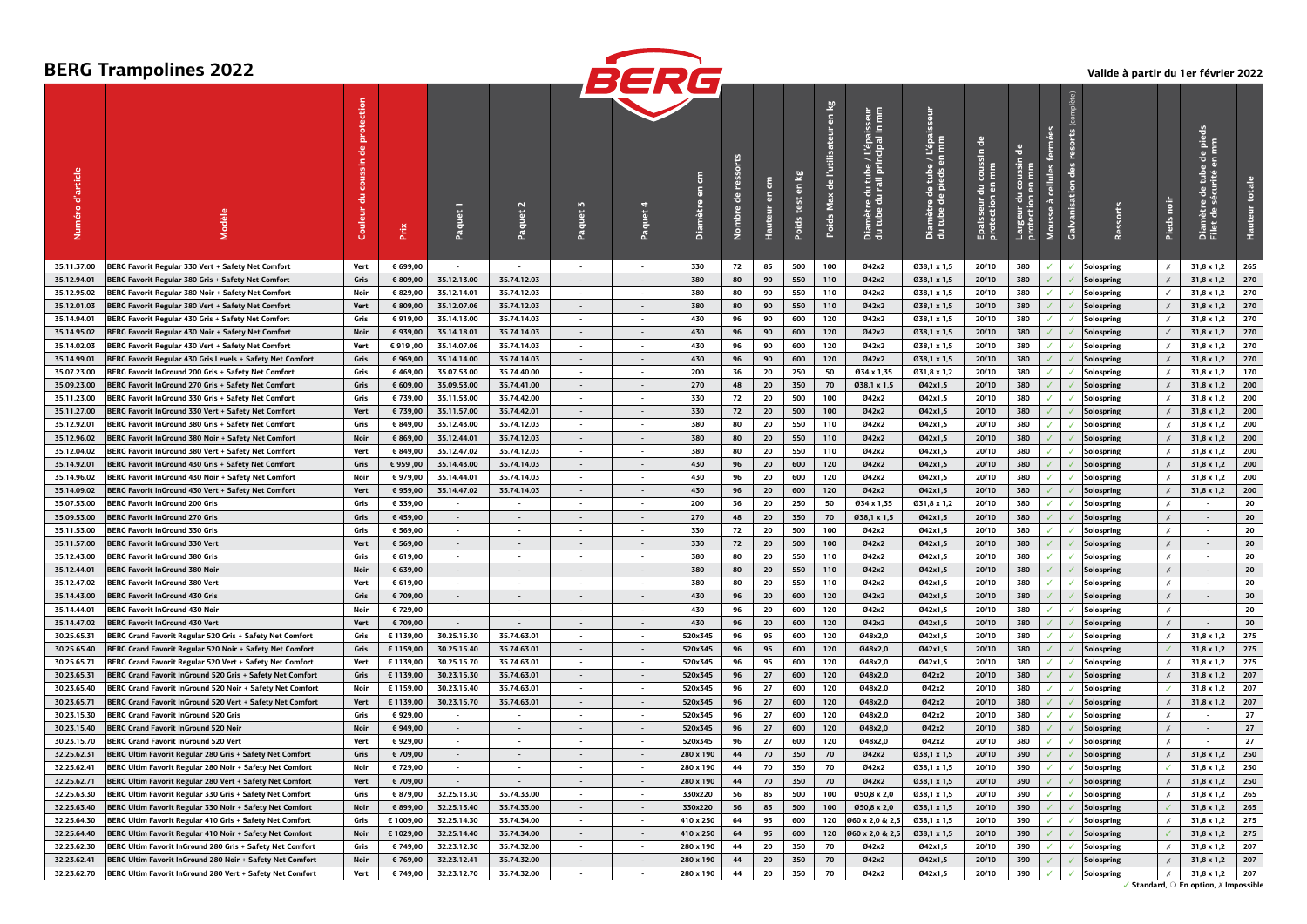|                     |                                                           |         |           |                |                          |                             | BERG                     |           |             |                                |                     |                                        |                                                                                                                 |                                                                       |                                  |                          |                                |              |                   |                            |                                                             |     |
|---------------------|-----------------------------------------------------------|---------|-----------|----------------|--------------------------|-----------------------------|--------------------------|-----------|-------------|--------------------------------|---------------------|----------------------------------------|-----------------------------------------------------------------------------------------------------------------|-----------------------------------------------------------------------|----------------------------------|--------------------------|--------------------------------|--------------|-------------------|----------------------------|-------------------------------------------------------------|-----|
| d'article<br>Numéro |                                                           | Couleur | Prix      |                |                          | Paquet                      | Paquet                   | Diamètre  | 음<br>Nombre | £<br>$\overline{5}$<br>Hauteur | ತಿ<br>test<br>Poids | en kg<br>de l'utilisat<br>Max<br>Poids | a E<br>lbe / L'épaisse<br>principal in m<br>lu tube<br>rail pri<br>号<br>amètre d<br>tube du<br>a<br>a<br>d<br>d | L'épaisseur<br>tube / l<br>jeds en<br>Diamètre de t<br>du tube de pio | 긍<br>Epaisseur d<br>protection e | 킁<br>Largeur<br>protecti | cellules<br>à<br><b>Mousse</b> | ē            |                   |                            | e de pieds<br>en mm<br>Diamètre de tub<br>Filet de sécurité |     |
| 35.11.37.00         | BERG Favorit Regular 330 Vert + Safety Net Comfort        | Vert    | € 699,00  |                |                          | $\overline{\phantom{a}}$    | $\sim$                   | 330       | 72          | 85                             | 500                 | 100                                    | Ø42x2                                                                                                           | 038,1 x 1,5                                                           | 20/10                            | 380                      | ✓                              |              | Solospring        | $\boldsymbol{x}$           | 31,8 x 1,2                                                  | 265 |
| 35.12.94.01         | BERG Favorit Regular 380 Gris + Safety Net Comfort        | Gris    | € 809,00  | 35.12.13.00    | 35.74.12.03              | $\sim$                      | $\sim$                   | 380       | 80          | 90                             | 550                 | 110                                    | Ø42x2                                                                                                           | Ø38,1 x 1,5                                                           | 20/10                            | 380                      |                                |              | Solospring        |                            | 31,8 x 1,2                                                  | 270 |
| 35.12.95.02         | BERG Favorit Regular 380 Noir + Safety Net Comfort        | Noir    | € 829,00  | 35.12.14.01    | 35.74.12.03              | $\blacksquare$              | $\sim$                   | 380       | 80          | 90                             | 550                 | 110                                    | Ø42x2                                                                                                           | 038,1 x 1,5                                                           | 20/10                            | 380                      | ✓                              |              | Solospring        |                            | 31,8 x 1,2                                                  | 270 |
| 35.12.01.03         | BERG Favorit Regular 380 Vert + Safety Net Comfort        | Vert    | € 809,00  | 35.12.07.06    | 35.74.12.03              | $\sim$                      | $\sim$                   | 380       | 80          | 90                             | 550                 | 110                                    | Ø42x2                                                                                                           | Ø38,1 x 1,5                                                           | 20/10                            | 380                      |                                |              | <b>Solospring</b> |                            | $31,8 \times 1,2$                                           | 270 |
| 35.14.94.01         | BERG Favorit Regular 430 Gris + Safety Net Comfort        | Gris    | € 919,00  | 35.14.13.00    | 35.74.14.03              | $\overline{\phantom{a}}$    | $\sim$                   | 430       | 96          | 90                             | 600                 | 120                                    | Ø42x2                                                                                                           | 038,1 x 1,5                                                           | 20/10                            | 380                      | ✓                              |              | <b>Solospring</b> | $\boldsymbol{x}$           | 31,8 x 1,2                                                  | 270 |
| 35.14.95.02         | BERG Favorit Regular 430 Noir + Safety Net Comfort        | Noir    | € 939,00  | 35.14.18.01    | 35.74.14.03              | $\sim$                      | $\sim$                   | 430       | 96          | 90                             | 600                 | 120                                    | 042x2                                                                                                           | Ø38,1 x 1,5                                                           | 20/10                            | 380                      | J                              |              | <b>Solospring</b> |                            | 31,8 x 1,2                                                  | 270 |
| 35.14.02.03         | BERG Favorit Regular 430 Vert + Safety Net Comfort        | Vert    | € 919,00  | 35.14.07.06    | 35.74.14.03              | $\sim$                      | $\sim$                   | 430       | 96          | 90                             | 600                 | 120                                    | 042x2                                                                                                           | 038,1 x 1,5                                                           | 20/10                            | 380                      | ✓                              |              | Solospring        | $\boldsymbol{x}$           | 31,8 x 1,2                                                  | 270 |
| 35.14.99.01         | BERG Favorit Regular 430 Gris Levels + Safety Net Comfort | Gris    | € 969,00  | 35.14.14.00    | 35.74.14.03              | $\sim$                      | $\sim$                   | 430       | 96          | 90                             | 600                 | 120                                    | Ø42x2                                                                                                           | 038,1 x 1,5                                                           | 20/10                            | 380                      |                                |              | Solospring        | $\boldsymbol{x}$           | $31,8 \times 1,2$                                           | 270 |
| 35.07.23.00         | BERG Favorit InGround 200 Gris + Safety Net Comfort       | Gris    | € 469,00  | 35.07.53.00    | 35.74.40.00              | $\overline{\phantom{a}}$    | $\overline{\phantom{a}}$ | 200       | 36          | 20                             | 250                 | 50                                     | 034 x 1,35                                                                                                      | 031,8 x 1,2                                                           | 20/10                            | 380                      | ✓                              |              | Solospring        | Х                          | 31,8 x 1,2                                                  | 170 |
| 35.09.23.00         | BERG Favorit InGround 270 Gris + Safety Net Comfort       | Gris    | € 609,00  | 35.09.53.00    | 35.74.41.00              | $\sim$                      | $\sim$                   | 270       | 48          | 20                             | 350                 | 70                                     | Ø38,1 x 1,5                                                                                                     | Ø42x1,5                                                               | 20/10                            | 380                      | J                              |              | Solospring        |                            | $31,8 \times 1,2$                                           | 200 |
| 35.11.23.00         | BERG Favorit InGround 330 Gris + Safety Net Comfort       | Gris    | € 739,00  | 35.11.53.00    | 35.74.42.00              | $\mathcal{L}^{\mathcal{L}}$ | $\sim$                   | 330       | 72          | 20                             | 500                 | 100                                    | Ø42x2                                                                                                           | Ø42x1,5                                                               | 20/10                            | 380                      | ✓                              |              | Solospring        | $\boldsymbol{x}$           | 31,8 x 1,2                                                  | 200 |
| 35.11.27.00         | BERG Favorit InGround 330 Vert + Safety Net Comfort       | Vert    | € 739,00  | 35.11.57.00    | 35.74.42.01              | $\sim$                      | $\sim$                   | 330       | 72          | 20                             | 500                 | 100                                    | Ø42x2                                                                                                           | Ø42x1,5                                                               | 20/10                            | 380                      | ✓                              |              | Solospring        | $\chi$                     | $31,8 \times 1,2$                                           | 200 |
| 35.12.92.01         | BERG Favorit InGround 380 Gris + Safety Net Comfort       | Gris    | € 849,00  | 35.12.43.00    | 35.74.12.03              |                             |                          | 380       | 80          | 20                             | 550                 | 110                                    | 042x2                                                                                                           | Ø42x1.5                                                               | 20/10                            | 380                      | ✓                              |              | Solospring        | Х                          | 31,8 x 1,2                                                  | 200 |
| 35.12.96.02         | BERG Favorit InGround 380 Noir + Safety Net Comfort       | Noir    | € 869,00  | 35.12.44.01    | 35.74.12.03              | $\sim$                      | $\sim$                   | 380       | 80          | 20                             | 550                 | 110                                    | 042x2                                                                                                           | Ø42x1,5                                                               | 20/10                            | 380                      | J                              |              | <b>Solospring</b> | $\boldsymbol{x}$           | 31,8 x 1,2                                                  | 200 |
| 35.12.04.02         | BERG Favorit InGround 380 Vert + Safety Net Comfort       | Vert    | € 849,00  | 35.12.47.02    | 35.74.12.03              | $\blacksquare$              | $\overline{\phantom{a}}$ | 380       | 80          | 20                             | 550                 | 110                                    | 042x2                                                                                                           | Ø42x1,5                                                               | 20/10                            | 380                      | ✓                              |              | <b>Solospring</b> | $\boldsymbol{x}$           | 31,8 x 1,2                                                  | 200 |
| 35.14.92.01         | BERG Favorit InGround 430 Gris + Safety Net Comfort       | Gris    | € 959,00  | 35.14.43.00    | 35.74.14.03              | $\sim$                      | $\sim$                   | 430       | 96          | 20                             | 600                 | 120                                    | Ø42x2                                                                                                           | Ø42x1,5                                                               | 20/10                            | 380                      | ✓                              |              | <b>Solospring</b> | $\chi$                     | 31,8 x 1,2                                                  | 200 |
| 35.14.96.02         | BERG Favorit InGround 430 Noir + Safety Net Comfort       | Noir    | € 979,00  | 35.14.44.01    | 35.74.14.03              | $\overline{a}$              |                          | 430       | 96          | 20                             | 600                 | 120                                    | 042x2                                                                                                           | Ø42x1,5                                                               | 20/10                            | 380                      | ✓                              |              | <b>Solospring</b> | Х                          | 31,8 x 1,2                                                  | 200 |
| 35.14.09.02         | BERG Favorit InGround 430 Vert + Safety Net Comfort       | Vert    | € 959,00  | 35.14.47.02    | 35.74.14.03              | $\sim$                      | $\sim$                   | 430       | 96          | 20                             | 600                 | 120                                    | Ø42x2                                                                                                           | Ø42x1,5                                                               | 20/10                            | 380                      | J                              |              | Solospring        | $\boldsymbol{x}$           | $31,8 \times 1,2$                                           | 200 |
| 35.07.53.00         | <b>BERG Favorit InGround 200 Gris</b>                     | Gris    | € 339,00  |                |                          | $\blacksquare$              |                          | 200       | 36          | 20                             | 250                 | 50                                     | 034 x 1,35                                                                                                      | Ø31,8 x 1,2                                                           | 20/10                            | 380                      | ✓                              |              | Solospring        | $\boldsymbol{x}$           |                                                             | 20  |
| 35.09.53.00         | <b>BERG Favorit InGround 270 Gris</b>                     | Gris    | € 459,00  | $\sim$         | $\sim$                   | $\sim$                      | $\sim$                   | 270       | 48          | 20                             | 350                 | 70                                     | Ø38,1 x 1,5                                                                                                     | Ø42x1,5                                                               | 20/10                            | 380                      | ✓                              |              | <b>Solospring</b> | $\chi$                     | $\sim$                                                      | 20  |
| 35.11.53.00         | <b>BERG Favorit InGround 330 Gris</b>                     | Gris    | € 569.00  |                |                          |                             |                          | 330       | 72          | 20                             | 500                 | 100                                    | 042x2                                                                                                           | Ø42x1.5                                                               | 20/10                            | 380                      | ✓                              |              | <b>Solospring</b> |                            |                                                             | 20  |
| 35.11.57.00         | BERG Favorit InGround 330 Vert                            | Vert    | € 569,00  | $\sim$         | $\sim$                   | $\sim$                      | $\sim$                   | 330       | 72          | 20                             | 500                 | 100                                    | Ø42x2                                                                                                           | Ø42x1,5                                                               | 20/10                            | 380                      | J                              |              | Solospring        | $\chi$                     | $\sim$                                                      | 20  |
| 35.12.43.00         | <b>BERG Favorit InGround 380 Gris</b>                     | Gris    | € 619,00  |                |                          |                             |                          | 380       | 80          | 20                             | 550                 | 110                                    | 042x2                                                                                                           | Ø42x1,5                                                               | 20/10                            | 380                      | ✓                              |              | <b>Solospring</b> | $\boldsymbol{x}$           |                                                             | 20  |
| 35.12.44.01         | <b>BERG Favorit InGround 380 Noir</b>                     | Noir    | € 639,00  | $\sim$         | $\sim$                   | $\sim$                      | $\sim$                   | 380       | 80          | 20                             | 550                 | 110                                    | Ø42x2                                                                                                           | Ø42x1,5                                                               | 20/10                            | 380                      | ✓                              |              | <b>Solospring</b> | $\chi$                     | $\sim$                                                      | 20  |
| 35.12.47.02         | <b>BERG Favorit InGround 380 Vert</b>                     | Vert    | € 619,00  |                |                          | $\overline{\phantom{a}}$    |                          | 380       | 80          | 20                             | 550                 | 110                                    | 042x2                                                                                                           | Ø42x1,5                                                               | 20/10                            | 380                      | ✓                              |              | Solospring        | Х                          |                                                             | 20  |
| 35.14.43.00         | <b>BERG Favorit InGround 430 Gris</b>                     | Gris    | € 709,00  | $\sim$         | $\sim$                   | $\sim$                      | $\sim$                   | 430       | 96          | 20                             | 600                 | 120                                    | Ø42x2                                                                                                           | Ø42x1,5                                                               | 20/10                            | 380                      | ✓                              |              | <b>Solospring</b> | $\chi$                     | $\sim$                                                      | 20  |
| 35.14.44.01         | <b>BERG Favorit InGround 430 Noir</b>                     | Noir    | € 729,00  |                |                          |                             |                          | 430       | 96          | 20                             | 600                 | 120                                    | 042x2                                                                                                           | Ø42x1,5                                                               | 20/10                            | 380                      |                                |              | <b>Solospring</b> | Х                          |                                                             | 20  |
| 35.14.47.02         | <b>BERG Favorit InGround 430 Vert</b>                     | Vert    | € 709,00  | $\overline{a}$ | $\sim$                   | $\sim$                      | $\sim$                   | 430       | 96          | 20                             | 600                 | 120                                    | 042x2                                                                                                           | Ø42x1,5                                                               | 20/10                            | 380                      | ✓                              | $\checkmark$ | Solospring        | $\times$                   |                                                             | 20  |
| 30.25.65.31         | BERG Grand Favorit Regular 520 Gris + Safety Net Comfort  | Gris    | € 1139,00 | 30.25.15.30    | 35.74.63.01              |                             |                          | 520x345   | 96          | 95                             | 600                 | 120                                    | Ø48x2,0                                                                                                         | Ø42x1,5                                                               | 20/10                            | 380                      |                                |              | <b>Solospring</b> | Х                          | 31,8 x 1,2                                                  | 275 |
| 30.25.65.40         | BERG Grand Favorit Regular 520 Noir + Safety Net Comfort  | Gris    | € 1159,00 | 30.25.15.40    | 35.74.63.01              | $\sim$                      | $\sim$                   | 520x345   | 96          | 95                             | 600                 | 120                                    | Ø48x2,0                                                                                                         | Ø42x1,5                                                               | 20/10                            | 380                      | $\checkmark$                   |              | <b>Solospring</b> |                            | 31,8 x 1,2                                                  | 275 |
| 30.25.65.71         | BERG Grand Favorit Regular 520 Vert + Safety Net Comfort  | Vert    | € 1139,00 | 30.25.15.70    | 35.74.63.01              | $\overline{\phantom{a}}$    |                          | 520x345   | 96          | 95                             | 600                 | 120                                    | Ø48x2,0                                                                                                         | Ø42x1,5                                                               | 20/10                            | 380                      | ✓                              |              | Solospring        |                            | 31,8 x 1,2                                                  | 275 |
|                     |                                                           |         |           | 30.23.15.30    |                          | $\overline{\phantom{a}}$    | $\sim$                   |           |             |                                |                     | 120                                    |                                                                                                                 |                                                                       |                                  |                          |                                |              |                   |                            | 31,8 x 1,2                                                  | 207 |
| 30.23.65.31         | BERG Grand Favorit InGround 520 Gris + Safety Net Comfort | Gris    | € 1139,00 |                | 35.74.63.01              | $\overline{a}$              |                          | 520x345   | 96          | 27<br>27                       | 600                 |                                        | Ø48x2,0                                                                                                         | 042x2                                                                 | 20/10                            | 380                      | ✓                              |              | Solospring        | $\times$                   |                                                             | 207 |
| 30.23.65.40         | BERG Grand Favorit InGround 520 Noir + Safety Net Comfort | Noir    | € 1159,00 | 30.23.15.40    | 35.74.63.01              |                             |                          | 520x345   | 96          |                                | 600                 | 120                                    | Ø48x2,0                                                                                                         | Ø42x2                                                                 | 20/10                            | 380                      | ✓                              |              | Solospring        |                            | 31,8 x 1,2                                                  |     |
| 30.23.65.71         | BERG Grand Favorit InGround 520 Vert + Safety Net Comfort | Vert    | € 1139,00 | 30.23.15.70    | 35.74.63.01              | $\sim$<br>$\overline{a}$    | $\sim$                   | 520x345   | 96          | 27                             | 600                 | 120                                    | Ø48x2,0                                                                                                         | Ø42x2                                                                 | 20/10                            | 380                      | ✓                              |              | Solospring        | $\chi$<br>$\boldsymbol{x}$ | 31,8 x 1,2                                                  | 207 |
| 30.23.15.30         | <b>BERG Grand Favorit InGround 520 Gris</b>               | Gris    | € 929,00  |                |                          |                             |                          | 520x345   | 96          | 27                             | 600                 | 120                                    | Ø48x2,0                                                                                                         | 042x2                                                                 | 20/10                            | 380                      | ✓                              |              | Solospring        |                            |                                                             | 27  |
| 30.23.15.40         | <b>BERG Grand Favorit InGround 520 Noir</b>               | Noir    | € 949,00  |                | $\sim$                   | $\blacksquare$              | $\sim$                   | 520x345   | 96          | 27                             | 600                 | 120                                    | Ø48x2,0                                                                                                         | 042x2                                                                 | 20/10                            | 380                      |                                |              | Solospring        | Х                          |                                                             | 27  |
| 30.23.15.70         | <b>BERG Grand Favorit InGround 520 Vert</b>               | Vert    | € 929,00  |                |                          | $\overline{\phantom{a}}$    |                          | 520x345   | 96          | 27                             | 600                 | 120                                    | Ø48x2,0                                                                                                         | Ø42x2                                                                 | 20/10                            | 380                      | ✓                              |              | Solospring        |                            |                                                             | 27  |
| 32.25.62.31         | BERG Ultim Favorit Regular 280 Gris + Safety Net Comfort  | Gris    | € 709,00  | $\sim$         | $\overline{\phantom{a}}$ | $\overline{\phantom{a}}$    | $\overline{\phantom{a}}$ | 280 x 190 | 44          | 70                             | 350                 | 70                                     | Ø42x2                                                                                                           | Ø38,1 x 1,5                                                           | 20/10                            | 390                      |                                |              | Solospring        | $\chi$                     | 31,8 x 1,2                                                  | 250 |
| 32.25.62.41         | BERG Ultim Favorit Regular 280 Noir + Safety Net Comfort  | Noir    | € 729.00  |                |                          | $\overline{a}$              |                          | 280 x 190 | 44          | 70                             | 350                 | 70                                     | 042x2                                                                                                           | 038,1 x 1,5                                                           | 20/10                            | 390                      |                                |              | Solospring        |                            | 31,8 x 1,2                                                  | 250 |
| 32.25.62.71         | BERG Ultim Favorit Regular 280 Vert + Safety Net Comfort  | Vert    | € 709,00  |                |                          | $\overline{\phantom{a}}$    | $\overline{\phantom{a}}$ | 280 x 190 | 44          | 70                             | 350                 | 70                                     | 042x2                                                                                                           | Ø38,1 x 1,5                                                           | 20/10                            | 390                      |                                |              | Solospring        | $\times$                   | 31,8 x 1,2                                                  | 250 |
| 32.25.63.30         | BERG Ultim Favorit Regular 330 Gris + Safety Net Comfort  | Gris    | € 879,00  | 32.25.13.30    | 35.74.33.00              |                             |                          | 330x220   | 56          | 85                             | 500                 | 100                                    | 050,8 x 2,0                                                                                                     | 038,1 x 1,5                                                           | 20/10                            | 390                      | ✓                              |              | Solospring        | $\boldsymbol{x}$           | 31,8 x 1,2                                                  | 265 |
| 32.25.63.40         | BERG Ultim Favorit Regular 330 Noir + Safety Net Comfort  | Noir    | € 899,00  | 32.25.13.40    | 35.74.33.00              | $\overline{\phantom{a}}$    | $\overline{\phantom{a}}$ | 330x220   | 56          | 85                             | 500                 | 100                                    | Ø50,8 x 2,0                                                                                                     | Ø38,1 x 1,5                                                           | 20/10                            | 390                      |                                |              | Solospring        |                            | 31,8 x 1,2                                                  | 265 |
| 32.25.64.30         | BERG Ultim Favorit Regular 410 Gris + Safety Net Comfort  | Gris    | € 1009,00 | 32.25.14.30    | 35.74.34.00              |                             |                          | 410 x 250 | 64          | 95                             | 600                 | 120                                    | 060 x 2,0 & 2,5                                                                                                 | 038,1 x 1,5                                                           | 20/10                            | 390                      |                                |              | <b>Solospring</b> | $\boldsymbol{x}$           | 31,8 x 1,2                                                  | 275 |
| 32.25.64.40         | BERG Ultim Favorit Regular 410 Noir + Safety Net Comfort  | Noir    | € 1029,00 | 32.25.14.40    | 35.74.34.00              | $\overline{\phantom{a}}$    | $\overline{\phantom{a}}$ | 410 x 250 | 64          | 95                             | 600                 | 120                                    | 060 x 2,0 & 2,5                                                                                                 | Ø38,1 x 1,5                                                           | 20/10                            | 390                      |                                |              | <b>Solospring</b> |                            | 31,8 x 1,2                                                  | 275 |
| 32.23.62.30         | BERG Ultim Favorit InGround 280 Gris + Safety Net Comfort | Gris    | € 749,00  | 32.23.12.30    | 35.74.32.00              | $\overline{a}$              |                          | 280 x 190 | 44          | 20                             | 350                 | 70                                     | 042x2                                                                                                           | Ø42x1,5                                                               | 20/10                            | 390                      |                                |              | Solospring        | $\boldsymbol{x}$           | 31,8 x 1,2                                                  | 207 |
| 32.23.62.41         | BERG Ultim Favorit InGround 280 Noir + Safety Net Comfort | Noir    | € 769,00  | 32.23.12.41    | 35.74.32.00              |                             |                          | 280 x 190 | 44          | 20                             | 350                 | 70                                     | Ø42x2                                                                                                           | Ø42x1,5                                                               | 20/10                            | 390                      |                                |              | Solospring        | Х                          | 31,8 x 1,2                                                  | 207 |

32.23.62.70 |BERG Ultim Favorit InGround 280 Vert+Safety Net Comfort | Vert | Ker49,00 | 32.23.12.70 | 35.74.32.00 | - | 280 x 190 | 41 | 20 | 350 | 70 | 042x2 | 042x1,5 | 20/10 | 390 | / | <|Solospring | ٪ | 31,

# **BERG Trampolines 2022**

**Valide à partir du 1er février 2022**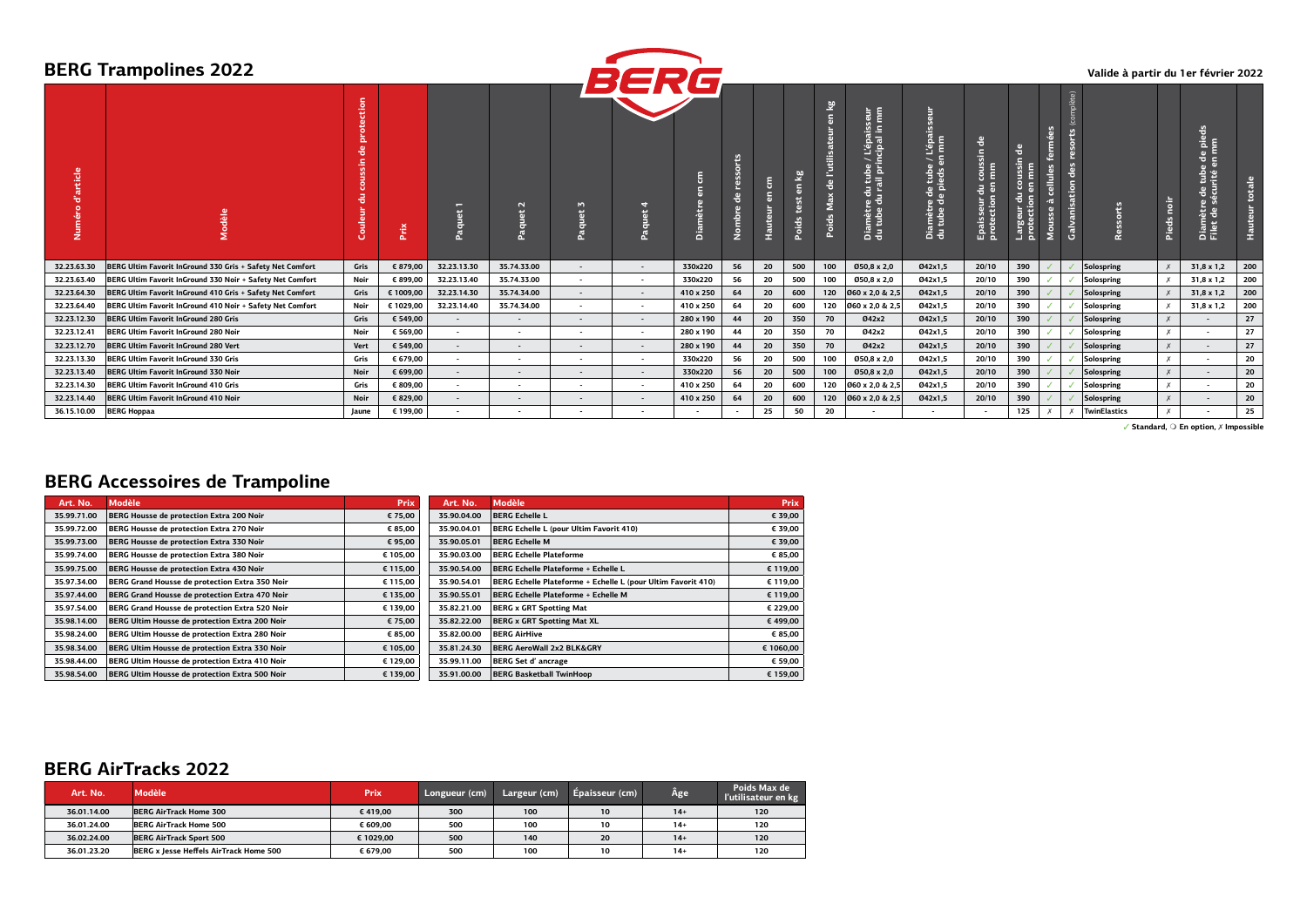|                                          | <b>BERG Trampolines 2022</b>                              |                            |           |                          |                          |                          | BERG                     |           |                    |           |            |                                   |                                                                                                      |                                                                                  |                                                                        |                                                              |                                           |                                       | Valide à partir du 1er février 2022 |                  |                                                                    |                                |
|------------------------------------------|-----------------------------------------------------------|----------------------------|-----------|--------------------------|--------------------------|--------------------------|--------------------------|-----------|--------------------|-----------|------------|-----------------------------------|------------------------------------------------------------------------------------------------------|----------------------------------------------------------------------------------|------------------------------------------------------------------------|--------------------------------------------------------------|-------------------------------------------|---------------------------------------|-------------------------------------|------------------|--------------------------------------------------------------------|--------------------------------|
| rticle<br>e.<br>$\circ$<br>۰ō<br>E<br>Zi |                                                           | ction<br>ᇃ<br>공<br>Couleur | Prix      | ▭<br>Ð<br>o<br>āqu       | $\sim$<br>ਫ਼ੋ            | M.<br>冨<br>ā             | $\overline{ }$<br>Ð<br>큸 | Diam      | orts<br>운<br>Nombr | 톱<br>Haut | ₽<br>Poids | en kg<br>de l'utilis<br>Poids Max | L'épaisseur<br>cipal in mm<br>$\frac{1}{2}$ in $\frac{1}{2}$<br>Diamètre du tub<br>du tube du rail p | 큷<br>L'épais:<br>I mm<br>こま<br>le tube<br>pieds e<br>Diamètre de<br>du tube de p | ਰ<br>$\frac{1}{5}$<br>E<br>$\overline{5}$<br>Epaisseur c<br>protection | ю<br>oussin<br>Ē<br>l 5,<br>v.<br>月子<br>Largeur<br>protectic | fermées<br>cellules<br>$\sigma$<br>Mousse | 盟<br>ত<br>anisation<br>$\frac{5}{18}$ | Ressorts                            | Pieds noi        | Β<br>$rac{a}{n}$<br>ှစ် ခ<br>Diamètre de tube<br>Filet de sécurité | totale<br>Hauteur <sup>t</sup> |
| 32.23.63.30                              | BERG Ultim Favorit InGround 330 Gris + Safety Net Comfort | Gris                       | € 879,00  | 32.23.13.30              | 35.74.33.00              | $\overline{\phantom{a}}$ |                          | 330x220   | 56                 | 20        | 500        | 100                               | Ø50,8 x 2,0                                                                                          | 042x1.5                                                                          | 20/10                                                                  | 390                                                          |                                           |                                       | Solospring                          |                  | $31,8 \times 1,2$                                                  | 200                            |
| 32.23.63.40                              | BERG Ultim Favorit InGround 330 Noir + Safety Net Comfort | Noir                       | € 899,00  | 32.23.13.40              | 35.74.33.00              | $\sim$                   | $\sim$                   | 330x220   | 56                 | 20        | 500        | 100                               | Ø50,8 x 2,0                                                                                          | Ø42x1,5                                                                          | 20/10                                                                  | 390                                                          |                                           |                                       | Solospring                          |                  | 31,8 x 1,2                                                         | 200                            |
| 32.23.64.30                              | BERG Ultim Favorit InGround 410 Gris + Safety Net Comfort | Gris                       | € 1009,00 | 32.23.14.30              | 35.74.34.00              | $\overline{\phantom{a}}$ | $\sim$                   | 410 x 250 | 64                 | 20        | 600        | 120                               | 060 x 2,0 & 2,5                                                                                      | 042x1.5                                                                          | 20/10                                                                  | 390                                                          |                                           |                                       | Solospring                          |                  | 31,8 x 1,2                                                         | 200                            |
| 32.23.64.40                              | BERG Ultim Favorit InGround 410 Noir + Safety Net Comfort | Noir                       | € 1029,00 | 32.23.14.40              | 35.74.34.00              | $\overline{\phantom{a}}$ |                          | 410 x 250 | 64                 | 20        | 600        | 120                               | 060 x 2,0 & 2,5                                                                                      | Ø42x1.5                                                                          | 20/10                                                                  | 390                                                          |                                           |                                       | Solospring                          |                  | 31,8 x 1,2                                                         | 200                            |
| 32.23.12.30                              | <b>BERG Ultim Favorit InGround 280 Gris</b>               | Gris                       | € 549.00  | $\overline{\phantom{a}}$ | $\overline{\phantom{a}}$ | $\sim$                   | $\sim$                   | 280 x 190 | 44                 | 20        | 350        | 70                                | 042x2                                                                                                | 042x1.5                                                                          | 20/10                                                                  | 390                                                          |                                           |                                       | Solospring                          | $\boldsymbol{x}$ | $\sim$                                                             | 27                             |
| 32.23.12.41                              | <b>BERG Ultim Favorit InGround 280 Noir</b>               | Noir                       | € 569,00  | $\overline{\phantom{a}}$ | $\overline{\phantom{0}}$ | $\overline{\phantom{0}}$ | $\overline{\phantom{0}}$ | 280 x 190 | 44                 | 20        | 350        | 70                                | 042x2                                                                                                | Ø42x1,5                                                                          | 20/10                                                                  | 390                                                          |                                           |                                       | Solospring                          | $\boldsymbol{x}$ | $\sim$                                                             | 27                             |
| 32.23.12.70                              | <b>BERG Ultim Favorit InGround 280 Vert</b>               | Vert                       | € 549,00  | $\sim$                   | $\overline{\phantom{a}}$ | $\overline{\phantom{a}}$ | $\overline{\phantom{a}}$ | 280 x 190 | 44                 | 20        | 350        | 70                                | 042x2                                                                                                | 042x1.5                                                                          | 20/10                                                                  | 390                                                          |                                           |                                       | Solospring                          | $\boldsymbol{x}$ | $\sim$                                                             | 27                             |
| 32.23.13.30                              | <b>BERG Ultim Favorit InGround 330 Gris</b>               | Gris                       | € 679,00  | $\sim$                   | $\overline{\phantom{a}}$ | $\sim$                   | $\overline{\phantom{a}}$ | 330x220   | 56                 | 20        | 500        | 100                               | Ø50,8 x 2,0                                                                                          | 042x1.5                                                                          | 20/10                                                                  | 390                                                          |                                           |                                       | Solospring                          | $\boldsymbol{x}$ | $\sim$                                                             | 20                             |
| 32.23.13.40                              | BERG Ultim Favorit InGround 330 Noir                      | Noir                       | € 699,00  | $\overline{\phantom{a}}$ | $\overline{\phantom{a}}$ | $\overline{\phantom{a}}$ | $\overline{\phantom{a}}$ | 330x220   | 56                 | 20        | 500        | 100                               | Ø50,8 x 2,0                                                                                          | Ø42x1,5                                                                          | 20/10                                                                  | 390                                                          |                                           |                                       | Solospring                          | $\chi$           | $\sim$                                                             | 20                             |
| 32.23.14.30                              | <b>BERG Ultim Favorit InGround 410 Gris</b>               | Gris                       | € 809.00  | $\overline{\phantom{a}}$ | $\overline{\phantom{a}}$ | $\overline{\phantom{a}}$ | $\overline{\phantom{a}}$ | 410 x 250 | 64                 | 20        | 600        | 120                               | 060 x 2,0 & 2,5                                                                                      | Ø42x1.5                                                                          | 20/10                                                                  | 390                                                          |                                           |                                       | Solospring                          |                  | $\sim$                                                             | 20                             |
| 32.23.14.40                              | <b>BERG Ultim Favorit InGround 410 Noir</b>               | Noir                       | € 829,00  | $\sim$                   | $\sim$                   | $\overline{\phantom{a}}$ | $\overline{\phantom{a}}$ | 410 x 250 | 64                 | 20        | 600        | 120                               | 060 x 2,0 & 2,5                                                                                      | Ø42x1,5                                                                          | 20/10                                                                  | 390                                                          |                                           |                                       | Solospring                          | $\boldsymbol{x}$ | $\sim$                                                             | 20                             |
| 36.15.10.00                              | <b>BERG Hoppaa</b>                                        | Jaune                      | € 199,00  |                          |                          |                          |                          |           |                    | 25        | 50         | 20                                |                                                                                                      |                                                                                  |                                                                        | 125                                                          |                                           |                                       | <b>TwinElastics</b>                 |                  | $\overline{\phantom{a}}$                                           | 25                             |

# **BERG Accessoires de Trampoline**

| Art. No.    | Modèle                                         | Prix     | Art. No.    | Modèle                                                       | <b>Prix</b> |
|-------------|------------------------------------------------|----------|-------------|--------------------------------------------------------------|-------------|
| 35.99.71.00 | BERG Housse de protection Extra 200 Noir       | € 75,00  | 35.90.04.00 | <b>BERG Echelle L</b>                                        | € 39,00     |
| 35.99.72.00 | BERG Housse de protection Extra 270 Noir       | € 85,00  | 35.90.04.01 | BERG Echelle L (pour Ultim Favorit 410)                      | € 39,00     |
| 35.99.73.00 | BERG Housse de protection Extra 330 Noir       | € 95,00  | 35.90.05.01 | <b>BERG Echelle M</b>                                        | € 39,00     |
| 35.99.74.00 | BERG Housse de protection Extra 380 Noir       | € 105,00 | 35.90.03.00 | <b>BERG Echelle Plateforme</b>                               | € 85,00     |
| 35.99.75.00 | BERG Housse de protection Extra 430 Noir       | € 115,00 | 35.90.54.00 | BERG Echelle Plateforme + Echelle L                          | € 119,00    |
| 35.97.34.00 | BERG Grand Housse de protection Extra 350 Noir | € 115,00 | 35.90.54.01 | BERG Echelle Plateforme + Echelle L (pour Ultim Favorit 410) | € 119,00    |
| 35.97.44.00 | BERG Grand Housse de protection Extra 470 Noir | € 135.00 | 35.90.55.01 | BERG Echelle Plateforme + Echelle M                          | € 119,00    |
| 35.97.54.00 | BERG Grand Housse de protection Extra 520 Noir | € 139,00 | 35.82.21.00 | <b>BERG x GRT Spotting Mat</b>                               | € 229,00    |
| 35.98.14.00 | BERG Ultim Housse de protection Extra 200 Noir | € 75,00  | 35.82.22.00 | <b>BERG x GRT Spotting Mat XL</b>                            | € 499,00    |
| 35.98.24.00 | BERG Ultim Housse de protection Extra 280 Noir | € 85,00  | 35.82.00.00 | <b>BERG AirHive</b>                                          | € 85,00     |
| 35.98.34.00 | BERG Ultim Housse de protection Extra 330 Noir | € 105,00 | 35.81.24.30 | BERG AeroWall 2x2 BLK&GRY                                    | € 1060,00   |
| 35.98.44.00 | BERG Ultim Housse de protection Extra 410 Noir | € 129,00 | 35.99.11.00 | BERG Set d'ancrage                                           | € 59,00     |
| 35.98.54.00 | BERG Ultim Housse de protection Extra 500 Noir | € 139,00 | 35.91.00.00 | <b>BERG Basketball TwinHoop</b>                              | € 159,00    |

## **BERG AirTracks 2022**

| Art. No.    | <b>Modèle</b>                          | <b>Prix</b> | Longueur (cm) | Largeur (cm) | Épaisseur (cm) | Âge   | Poids Max de<br>l'utilisateur en kg |
|-------------|----------------------------------------|-------------|---------------|--------------|----------------|-------|-------------------------------------|
| 36.01.14.00 | <b>BERG AirTrack Home 300</b>          | €419.00     | 300           | 100          | 10             | $14+$ | 120                                 |
| 36.01.24.00 | BERG AirTrack Home 500                 | € 609.00    | 500           | 100          | 10             | $14+$ | 120                                 |
| 36.02.24.00 | <b>BERG AirTrack Sport 500</b>         | € 1029.00   | 500           | 140          | 20             | $14+$ | 120                                 |
| 36.01.23.20 | BERG x Jesse Heffels AirTrack Home 500 | € 679.00    | 500           | 100          | 10             | $14+$ | 120                                 |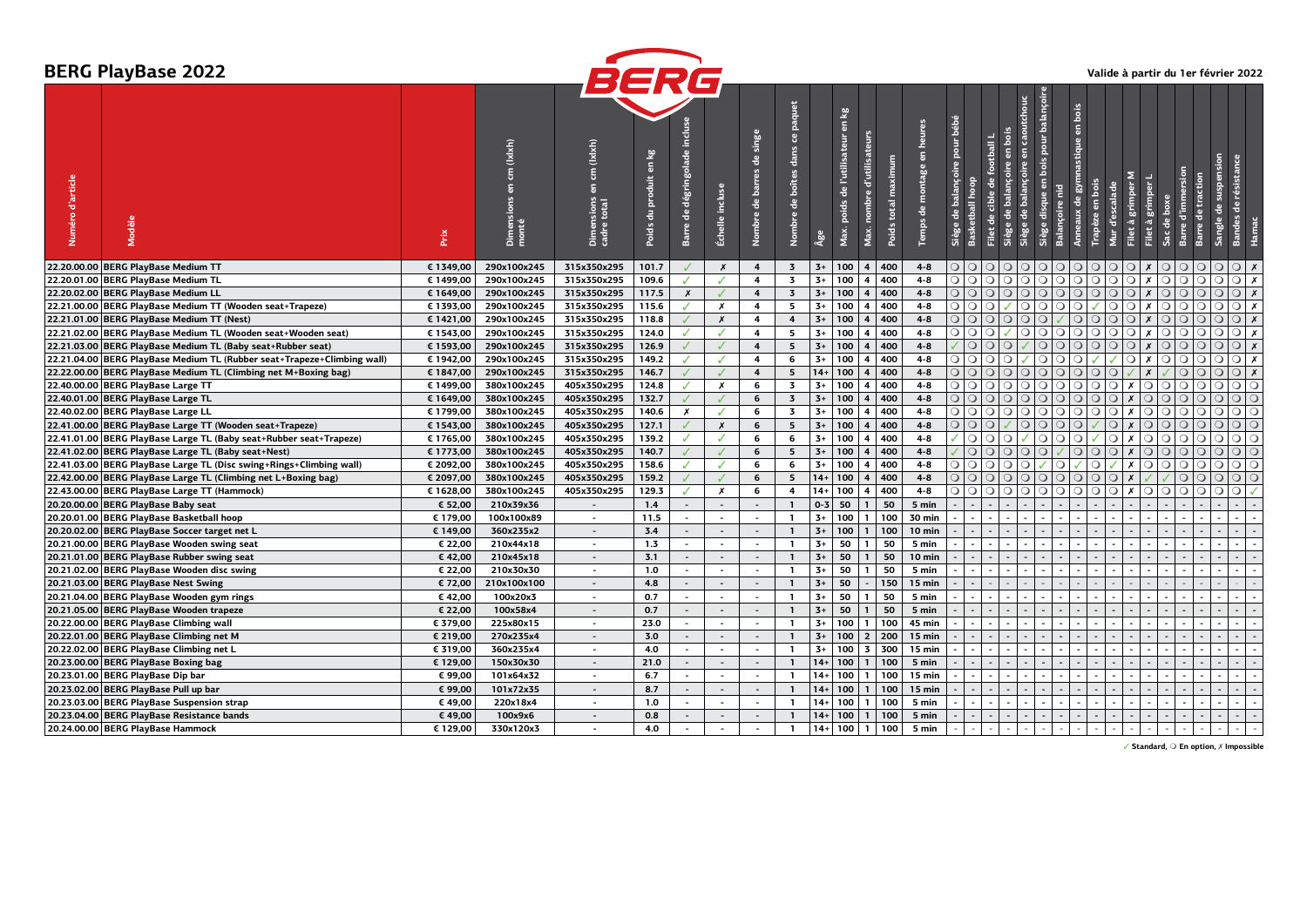|                  | <b>BERG PlayBase 2022</b>                                               |           |                                                                                    |                                                                                |                          |                                   |                          |                                                       |                                               |         |                                                                                                          |                        |                                 |                                            |                                  |                                               |                                                                     |                         |                                        |                         |                          |                             |                    |                |                                            | Valide à partir du 1er février 2022 |
|------------------|-------------------------------------------------------------------------|-----------|------------------------------------------------------------------------------------|--------------------------------------------------------------------------------|--------------------------|-----------------------------------|--------------------------|-------------------------------------------------------|-----------------------------------------------|---------|----------------------------------------------------------------------------------------------------------|------------------------|---------------------------------|--------------------------------------------|----------------------------------|-----------------------------------------------|---------------------------------------------------------------------|-------------------------|----------------------------------------|-------------------------|--------------------------|-----------------------------|--------------------|----------------|--------------------------------------------|-------------------------------------|
| Numéro d'article | Modèle                                                                  | Prix      | (lxlxh)<br>$\overline{5}$<br>$\overline{5}$<br>rs <sub>1</sub><br>Dimensi<br>monté | <b>BERG</b><br>(lxlxh)<br>$\mathsf{g}% _{T}$<br>5<br>Dimensions<br>cadre total | 윃<br>produit<br>Poids du | indus<br>dégringolade<br>Barre de | Échelle incluse          | singe<br>٩e<br>barres<br>$\frac{e}{\sigma}$<br>Nombre | paquet<br>å,<br>dans<br>boîtes<br>음<br>Nombre | Âge     | $\frac{1}{2}$<br>$\overline{a}$<br>d'utilisateurs<br>de l'utilisateur<br>mbre<br>ds<br>ē<br>Max.<br>Max. | maximum<br>Poids total | heures<br>5<br>montage<br>Temps | bébé<br>pour<br>balançoire<br><b>Siège</b> | football<br>٩e<br>cible<br>tball | bois<br>$\overline{a}$<br>balancoire<br>Siège | pour balançoi<br>caoutchouc<br>$\overline{a}$<br>de balançoire<br>G | e                       | bois<br>$\overline{a}$<br>stique<br>డె | en bois<br>d'escalade   | Σ<br>grimper<br>$\sigma$ | $\sqrt{6}$                  | l and the set      |                | suspension<br>٩e                           |                                     |
|                  | 22.20.00.00 BERG PlayBase Medium TT                                     | € 1349,00 | 290x100x245                                                                        | 315x350x295                                                                    | 101.7                    |                                   | $\boldsymbol{x}$         | $\overline{4}$                                        | $\overline{\mathbf{3}}$                       | $3+$    | 100                                                                                                      | 4   400                | $4 - 8$                         | $\circ$ $\circ$                            | $\circ$                          | $\circ$                                       |                                                                     | O O O                   | $\circ$                                | $\circ$                 | O                        | $\mathsf{X}$                | $\circ$<br>$\circ$ | $\overline{O}$ | Q Q X                                      |                                     |
|                  | 22.20.01.00 BERG PlayBase Medium TL                                     | € 1499,00 | 290x100x245                                                                        | 315x350x295                                                                    | 109.6                    | J                                 |                          | $\overline{\mathbf{A}}$                               | $\overline{\mathbf{3}}$                       | $3+$    | 100<br>4                                                                                                 | 400                    | $4 - 8$                         | $\circ$                                    | $\circ$<br>$\circ$               | $\circ$                                       |                                                                     | $\circ$ $\circ$ $\circ$ | $\circ$                                | $\circ$<br>$\circ$      | $\bigcirc$               | $\boldsymbol{x}$            | $\circ$<br>$\circ$ | $\circ$        | $\circ$                                    | $\bigcirc$ x                        |
|                  | 22.20.02.00 BERG PlayBase Medium LL                                     | € 1649,00 | 290x100x245                                                                        | 315x350x295                                                                    | 117.5                    | $\pmb{\chi}$                      |                          | $\overline{4}$                                        | $\overline{\mathbf{3}}$                       | $3+$    | 100<br>$\overline{\mathbf{4}}$                                                                           | 400                    | $4 - 8$                         | $\circ$ $\circ$                            | $\circ$                          | $\circ$                                       |                                                                     | 0 0 0                   | $\circ$                                | $\bigcirc$              | $\overline{O O}$         | $\boldsymbol{x}$            | QQ                 | $\circ$        | $\circ$                                    | $Q \mid x$                          |
|                  | 22.21.00.00 BERG PlayBase Medium TT (Wooden seat+Trapeze)               | € 1393,00 | 290x100x245                                                                        | 315x350x295                                                                    | 115.6                    | ✓                                 | X                        | 4                                                     | 5                                             | $3+$    | 100<br>$\overline{4}$                                                                                    | 400                    | $4 - 8$                         | $\circ$                                    | $\circ$<br>$\circ$               | $\checkmark$                                  | $\circ$ $\circ$                                                     | O                       | $\circ$                                | $\circ$<br>✓            | $\circ$                  | $\boldsymbol{x}$<br>$\circ$ | $\circ$            | $\circ$        | $\circ$                                    | $\bigcirc$ x                        |
|                  | 22.21.01.00 BERG PlayBase Medium TT (Nest)                              | € 1421,00 | 290x100x245                                                                        | 315x350x295                                                                    | 118.8                    | $\checkmark$                      | $\boldsymbol{x}$         | $\overline{4}$                                        | $\overline{4}$                                | $3+$    | 100<br>$\overline{\mathbf{4}}$                                                                           | 400                    | $4 - 8$                         | $\circ$                                    | $\circ$<br>$\bigcirc$            | $\circ$                                       | Q                                                                   |                         | $\circ$                                | $\circ$<br>$\circ$      | $\bigcirc$               | $\boldsymbol{x}$<br>$\circ$ | $\circ$            | $\circ$        | $\circ$                                    | $\bigcirc$ x                        |
|                  | 22.21.02.00 BERG PlayBase Medium TL (Wooden seat+Wooden seat)           | € 1543,00 | 290x100x245                                                                        | 315x350x295                                                                    | 124.0                    | ✓                                 | ℐ                        | 4                                                     | 5                                             | $3+$    | 100<br>$\overline{\mathbf{4}}$                                                                           | 400                    | $4 - 8$                         | $\circ$                                    | $\circ$<br>$\circ$               |                                               |                                                                     | $\circ$ $\circ$ $\circ$ | $\circ$                                | $\circ$<br>$\circ$      | $\bigcirc$               | X                           | $\circ$<br>$\circ$ | $\circ$        | $\circ$                                    | $\bigcirc$ x                        |
|                  | 22.21.03.00 BERG PlayBase Medium TL (Baby seat+Rubber seat)             | € 1593,00 | 290x100x245                                                                        | 315x350x295                                                                    | 126.9                    |                                   |                          | $\overline{\mathbf{4}}$                               | 5                                             | $3+$    | 100<br>$\overline{\mathbf{4}}$                                                                           | 400                    | $4 - 8$                         |                                            | $\bigcirc$<br>$\circ$            | $\circ$                                       |                                                                     | O O                     | $\circ$                                | Q Q Q                   |                          | $\boldsymbol{x}$            | $\circ$<br>$\circ$ | $\circ$        | $\circ$                                    | $\bigcirc$ x                        |
|                  | 22.21.04.00 BERG PlayBase Medium TL (Rubber seat+Trapeze+Climbing wall) | € 1942,00 | 290x100x245                                                                        | 315x350x295                                                                    | 149.2                    | J                                 |                          | $\overline{4}$                                        | 6                                             | $3+$    | 100<br>$\overline{4}$                                                                                    | 400                    | $4 - 8$                         | $\circ$                                    | $\circ$<br>$\circ$               | $\circ$                                       |                                                                     | O Q                     | $\circ$                                | ✓                       | $\circ$                  | $x \cup$                    | $\circ$            | $\circ$        | $\circ$                                    | $\bigcirc$ $x$                      |
|                  | 22.22.00.00 BERG PlayBase Medium TL (Climbing net M+Boxing bag)         | € 1847,00 | 290x100x245                                                                        | 315x350x295                                                                    | 146.7                    | J                                 |                          | $\overline{\mathbf{A}}$                               | 5                                             | $14+$   | 100<br>$\overline{4}$                                                                                    | 400                    | $4 - 8$                         |                                            | O                                |                                               |                                                                     | O O O                   | $\circ$                                | $\bigcirc$<br>$\circ$   |                          | $\boldsymbol{x}$            | $\circ$            | $\circ$        | $\circ$                                    | $\bigcirc$ x                        |
|                  | 22.40.00.00 BERG PlayBase Large TT                                      | € 1499,00 | 380x100x245                                                                        | 405x350x295                                                                    | 124.8                    | J                                 | X                        | 6                                                     | $\overline{\mathbf{3}}$                       | $3+$    | 100<br>$\overline{\mathbf{4}}$                                                                           | 400                    | $4 - 8$                         | $\circ$ $\circ$                            | $\bigcirc$                       | $\circ$                                       |                                                                     | O O                     | $\circ$                                | $\circ$                 | $\bigcirc$   x           | Q Q                         | $\circ$            | $\circ$        | $\circ$                                    | $\circ$ $\circ$                     |
|                  | 22.40.01.00 BERG PlayBase Large TL                                      | € 1649,00 | 380x100x245                                                                        | 405x350x295                                                                    | 132.7                    | $\checkmark$                      |                          | 6                                                     | $\overline{\mathbf{3}}$                       | $3+$    | 100<br>$\overline{\mathbf{4}}$                                                                           | 400                    | $4 - 8$                         | $\circ$ $\circ$                            | $\circ$                          | $\circ$                                       | QQ                                                                  | $\circ$                 | $\circ$                                | $\circ$                 | $\bigcirc$   x           | $\circ$<br>$\circ$          | $\circ$            | $\circ$        | $\Omega$                                   | $\circ$                             |
|                  | 22.40.02.00 BERG PlayBase Large LL                                      | € 1799,00 | 380x100x245                                                                        | 405x350x295                                                                    | 140.6                    | Х                                 | ℐ                        | 6                                                     | $\overline{\mathbf{3}}$                       | $3+$    | 100<br>4                                                                                                 | 400                    | $4 - 8$                         | $\circ$                                    | $\bigcirc$<br>$\circ$            | $\circ$                                       |                                                                     | O O                     | $\circ$                                | $\circ$                 | $\bigcirc$ x             | $\bigcirc$                  | $\circ$<br>$\circ$ | $\circ$        | $\circ$                                    | $\circ$<br>$\circ$                  |
|                  | 22.41.00.00 BERG PlayBase Large TT (Wooden seat+Trapeze)                | € 1543,00 | 380x100x245                                                                        | 405x350x295                                                                    | 127.1                    | J                                 | X                        | 6                                                     | 5                                             | $3+$    | 100<br>$\overline{\mathbf{4}}$                                                                           | 400                    | $4 - 8$                         | $\circ$                                    | $\circ$<br>$\circ$               |                                               | $\circ$                                                             | O                       | $\circ$                                | $\circ$<br>✓            | $\boldsymbol{x}$         | $\circ$<br>$\circ$          | $\circ$            | $\circ$        | $\circ$                                    | $\circ$ $\circ$                     |
|                  | 22.41.01.00 BERG PlayBase Large TL (Baby seat+Rubber seat+Trapeze)      | € 1765,00 | 380x100x245                                                                        | 405x350x295                                                                    | 139.2                    | J                                 | J                        | 6                                                     | 6                                             | $3+$    | 100<br>$\overline{4}$                                                                                    | 400                    | $4 - 8$                         |                                            | $\overline{O}$<br>$\circ$        | $\circ$                                       |                                                                     | O Q                     | $\circ$                                |                         | $\bigcirc$   x           | $\circ$<br>1 O              | $\circ$            | $\circ$        | $\circ$                                    | $\circ$ $\circ$                     |
|                  | 22.41.02.00 BERG PlayBase Large TL (Baby seat+Nest)                     | € 1773,00 | 380x100x245                                                                        | 405x350x295                                                                    | 140.7                    | J                                 |                          | 6                                                     | 5                                             | $3+$    | 100<br>$\overline{\mathbf{4}}$                                                                           | 400                    | $4 - 8$                         |                                            | $\circ$<br>$\circ$               | $\circ$                                       |                                                                     | O Q                     | $\circ$                                | $\circ$                 | $\bigcirc$   x           | O O                         |                    | $\circ$        | $\circ$                                    | $\circ$ $\circ$                     |
|                  | 22.41.03.00 BERG PlayBase Large TL (Disc swing+Rings+Climbing wall)     | € 2092,00 | 380x100x245                                                                        | 405x350x295                                                                    | 158.6                    | J                                 |                          | 6                                                     | 6                                             | $3+$    | 100<br>4                                                                                                 | 400                    | $4 - 8$                         | $\circ$                                    | $\circ$<br>$\circ$               | $\circ$                                       | $\circ$                                                             | $\circ$                 |                                        | $\circ$<br>$\checkmark$ | $\boldsymbol{x}$         | $\circ$                     | $\circ$<br>$\circ$ | $\circ$        | $\circ$                                    | $\circ$<br>$\circ$                  |
|                  | 22.42.00.00 BERG PlayBase Large TL (Climbing net L+Boxing bag)          | € 2097,00 | 380x100x245                                                                        | 405x350x295                                                                    | 159.2                    | $\overline{a}$                    |                          | 6                                                     | 5                                             | $14 +$  | 100<br>$\overline{\mathbf{4}}$                                                                           | 400                    | $4 - 8$                         | $\bigcirc$                                 | $\bigcirc$<br>$\bigcirc$         | $\bigcirc$                                    | $Q$   $Q$                                                           | $\circ$                 | $\circ$                                | $\circ$<br>$\bigcirc$   | $\boldsymbol{x}$         |                             | $\circ$            | $\circ$        | $\circ$                                    | $\circ$<br>$\circ$                  |
|                  | 22.43.00.00 BERG PlayBase Large TT (Hammock)                            | € 1628,00 | 380x100x245                                                                        | 405x350x295                                                                    | 129.3                    | ✓                                 | Х                        | 6                                                     | 4                                             | $14+$   | 100<br>4                                                                                                 | 400                    | $4 - 8$                         | $\circ$                                    | $\circ$<br>$\circ$               | $\circ$                                       | $\circ$<br>$\circ$                                                  | $\circ$                 | $\circ$                                | $\circ$                 | $\bigcirc$   x           | $\circ$<br>$\circ$          | $\circ$            | $\circ$        | $\circ$                                    | $\circ$                             |
|                  | 20.20.00.00 BERG PlayBase Baby seat                                     | € 52.00   | 210x39x36                                                                          | $\sim$                                                                         | 1.4                      | $\overline{\phantom{a}}$          | $\sim$                   | $\overline{a}$                                        | $\mathbf{1}$                                  | $0 - 3$ | 50<br>$\mathbf{1}$                                                                                       | 50                     | 5 min                           |                                            |                                  |                                               |                                                                     |                         |                                        |                         |                          |                             |                    |                |                                            |                                     |
|                  | 20.20.01.00 BERG PlayBase Basketball hoop                               | € 179,00  | 100x100x89                                                                         | $\sim$                                                                         | 11.5                     | $\sim$                            |                          | $\sim$                                                | $\mathbf{1}$                                  | $3+$    | 100<br>$\mathbf{1}$                                                                                      | 100                    | 30 min                          |                                            |                                  |                                               |                                                                     |                         |                                        |                         |                          |                             |                    |                | $\sim$                                     |                                     |
|                  | 20.20.02.00 BERG PlayBase Soccer target net L                           | € 149,00  | 360x235x2                                                                          | $\sim$                                                                         | 3.4                      | $\overline{\phantom{a}}$          | $\sim$                   | $\sim$                                                | $\mathbf{1}$                                  | $3+$    | 100<br>$\overline{1}$                                                                                    | 100                    | 10 min                          |                                            | $\sim$                           |                                               |                                                                     |                         |                                        |                         |                          |                             |                    |                | $\sim$<br>$\blacksquare$                   |                                     |
|                  | 20.21.00.00 BERG PlayBase Wooden swing seat                             | € 22,00   | 210x44x18                                                                          | $\sim$                                                                         | 1.3                      | $\overline{a}$                    | $\overline{\phantom{a}}$ | $\sim$                                                | $\mathbf{1}$                                  | $3+$    | $\mathbf{1}$<br>50                                                                                       | 50                     | 5 min                           |                                            |                                  |                                               |                                                                     |                         |                                        |                         |                          |                             |                    |                | $\overline{\phantom{a}}$                   |                                     |
|                  | 20.21.01.00 BERG PlayBase Rubber swing seat                             | € 42,00   | 210x45x18                                                                          | $\sim$                                                                         | 3.1                      | $\blacksquare$                    | $\blacksquare$           | $\overline{\phantom{a}}$                              | $\mathbf{1}$                                  | $3+$    | $\mathbf{1}$<br>50                                                                                       | 50                     | 10 min                          |                                            |                                  |                                               |                                                                     |                         |                                        |                         |                          |                             |                    |                |                                            |                                     |
|                  | 20.21.02.00 BERG PlayBase Wooden disc swing                             | € 22,00   | 210x30x30                                                                          | $\sim$                                                                         | 1.0                      | $\overline{\phantom{a}}$          |                          |                                                       | $\mathbf{1}$                                  | $3+$    | 50<br>$\mathbf{1}$                                                                                       | 50                     | 5 min                           |                                            |                                  |                                               |                                                                     |                         |                                        |                         |                          |                             |                    |                |                                            |                                     |
|                  | 20.21.03.00 BERG PlayBase Nest Swing                                    | € 72,00   | 210x100x100                                                                        | $\sim$                                                                         | 4.8                      | $\overline{\phantom{a}}$          | $\sim$                   | $\overline{a}$                                        | $\mathbf{1}$                                  | $3+$    | 50<br>$\sim$                                                                                             | 150                    | $15$ min                        |                                            |                                  |                                               |                                                                     |                         |                                        |                         |                          |                             |                    |                |                                            |                                     |
|                  | 20.21.04.00 BERG PlayBase Wooden gym rings                              | € 42,00   | 100x20x3                                                                           | $\sim$                                                                         | 0.7                      | $\sim$                            | $\sim$                   | $\sim$                                                | $\mathbf{1}$                                  | $3+$    | 50<br>$\mathbf{1}$                                                                                       | 50                     | 5 min                           |                                            |                                  |                                               |                                                                     |                         |                                        |                         |                          |                             |                    |                |                                            |                                     |
|                  | 20.21.05.00 BERG PlayBase Wooden trapeze                                | € 22,00   | 100x58x4                                                                           |                                                                                | 0.7                      | $\sim$                            |                          | $\sim$                                                | $\mathbf{1}$                                  | $3+$    | 50<br>$\mathbf{1}$                                                                                       | 50                     | 5 min                           |                                            |                                  |                                               |                                                                     |                         |                                        |                         |                          |                             |                    |                |                                            |                                     |
|                  | 20.22.00.00 BERG PlayBase Climbing wall                                 | € 379,00  | 225x80x15                                                                          | $\sim$                                                                         | 23.0                     | $\blacksquare$                    | $\sim$                   | $\sim$                                                | $\mathbf{1}$                                  | $3+$    | 100<br>$\mathbf{1}$                                                                                      | 100                    | 45 min                          |                                            | $\sim$                           |                                               |                                                                     |                         |                                        |                         | $\overline{\phantom{a}}$ |                             |                    |                | $\sim$<br>$\sim$                           |                                     |
|                  | 20.22.01.00 BERG PlayBase Climbing net M                                | € 219,00  | 270x235x4                                                                          | $\sim$                                                                         | 3.0                      | $\overline{\phantom{a}}$          | $\sim$                   | $\blacksquare$                                        | $\mathbf{1}$                                  | $3+$    | 100<br>$\overline{2}$                                                                                    | 200                    | 15 min                          |                                            |                                  |                                               |                                                                     |                         |                                        |                         |                          |                             |                    |                |                                            |                                     |
|                  | 20.22.02.00 BERG PlayBase Climbing net L                                | € 319,00  | 360x235x4                                                                          | $\sim$                                                                         | 4.0                      | $\sim$                            | $\sim$                   | $\sim$                                                | $\mathbf{1}$                                  | $3+$    | 3<br>100                                                                                                 | 300                    | 15 min                          |                                            |                                  |                                               |                                                                     |                         |                                        |                         |                          |                             |                    |                | $\blacksquare$<br>$\sim$                   |                                     |
|                  | 20.23.00.00 BERG PlayBase Boxing bag                                    | € 129,00  | 150x30x30                                                                          | $\sim$                                                                         | 21.0                     | $\sim$                            | $\sim$                   | $\sim$                                                | $\mathbf{1}$                                  | $14+$   | 100<br>$\mathbf{1}$                                                                                      | 100                    | 5 min                           |                                            |                                  |                                               |                                                                     |                         |                                        |                         |                          |                             |                    |                |                                            |                                     |
|                  | 20.23.01.00 BERG PlayBase Dip bar                                       | € 99,00   | 101x64x32                                                                          | $\sim$                                                                         | 6.7                      | $\sim$                            | $\blacksquare$           | $\sim$                                                | $\mathbf{1}$                                  | $14+$   | 100<br>$\mathbf{1}$                                                                                      | 100                    | 15 min                          |                                            | $\sim$                           |                                               |                                                                     |                         |                                        |                         |                          |                             |                    |                | $\overline{a}$                             |                                     |
|                  | 20.23.02.00 BERG PlayBase Pull up bar                                   | € 99,00   | 101x72x35                                                                          | $\sim$                                                                         | 8.7                      | $\sim$                            | $\overline{a}$           | $\overline{a}$                                        | $\mathbf{1}$                                  | $14+$   | 100<br>$\mathbf{1}$                                                                                      | 100                    | 15 min                          |                                            |                                  |                                               |                                                                     |                         |                                        |                         |                          |                             |                    |                |                                            |                                     |
|                  | 20.23.03.00 BERG PlayBase Suspension strap                              | € 49,00   | 220x18x4                                                                           |                                                                                | 1.0                      | $\sim$                            | $\blacksquare$           | $\sim$                                                | $\mathbf{1}$                                  | $14 +$  | 100<br>$\mathbf{1}$                                                                                      | 100                    | 5 min                           |                                            |                                  |                                               |                                                                     |                         |                                        |                         |                          |                             |                    |                | $\overline{\phantom{a}}$                   |                                     |
|                  | 20.23.04.00 BERG PlayBase Resistance bands                              | € 49,00   | 100x9x6                                                                            | $\sim$                                                                         | 0.8                      | $\overline{\phantom{a}}$          | $\blacksquare$           |                                                       | $\mathbf{1}$                                  | $14+$   | 100<br>$\mathbf{1}$                                                                                      | 100                    | 5 min                           |                                            | $\sim$                           |                                               |                                                                     |                         |                                        | $\sim$                  |                          |                             |                    | $\sim$         | $\blacksquare$<br>$\overline{\phantom{a}}$ | $\sim$                              |
|                  | 20.24.00.00 BERG PlayBase Hammock                                       | € 129,00  | 330x120x3                                                                          |                                                                                | 4.0                      | $\sim$                            | $\overline{\phantom{a}}$ | $\overline{a}$                                        | $\mathbf{1}$                                  | $14+$   | 100<br>$\mathbf{1}$                                                                                      | 100                    | 5 min                           |                                            |                                  |                                               |                                                                     |                         |                                        |                         |                          |                             |                    |                |                                            |                                     |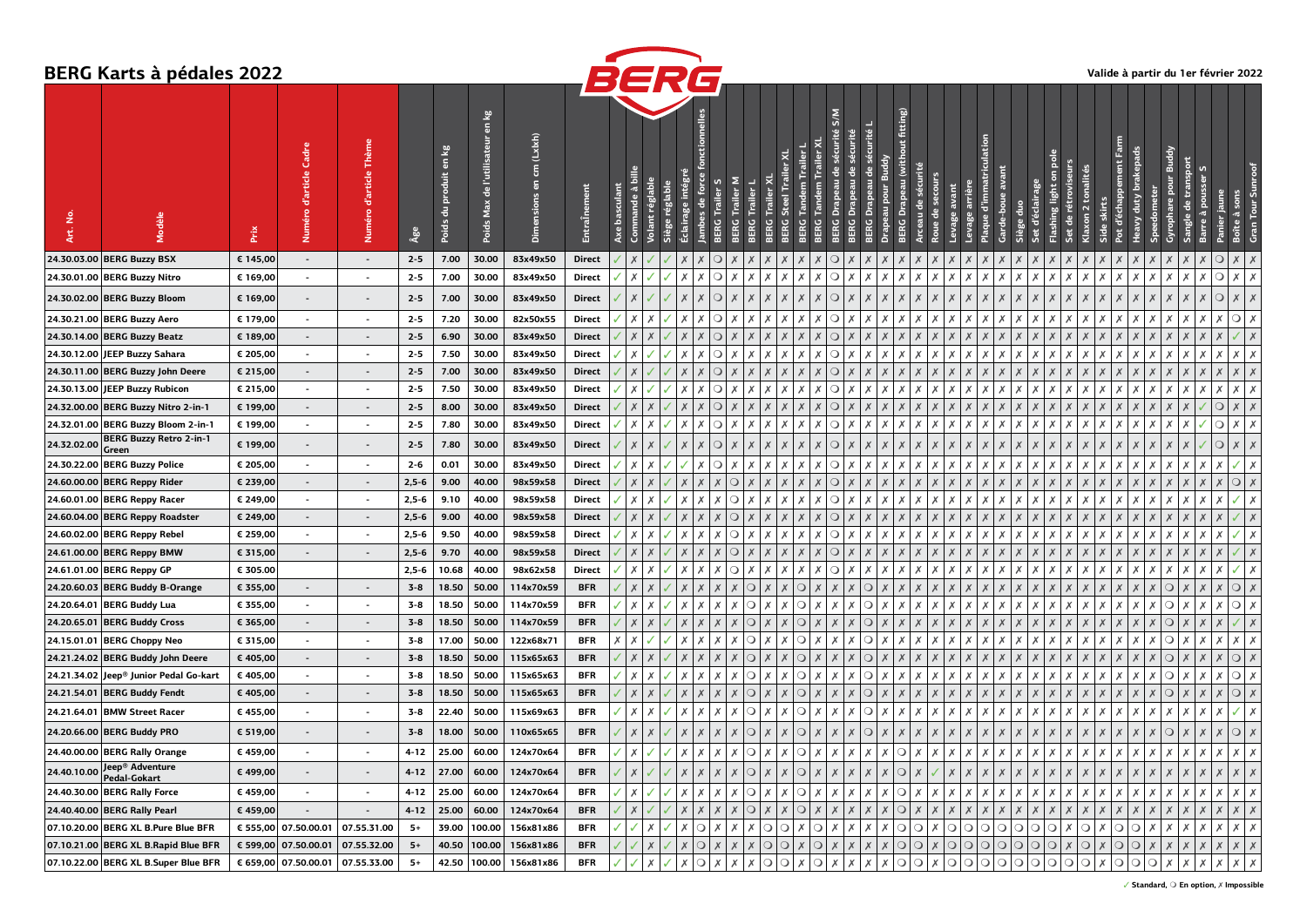## **BERG Karts à pédales 2022**



|             | DENU NAFIS A PEUAIES ZUZZ              |          |                      |                          |          |                                                   |                                              |                   |               | BERG                                 |                           |                           |         |                           |                  |                                |                                                                   |                                             |                                                             |                           |                                                              |                           |                                       |                                    |                                |                                                        |                           |                               | valige a partir du Ter fevrier 2022 |                             |                    |               |         |                                       |
|-------------|----------------------------------------|----------|----------------------|--------------------------|----------|---------------------------------------------------|----------------------------------------------|-------------------|---------------|--------------------------------------|---------------------------|---------------------------|---------|---------------------------|------------------|--------------------------------|-------------------------------------------------------------------|---------------------------------------------|-------------------------------------------------------------|---------------------------|--------------------------------------------------------------|---------------------------|---------------------------------------|------------------------------------|--------------------------------|--------------------------------------------------------|---------------------------|-------------------------------|-------------------------------------|-----------------------------|--------------------|---------------|---------|---------------------------------------|
| Ξ.<br>ξĖ    |                                        | Prix     | ු                    | Thème<br>d'article       | Age      | 鬯<br>$\overline{\epsilon}$<br>produit<br>Poids du | en kg<br>l'utilisateur<br>-e<br>Max<br>Poids | (Lxixh)<br>듦<br>ā | EntraÎne      | hasculant<br>ande<br>A <sub>xe</sub> | ۲Ē                        |                           |         | Σ                         | Trailer<br>irail | Trailer X<br><b>Steel</b><br>Ō | <b>Trailer</b> X<br>am Trailer<br><b>Tandem</b><br>Tand<br>E<br>ă | N/S<br>sécurité<br>음<br><b>Drapeau</b><br>g | sécurité<br>sécurité<br>음<br>Drapeau<br>Drapeau<br>ម្ល<br>پ | pour<br>useau             | fitting)<br>$\frac{1}{5}$<br>(with<br>Drapeau<br>4<br>큹<br>요 | 읭                         | avant<br>ge arriè                     | d'immatriculatior<br>$\frac{9}{2}$ | avant<br>boue<br>흠             | Ŀ                                                      | 윽                         | $\sim$                        | Farm                                |                             | ā                  | tran          |         | Tour Su<br>à                          |
|             | 24.30.03.00 BERG Buzzy BSX             | € 145,00 | $\sim$               | $\blacksquare$           | $2 - 5$  | 7.00                                              | 30.00                                        | 83x49x50          | <b>Direct</b> |                                      |                           |                           |         |                           |                  |                                |                                                                   | С                                           |                                                             |                           |                                                              |                           |                                       |                                    |                                |                                                        |                           |                               |                                     |                             |                    |               | $\circ$ | $\times$<br>X                         |
|             | 24.30.01.00 BERG Buzzy Nitro           | € 169,00 | $\sim$               | $\overline{\phantom{a}}$ | $2 - 5$  | 7.00                                              | 30.00                                        | 83x49x50          | Direct        | $\boldsymbol{\mathsf{x}}$            |                           |                           |         | O                         |                  |                                | Х<br>x                                                            | $\circ$                                     | X<br>x                                                      | x                         | Х<br>X                                                       | Х                         | Х<br>Х                                | Х                                  | X                              | $\times$<br>$\boldsymbol{\mathsf{x}}$                  | Х                         | X                             |                                     | Х                           | x                  | $\times$<br>X | $\circ$ | x<br>x                                |
|             | 24.30.02.00 BERG Buzzy Bloom           | € 169,00 | $\sim$               | $\blacksquare$           | $2 - 5$  | 7.00                                              | 30.00                                        | 83x49x50          | Direct        | $\boldsymbol{\mathsf{x}}$            |                           |                           |         | O                         |                  |                                |                                                                   | $\circ$                                     | X<br>X                                                      | X                         | X<br>X                                                       | X                         | $\times$<br>X                         |                                    | $\boldsymbol{\mathsf{x}}$      | $\boldsymbol{\mathsf{x}}$<br>$\boldsymbol{X}$          | $\boldsymbol{\mathsf{x}}$ |                               | $\boldsymbol{\mathsf{x}}$           | X                           |                    | X             | ◯       | X                                     |
|             | 24.30.21.00 BERG Buzzy Aero            | € 179,00 | $\sim$               | $\blacksquare$           | $2 - 5$  | 7.20                                              | 30.00                                        | 82x50x55          | Direct        | $\times$                             | Х                         |                           | х       | $\circ$                   |                  |                                |                                                                   | $\circ$                                     | Х<br>Х                                                      | x                         | Х                                                            | Х                         | х<br>Х                                | Х                                  |                                | $\times$<br>$\boldsymbol{\mathsf{x}}$                  | $\boldsymbol{\mathsf{x}}$ | X                             |                                     | х<br>Х                      | Х                  | χı            |         | $\circ$<br>Х                          |
|             | 24.30.14.00 BERG Buzzy Beatz           | € 189,00 | $\sim$               | $\sim$                   | $2 - 5$  | 6.90                                              | 30.00                                        | 83x49x50          | <b>Direct</b> | $\boldsymbol{\mathsf{x}}$            |                           |                           |         |                           |                  |                                |                                                                   | $\circ$                                     | $\boldsymbol{x}$                                            |                           | X<br>X                                                       | $\boldsymbol{X}$          | X                                     |                                    |                                | $\boldsymbol{X}$<br>$\boldsymbol{\mathsf{x}}$          | $\boldsymbol{\mathsf{x}}$ |                               |                                     |                             |                    |               |         |                                       |
|             | 24.30.12.00 JEEP Buzzy Sahara          | € 205,00 | $\sim$               | $\sim$                   | $2 - 5$  | 7.50                                              | 30.00                                        | 83x49x50          | Direct        | $\boldsymbol{\mathsf{x}}$            |                           |                           |         |                           |                  |                                |                                                                   | O                                           | x<br>x                                                      | X                         | Х<br>X                                                       | X                         | Х<br>Х                                |                                    |                                | $\boldsymbol{\mathsf{x}}$<br>$\boldsymbol{\mathsf{x}}$ | $\boldsymbol{\mathsf{x}}$ | X                             |                                     | x                           |                    |               |         | x<br>Х                                |
|             | 24.30.11.00 BERG Buzzy John Deere      | € 215,00 | $\sim$               | $\blacksquare$           | $2 - 5$  | 7.00                                              | 30.00                                        | 83x49x50          | <b>Direct</b> | $\boldsymbol{X}$                     |                           |                           |         |                           |                  |                                |                                                                   | $\circ$                                     | X<br>X                                                      |                           | $\times$<br>X                                                | X                         | $\boldsymbol{x}$<br>$\chi$            |                                    |                                | $\boldsymbol{X}$<br>$\boldsymbol{X}$                   | $\boldsymbol{\mathsf{x}}$ |                               |                                     |                             |                    |               |         |                                       |
|             | 24.30.13.00 JEEP Buzzy Rubicon         | € 215,00 | $\sim$               | $\overline{\phantom{a}}$ | $2 - 5$  | 7.50                                              | 30.00                                        | 83x49x50          | Direct        | $\boldsymbol{\mathsf{x}}$            |                           |                           |         | O<br>x                    |                  |                                | x<br>Х                                                            | $\circ$                                     | х<br>х                                                      | х                         | Х<br>х                                                       | Х                         | Х<br>Х                                | Х                                  | Х<br>х                         | Х<br>х                                                 | Х                         | х                             |                                     | х<br>Х                      | Х                  | Х<br>X        |         | $\times$<br>X                         |
|             | 24.32.00.00 BERG Buzzy Nitro 2-in-1    | € 199,00 | $\sim$               | $\sim$                   | $2 - 5$  | 8.00                                              | 30.00                                        | 83x49x50          | <b>Direct</b> | $\boldsymbol{\mathsf{x}}$            |                           |                           |         | $\circ$                   |                  |                                |                                                                   | $\circ$                                     | X<br>$\boldsymbol{x}$                                       | X                         | $\times$<br>X                                                | $\chi$                    | X<br>$\times$                         |                                    |                                | $\boldsymbol{\mathsf{x}}$<br>$\boldsymbol{X}$          | $\boldsymbol{\mathsf{x}}$ |                               |                                     |                             |                    |               | $\circ$ | $X$ $\mid$ $X$                        |
|             | 24.32.01.00 BERG Buzzy Bloom 2-in-1    | € 199,00 | $\sim$               | $\blacksquare$           | $2 - 5$  | 7.80                                              | 30.00                                        | 83x49x50          | Direct        | $\boldsymbol{\mathsf{x}}$            |                           |                           |         |                           |                  |                                | $\boldsymbol{x}$                                                  | $\circ$                                     | Х<br>X                                                      | x                         | X<br>X                                                       | $\boldsymbol{\mathsf{x}}$ | X<br>Х                                | Х                                  |                                | $\boldsymbol{\mathsf{x}}$<br>$\boldsymbol{\mathsf{x}}$ | $\boldsymbol{\mathsf{x}}$ |                               |                                     | $\boldsymbol{\mathsf{x}}$   |                    |               | $\circ$ | x                                     |
| 24.32.02.00 | BERG Buzzy Retro 2-in-1<br>Green       | € 199,00 | $\sim$               | $\blacksquare$           | $2 - 5$  | 7.80                                              | 30.00                                        | 83x49x50          | Direct        | $\times$                             | $\mathsf{X}$              | $\boldsymbol{\mathsf{x}}$ |         | $\circ$                   |                  |                                | $\boldsymbol{x}$                                                  | $\circ$                                     | $\boldsymbol{x}$<br>Х                                       | $\boldsymbol{x}$          | X<br>X                                                       | Х                         | Х<br>$\times$                         | $\times$                           |                                | $\boldsymbol{X}$<br>$\boldsymbol{X}$                   | $\boldsymbol{\mathsf{x}}$ | X                             |                                     | Х                           |                    |               | $\circ$ | $X$   $X$                             |
|             | 24.30.22.00 BERG Buzzy Police          | € 205,00 | $\blacksquare$       | $\blacksquare$           | $2 - 6$  | 0.01                                              | 30.00                                        | 83x49x50          | Direct        | $\boldsymbol{x}$                     |                           |                           |         |                           |                  |                                |                                                                   | $\circ$                                     | X<br>X                                                      |                           | X                                                            | X                         |                                       |                                    |                                | $\boldsymbol{\mathsf{x}}$<br>$\boldsymbol{\mathsf{x}}$ | $\boldsymbol{\mathsf{x}}$ |                               |                                     |                             |                    |               |         |                                       |
|             | 24.60.00.00 BERG Reppy Rider           | € 239,00 | $\sim$               | $\overline{\phantom{a}}$ | $2,5-6$  | 9.00                                              | 40.00                                        | 98x59x58          | <b>Direct</b> | $\boldsymbol{X}$                     |                           |                           |         |                           |                  |                                |                                                                   | $\circ$                                     | X                                                           |                           | X<br>X                                                       | X                         | $\boldsymbol{x}$                      |                                    |                                |                                                        | $\boldsymbol{\mathsf{x}}$ |                               |                                     |                             |                    |               |         | $\circ$                               |
|             | 24.60.01.00 BERG Reppy Racer           | € 249,00 | $\sim$               | $\blacksquare$           | $2,5-6$  | 9.10                                              | 40.00                                        | 98x59x58          | Direct        | Х                                    |                           |                           |         |                           |                  |                                |                                                                   | $\circ$                                     | х<br>х                                                      |                           | X                                                            | X                         | Х<br>Х                                |                                    |                                | Х<br>х                                                 | $\boldsymbol{\mathsf{x}}$ |                               |                                     | X                           |                    |               |         |                                       |
|             | 24.60.04.00 BERG Reppy Roadster        | € 249,00 | $\sim$               | $\sim$                   | $2,5-6$  | 9.00                                              | 40.00                                        | 98x59x58          | Direct        | $\boldsymbol{\mathsf{x}}$            |                           |                           |         | $\Omega$                  |                  |                                |                                                                   | $\circ$                                     | $\boldsymbol{x}$<br>$\boldsymbol{x}$                        | X                         | $\times$<br>X                                                | X                         | X<br>X                                | $\times$                           | $\boldsymbol{X}$               | $\times$<br>$\boldsymbol{\mathsf{x}}$                  | $\boldsymbol{\mathsf{x}}$ | $\boldsymbol{\mathsf{x}}$     | $\boldsymbol{\mathsf{x}}$           | $\boldsymbol{\mathsf{x}}$   |                    | X             |         | $\boldsymbol{\mathsf{x}}$             |
|             | 24.60.02.00 BERG Reppy Rebel           | € 259,00 | $\sim$               | $\blacksquare$           | $2,5-6$  | 9.50                                              | 40.00                                        | 98x59x58          | <b>Direct</b> | $\boldsymbol{\mathsf{x}}$            |                           |                           |         |                           | $\Omega$         |                                |                                                                   | O                                           | X<br>X                                                      | X                         | X<br>X                                                       | X                         | x<br>X                                |                                    |                                | $\boldsymbol{\mathsf{x}}$<br>Х                         | $\boldsymbol{\mathsf{x}}$ | $\boldsymbol{\mathsf{x}}$     |                                     | $\boldsymbol{\mathsf{x}}$   |                    |               |         | X                                     |
|             | 24.61.00.00 BERG Reppy BMW             | € 315,00 | $\sim$               | $\sim$                   | $2,5-6$  | 9.70                                              | 40.00                                        | 98x59x58          | <b>Direct</b> | $\boldsymbol{X}$                     |                           |                           |         |                           |                  |                                |                                                                   | C                                           | X<br>X                                                      | $\boldsymbol{\mathsf{x}}$ | $\boldsymbol{x}$<br>X                                        | $\boldsymbol{X}$          | $\boldsymbol{x}$<br>$\boldsymbol{x}$  |                                    |                                |                                                        | $\boldsymbol{\mathsf{x}}$ |                               |                                     | $\boldsymbol{\mathsf{x}}$   |                    |               |         |                                       |
|             | 24.61.01.00 BERG Reppy GP              | € 305.00 |                      |                          | $2,5-6$  | 10.68                                             | 40.00                                        | 98x62x58          | Direct        | X                                    |                           |                           |         |                           | $\Omega$         |                                |                                                                   | $\circ$                                     | х<br>х                                                      | х                         | Х<br>х                                                       | Х                         | х<br>х                                |                                    |                                | х<br>Х                                                 | X                         | $\boldsymbol{\mathsf{x}}$     |                                     | х<br>х                      | x                  | x             |         | х                                     |
|             | 24.20.60.03 BERG Buddy B-Orange        | € 355,00 | $\sim$               | $\overline{\phantom{a}}$ | $3 - 8$  | 18.50                                             | 50.00                                        | 114x70x59         | <b>BFR</b>    | $\boldsymbol{\mathsf{x}}$            |                           |                           |         |                           | $\circ$          |                                | $\circ$                                                           | X                                           | $\circ$<br>X                                                |                           | $\boldsymbol{x}$<br>X                                        | $\boldsymbol{X}$          | $\chi$                                |                                    |                                | $\boldsymbol{\mathsf{x}}$                              | $\boldsymbol{\mathsf{x}}$ |                               |                                     |                             | $\circ$            | $\mathsf{X}$  |         | $\bigcirc$   $x$                      |
|             | 24.20.64.01 BERG Buddy Lua             | € 355,00 | $\sim$               | $\overline{\phantom{a}}$ | $3 - 8$  | 18.50                                             | 50.00                                        | 114x70x59         | <b>BFR</b>    | $\boldsymbol{\mathsf{x}}$            | $\boldsymbol{\mathsf{x}}$ |                           |         |                           | ∩                |                                | $\circ$                                                           | X                                           | x<br>$\circ$                                                | X                         | Х<br>X                                                       | Х                         | x<br>Х                                | X                                  |                                | $\boldsymbol{\mathsf{x}}$<br>$\boldsymbol{\mathsf{x}}$ | $\boldsymbol{\mathsf{x}}$ |                               |                                     |                             | $\left( \ \right)$ |               |         | $Q \mid x$                            |
|             | 24.20.65.01 BERG Buddy Cross           | € 365,00 | $\blacksquare$       | $\blacksquare$           | $3 - 8$  | 18.50                                             | 50.00                                        | 114x70x59         | <b>BFR</b>    |                                      |                           |                           |         |                           |                  |                                | ∋                                                                 |                                             | $\Omega$                                                    |                           |                                                              |                           |                                       |                                    |                                |                                                        |                           |                               |                                     |                             | $\Omega$           |               |         |                                       |
|             | 24.15.01.01 BERG Choppy Neo            | € 315,00 | $\sim$               | $\sim$                   | $3 - 8$  | 17.00                                             | 50.00                                        | 122x68x71         | <b>BFR</b>    | X<br>Х                               |                           |                           |         |                           | $\circ$          |                                | $\circ$<br>Х                                                      | Х                                           | $\circ$<br>х                                                | x                         | Х                                                            | X                         | Х<br>Х                                | Х                                  |                                | Х<br>х                                                 | $\boldsymbol{\mathsf{x}}$ | х                             |                                     |                             | $\circ$            | $\chi$<br>Х   |         |                                       |
|             | 24.21.24.02 BERG Buddy John Deere      | € 405,00 | $\sim$               | $\sim$                   | $3 - 8$  | 18.50                                             | 50.00                                        | 115x65x63         | <b>BFR</b>    | $\boldsymbol{\mathsf{x}}$            |                           |                           |         |                           | ∩                |                                | $\circ$                                                           |                                             | $\boldsymbol{x}$<br>$\circ$                                 |                           | X<br>X                                                       | X                         |                                       |                                    |                                |                                                        |                           |                               |                                     |                             | ∩                  |               |         | $Q \mid x$                            |
|             | 24.21.34.02 Jeep® Junior Pedal Go-kart | € 405,00 | $\blacksquare$       | $\blacksquare$           | $3 - 8$  | 18.50                                             | 50.00                                        | 115x65x63         | <b>BFR</b>    | $\boldsymbol{\mathsf{x}}$            | $\boldsymbol{\mathsf{x}}$ |                           |         |                           | ∩                |                                | O                                                                 | X                                           | x<br>$\circ$                                                | X                         | X<br>X                                                       | X                         | Х<br>X                                | X                                  |                                | $\boldsymbol{\mathsf{x}}$<br>$\boldsymbol{\mathsf{x}}$ | $\boldsymbol{\mathsf{x}}$ | X<br>X                        |                                     |                             |                    |               |         | о∣<br>Х                               |
|             | 24.21.54.01 BERG Buddy Fendt           | € 405,00 | $\sim$               | $\overline{\phantom{a}}$ | $3 - 8$  | 18.50                                             | 50.00                                        | 115x65x63         | <b>BFR</b>    | $\times$                             | $\times$                  | $\boldsymbol{\mathsf{x}}$ |         |                           | $\circ$          |                                | $\circ$                                                           | X                                           | Х<br>$\circ$                                                | X                         | $\boldsymbol{X}$<br>$\times$                                 | Х                         | Х<br>Х                                | $\times$                           |                                | $\boldsymbol{\mathsf{x}}$<br>$\boldsymbol{X}$          | $\boldsymbol{\mathsf{x}}$ | $\boldsymbol{X}$<br>$\lambda$ |                                     | $\boldsymbol{\mathsf{x}}$   | Q[X]               |               |         | $\bigcirc$   X                        |
|             | 24.21.64.01 BMW Street Racer           | € 455,00 | $\sim$               | $\sim$                   | $3 - 8$  | 22.40                                             | 50.00                                        | 115x69x63         | <b>BFR</b>    |                                      | $X$ $X$                   | $\boldsymbol{\mathsf{x}}$ | Х       | x                         | $\circ$          |                                | $\overline{O}$<br>$\boldsymbol{\mathsf{x}}$                       | x                                           | χI<br>$\circ$                                               | x                         | Х<br>Х                                                       | Х                         | Х<br>Х                                | Х                                  | $\boldsymbol{\mathsf{x}}$<br>Х | Х<br>$\boldsymbol{x}$                                  | Х                         | X<br>X                        |                                     | х<br>X                      | x                  |               |         | Х                                     |
|             | 24.20.66.00 BERG Buddy PRO             | € 519,00 | $\sim$               | $\blacksquare$           | $3 - 8$  | 18.00                                             | 50.00                                        | 110x65x65         | <b>BFR</b>    | $\boldsymbol{X}$                     | $\mathsf{X}$              | $\boldsymbol{\mathsf{x}}$ | X       |                           | $\circ$          | $\boldsymbol{x}$               | $\circ$<br>$\boldsymbol{X}$                                       | $\boldsymbol{x}$                            | $\circ$<br>X                                                | $\chi$                    | $\chi$<br>X                                                  | Х                         | $\times$<br>$\boldsymbol{\mathsf{x}}$ | $\boldsymbol{x}$                   | $\boldsymbol{X}$               | $\boldsymbol{X}$<br>$\boldsymbol{\mathsf{x}}$          | $\boldsymbol{\mathsf{x}}$ | $\boldsymbol{X}$              | $\boldsymbol{\mathsf{x}}$           | $\boldsymbol{\mathsf{x}}$   | $\Omega$           |               |         | QX                                    |
|             | 24.40.00.00 BERG Rally Orange          | € 459,00 | $\sim$               | $\overline{\phantom{a}}$ | $4 - 12$ | 25.00                                             | 60.00                                        | 124x70x64         | <b>BFR</b>    | Х                                    |                           |                           | Х       | x                         | $\circ$          |                                | $\circ$<br>Х                                                      | Х                                           | Х<br>Х                                                      | Х                         | $\circ$<br>Х                                                 | Х                         | Х<br>Х                                | Х                                  | Х<br>Х                         | Х<br>Х                                                 | Х                         | Х<br>х                        | x                                   | Х<br>Х                      | Х                  | $\times$<br>X |         | $\times$                              |
| 24.40.10.00 | Jeep® Adventure<br>Pedal-Gokart        | € 499,00 | $\sim$               | $\blacksquare$           | $4 - 12$ | 27.00                                             | 60.00                                        | 124x70x64         | <b>BFR</b>    | $\boldsymbol{\mathsf{x}}$            |                           |                           |         |                           | $\Omega$         |                                | $\Omega$                                                          |                                             |                                                             |                           | $\Omega$                                                     |                           |                                       |                                    |                                |                                                        |                           |                               |                                     |                             |                    |               |         |                                       |
|             | 24.40.30.00 BERG Rally Force           | € 459,00 | $\sim$               | $\sim$                   | 4-12     | 25.00                                             | 60.00                                        | 124x70x64         | <b>BFR</b>    | $\chi$                               |                           |                           |         |                           | ∩                |                                | $\circ$                                                           | X                                           | x<br>X                                                      | x                         | O<br>X                                                       | X                         | x<br>X                                |                                    |                                | $\boldsymbol{\mathsf{x}}$<br>$\boldsymbol{\mathsf{x}}$ | $\boldsymbol{\mathsf{x}}$ | x                             |                                     | $\boldsymbol{\mathsf{x}}$   |                    |               |         |                                       |
|             | 24.40.40.00 BERG Rally Pearl           | € 459,00 | $\sim$               | $\blacksquare$           | $4 - 12$ | 25.00                                             | 60.00                                        | 124x70x64         | <b>BFR</b>    | $\boldsymbol{X}$                     |                           |                           |         |                           | O                |                                | O                                                                 |                                             |                                                             |                           | $\circ$<br>X                                                 | X                         | X<br>X                                |                                    |                                | $\boldsymbol{\mathsf{x}}$                              | X                         |                               |                                     |                             |                    |               |         |                                       |
|             | 07.10.20.00 BERG XL B.Pure Blue BFR    |          | € 555,00 07.50.00.01 | 07.55.31.00              | $5+$     | 39.00                                             | 100.00                                       | 156x81x86         | <b>BFR</b>    |                                      | $\boldsymbol{\mathsf{x}}$ |                           | $\circ$ |                           |                  | $\circ$<br>$\circ$             | $\circ$<br>x                                                      | x                                           | x<br>x                                                      | X                         | $\circ$<br>$\circ$                                           | Х                         | $\circ$<br>$\circ$                    | $\circ$                            | $\circ$<br>$\circ$             | $\circ$<br>$\circ$                                     | $\boldsymbol{\mathsf{x}}$ | $\circ$<br>X                  | $\circ$                             | 1 Q<br>$\boldsymbol{X}$     |                    |               |         | $X$   $X$                             |
|             | 07.10.21.00 BERG XL B.Rapid Blue BFR   |          | € 599,00 07.50.00.01 | 07.55.32.00              | $5+$     | 40.50                                             | 100.00                                       | 156x81x86         | <b>BFR</b>    |                                      | $\boldsymbol{\mathsf{x}}$ | $\boldsymbol{\mathsf{x}}$ | $\circ$ | $\boldsymbol{\mathsf{x}}$ | $\boldsymbol{x}$ | $\circ$<br>$\circ$             | $\circ$<br>$\boldsymbol{x}$                                       | X                                           | X<br>X                                                      | X                         | $\circ$<br>$\circ$                                           | $\chi$                    | $\bigcirc$<br>$\circ$                 | $\circ$                            | $\circ$<br>$\circ$             | $\bigcirc$<br>$\bigcirc$                               | $\overline{X}$            | $\bigcirc$<br>$\chi$          | $\circ$                             | $\circ$<br>$\boldsymbol{X}$ | $\chi$             | $\times$      |         | $\times$<br>$\boldsymbol{\mathsf{x}}$ |
|             | 07.10.22.00 BERG XL B.Super Blue BFR   |          | € 659,00 07.50.00.01 | 07.55.33.00              | $5+$     | 42.50                                             | 100.00                                       | 156x81x86         | <b>BFR</b>    |                                      | $\boldsymbol{\mathsf{x}}$ | X                         | $\circ$ | Х                         | $\times$         | $\circ$<br>$\circ$             | Х<br>$\circ$                                                      | х                                           | Х<br>Х                                                      | Х                         | $\circ$<br>$\circ$                                           | Х                         | $\circ$<br>$\circ$                    | $\circ$                            | $\circ$<br>$\circ$             | $\circ$<br>$\circ$                                     | $\circ$                   | $Q \times$                    | $\circ$                             | $\circ$ $\circ$             | Х                  | Х             |         | Х                                     |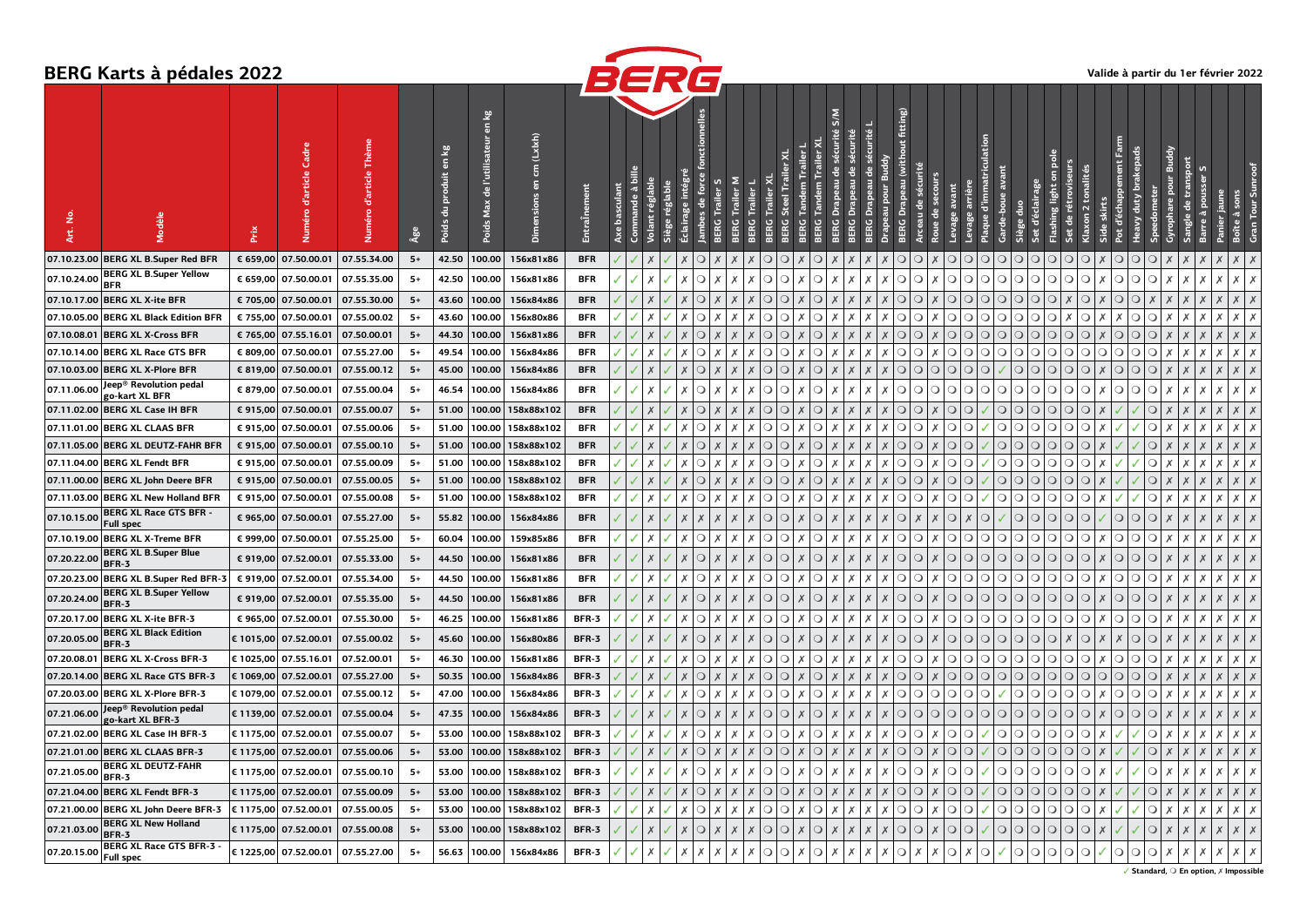|             | <b>BERG Karts à pédales 2022</b>              |           |                        |                                   |       |                                   |                                             |                                                 |              | BERG                    |                  |                           |                           |                                               |                           |                                   |                         |                       |                       |                |                           |                  |                           |                    |                          |              |                               |                                      |                             |                                      |                           |                                             | Valide à partir du 1er février 2022 |
|-------------|-----------------------------------------------|-----------|------------------------|-----------------------------------|-------|-----------------------------------|---------------------------------------------|-------------------------------------------------|--------------|-------------------------|------------------|---------------------------|---------------------------|-----------------------------------------------|---------------------------|-----------------------------------|-------------------------|-----------------------|-----------------------|----------------|---------------------------|------------------|---------------------------|--------------------|--------------------------|--------------|-------------------------------|--------------------------------------|-----------------------------|--------------------------------------|---------------------------|---------------------------------------------|-------------------------------------|
| <u>ي</u>    |                                               | Prix      | Cadre<br>d'article     |                                   | Âge   | en kg<br>oduit<br>ē<br>킁<br>Poids | en kg<br>l'utilisateur<br>음<br>Max<br>Poids | (Lxkh)<br>$\overline{5}$<br>$\overline{a}$<br>高 | Ē            | $\frac{1}{5}$<br>à<br>ិ |                  | intégr                    |                           |                                               |                           |                                   |                         | S/M                   |                       |                | fitting)                  |                  | arriè                     | d'immatricu<br>gue | avant<br>rde-boue        | et d'éclair. | rétrovis<br>ashing light<br>음 | $\overline{2}$                       | Ę<br>d'éct                  |                                      |                           |                                             |                                     |
|             | 07.10.23.00 BERG XL B.Super Red BFR           | € 659,00  | 07.50.00.01            | 07.55.34.00                       | $5+$  | 42.50                             | 100.00                                      | 156x81x86                                       | <b>BFR</b>   |                         |                  |                           | $\circ$                   |                                               |                           |                                   |                         |                       |                       |                | G<br>Q                    |                  | $\Omega$<br>G             | O                  | $\circ$<br>$\circ$       | $\circ$      | $\circ$<br>$\circ$            | $\circ$                              | $\circ$<br>$\circ$          | $\circ$                              |                           |                                             |                                     |
| 07.10.24.00 | <b>BERG XL B.Super Yellow</b><br><b>BFR</b>   |           | € 659,00 07.50.00.01   | 07.55.35.00                       | $5+$  | 42.50                             | 100.00                                      | 156x81x86                                       | <b>BFR</b>   |                         |                  | Х                         | $\circ$                   |                                               |                           | ∩<br>∩                            | ∩                       |                       |                       |                | $\circ$<br>$\circ$        | х                | $\circ$<br>$\circ$        | $\circ$            | $\circ$<br>$\circ$       | $\circ$      | $\circ$<br>$\circ$            | $\circ$                              | $\circ$<br>$\circ$          | $\circ$<br>Х                         | х                         |                                             | $X$   $X$                           |
|             | 07.10.17.00 BERG XL X-ite BFR                 | € 705,00  | 07.50.00.01            | 07.55.30.00                       | $5+$  | 43.60                             | 100.00                                      | 156x84x86                                       | <b>BFR</b>   |                         |                  |                           | C                         |                                               |                           |                                   |                         |                       |                       |                | G<br>Q                    |                  | $\Omega$<br>$\circ$       | $\Omega$           | $\Omega$<br>$\Omega$     | $\Omega$     | $\circ$                       | $\circ$                              | $\circ$<br>$\circ$          |                                      |                           |                                             |                                     |
|             | 07.10.05.00 BERG XL Black Edition BFR         |           | € 755,00 07.50.00.01   | 07.55.00.02                       | $5+$  | 43.60                             | 100.00                                      | 156x80x86                                       | <b>BFR</b>   |                         |                  |                           | $\circ$                   | х                                             |                           | $\Omega$<br>$\Omega$              | O<br>х                  | $\times$              |                       |                | $\circ$<br>$\overline{Q}$ | х                | $\circ$<br>$\circ$        | $\circ$            | $\circ$<br>$\circ$       | $\circ$      | $\circ$<br>$\chi$             | $\circ$                              | $\circ$<br>X                | $\circ$<br>$\chi$                    | $\mathsf{X}$              |                                             | $X$   $X$                           |
|             | 07.10.08.01 BERG XL X-Cross BFR               | € 765.00  | 07.55.16.01            | 07.50.00.01                       | $5+$  | 44.30                             | 100.00                                      | 156x81x86                                       | <b>BFR</b>   |                         |                  |                           | $\circ$                   |                                               |                           | O<br>$\circ$                      | $\circ$                 |                       |                       |                | $\circ$<br>$\circ$        | X                | $\overline{O}$<br>$\circ$ | $\circ$            | $\circ$<br>$\circ$       | $\circ$      | $\circ$<br>$\circ$            | $\circ$                              | $\circ$<br>$\circ$          | $\circ$                              |                           |                                             | $X$   $X$                           |
|             | 07.10.14.00 BERG XL Race GTS BFR              | € 809,00  | 07.50.00.01            | 07.55.27.00                       | - 5+  | 49.54                             | 100.00                                      | 156x84x86                                       | <b>BFR</b>   |                         |                  | х                         | $\circ$                   | x                                             |                           | Ω<br>O                            | O                       |                       |                       |                | $\circ$<br>$\circ$        | x                | $\circ$<br>$\circ$        | $\circ$            | $\circ$<br>$\circ$       | $\circ$      | $\circ$<br>$\circ$            | $\circ$<br>$\circ$                   | $\circ$<br>$\circ$          | $\circ$<br>X                         | $\boldsymbol{\mathsf{x}}$ |                                             | $X$   $X$                           |
|             | 07.10.03.00 BERG XL X-Plore BFR               |           | € 819,00 07.50.00.01   | 07.55.00.12                       | $5+$  | 45.00                             | 100.00                                      | 156x84x86                                       | <b>BFR</b>   |                         |                  |                           | $\circ$                   | $\boldsymbol{\mathsf{x}}$                     |                           | $\circ$<br>$\cup$                 |                         | Q[X X]                |                       |                | $\circ$<br>$\circ$        | $\circ$          | $\circ$ $\circ$           | $\circ$            | $\bigcirc$               | $\bigcirc$   | O                             | $\circ$<br>$\times$                  | $\circ$<br>$\circ$          | $\circ$<br>$\times$                  | $\mathsf{X}$              |                                             | $X$ $X$                             |
| 07.11.06.00 | Jeep® Revolution pedal<br>go-kart XL BFR      |           | € 879,00 07.50.00.01   | 07.55.00.04                       | $5+$  | 46.54                             | 100.00                                      | 156x84x86                                       | <b>BFR</b>   |                         |                  | $\boldsymbol{\mathsf{x}}$ | $\circ$                   | Х<br>Х                                        | X                         | $\circ$<br>$\circ$                | l X<br>$\circ$          | $\times$              | Х<br>Х                | x              | $\circ$<br>$\circ$        | $\circ$          | $\circ$<br>$\circ$        | $\circ$            | $\circ$<br>$\circ$       | $\circ$      | $\circ$<br>$\circ$            | $\circ$<br>$\boldsymbol{\mathsf{x}}$ | $\circ$<br>$\circ$          | $\circ$<br>Х                         | Х                         |                                             | $x \mid x$                          |
|             | 07.11.02.00 BERG XL Case IH BFR               | € 915.00  | 07.50.00.01            | 07.55.00.07                       | $5+$  | 51.00                             | 100.00                                      | 158x88x102                                      | <b>BFR</b>   |                         |                  |                           | $\circ$                   |                                               |                           | $\circ$<br>$\circ$                | $\Omega$                |                       |                       |                | $\circ$<br>$\circ$        | X                | $\circ$<br>$\circ$        |                    | $\circ$<br>$\circ$       | $\circ$      | $\circ$<br>$\circ$            | $\circ$                              |                             | $\circ$<br>$\boldsymbol{\mathsf{x}}$ |                           |                                             | $X$   $X$                           |
|             | 07.11.01.00 BERG XL CLAAS BFR                 | € 915,00  | 07.50.00.01            | 07.55.00.06                       | $5+$  | 51.00                             | 100.00                                      | 158x88x102                                      | <b>BFR</b>   |                         |                  | Х                         | Ω                         | X<br>х                                        | $\boldsymbol{\mathsf{x}}$ | O<br>$\circ$                      | х                       |                       |                       |                | $\circ$<br>Q              | X                | $\circ$<br>$\circ$        |                    | $\circ$<br>$\circ$       | $\bigcirc$   | $\circ$<br>$\circ$            | $\circ$                              |                             | $\circ$<br>$\boldsymbol{\mathsf{x}}$ | Х                         |                                             | $X$   $X$                           |
|             | 07.11.05.00 BERG XL DEUTZ-FAHR BFR            | € 915,00  | 07.50.00.01            | 07.55.00.10                       | $5+$  | 51.00                             | 100.00                                      | 158x88x102                                      | <b>BFR</b>   |                         |                  |                           | $\circ$                   | $\boldsymbol{\mathsf{x}}$                     |                           | $\circ$<br>$\vert$ O              | $\Omega$<br>ΙX          | $X$   $X$             |                       |                | $\circ$<br>$\circ$        | x                | $\circ$<br>$\circ$        |                    | $\circ$<br>$\bigcirc$    | $\bigcirc$   | $\bigcirc$<br>$\bigcirc$      | $\circ$                              |                             | $\circ$<br>$\times$                  | $\overline{\mathsf{x}}$   |                                             | $X$   $X$                           |
|             | 07.11.04.00 BERG XL Fendt BFR                 |           | € 915,00 07.50.00.01   | 07.55.00.09                       | $5+$  | 51.00                             | 100.00                                      | 158x88x102                                      | <b>BFR</b>   |                         |                  | X                         | $\circ$                   | X<br>X                                        |                           | $\circ$<br>$\circ$                | l X<br>$\circ$          | $\times$              | $\boldsymbol{x}$      |                | $\circ$<br>$\circ$        | x                | $\circ$<br>$\circ$        |                    | $\bigcirc$<br>$\circ$    | $\circ$      | $\circ$<br>$\circ$            | $\circ$                              |                             | $\circ$<br>$\boldsymbol{x}$          | $\boldsymbol{\mathsf{x}}$ |                                             |                                     |
|             | 07.11.00.00 BERG XL John Deere BFR            |           | € 915,00 07.50.00.01   | 07.55.00.05                       | $5+$  | 51.00                             | 100.00                                      | 158x88x102                                      | <b>BFR</b>   |                         |                  |                           | $\circ$                   |                                               |                           | $\circ$<br>$\circ$                | $\circ$                 |                       |                       |                | $\circ$<br>$\circ$        | X                | $\circ$<br>$\circ$        |                    | $\circ$<br>$\circ$       | $\circ$      | $\circ$<br>$\circ$            | $\circ$                              |                             | $\circ$<br>$\boldsymbol{X}$          | $\boldsymbol{\mathsf{x}}$ |                                             | $X$   $X$                           |
|             | 07.11.03.00 BERG XL New Holland BFR           |           | € 915,00 07.50.00.01   | 07.55.00.08                       | -5+   | 51.00                             | 100.00                                      | 158x88x102                                      | <b>BFR</b>   |                         |                  | Х                         | $\circ$                   | X<br>x                                        |                           | $\circ$                           | QX<br>$\circ$           |                       | $X$ $X$               |                | $\circ$<br>$\circ$        | Х                | $\circ$<br>$\circ$        |                    | $\circ$<br>$\circ$       | $\bigcirc$   | $\circ$<br>$\circ$            | $\circ$                              |                             | $\circ$<br>X                         | $\boldsymbol{\mathsf{x}}$ |                                             |                                     |
| 07.10.15.00 | BERG XL Race GTS BFR -<br><b>Full spec</b>    |           | € 965,00 07.50.00.01   | 07.55.27.00                       | $5+$  | 55.82                             | 100.00                                      | 156x84x86                                       | <b>BFR</b>   |                         | $\boldsymbol{X}$ | $\boldsymbol{X}$          | $\boldsymbol{\mathsf{x}}$ | $\boldsymbol{X}$<br>X                         | X                         | $\circ$<br>$\overline{\circ}$     | $\circ$<br>$\mathsf{X}$ |                       |                       |                | $\circ$<br>$\chi$         | x                | $\circ$<br>$\chi$         | $\circ$            | $\circ$                  | $\circ$      | $\circ$<br>$\circ$            | $\circ$                              | $\circ$<br>$\circ$          | $\circ$<br>$\times$                  | $\times$                  |                                             | $X$   $X$                           |
|             | 07.10.19.00 BERG XL X-Treme BFR               |           | € 999,00 07.50.00.01   | 07.55.25.00                       | $5+$  | 60.04                             | 100.00                                      | 159x85x86                                       | <b>BFR</b>   |                         | $\boldsymbol{x}$ | Х                         | $\circ$                   | $\boldsymbol{X}$<br>$\mathsf{X}$              | X                         | Q Q X                             | $\Omega$                |                       | $x \mid x \mid$<br>X  | х              | O O                       | x                | $\circ$<br>$\circ$        | $\circ$            | $\bigcirc$<br>$\circ$    | $\circ$      | $\circ$<br>$\circ$            | $\circ$<br>$\boldsymbol{\mathsf{x}}$ | QQ                          | $\circ$<br>$\boldsymbol{X}$          | X                         |                                             | $X$   $X$                           |
| 07.20.22.00 | <b>BERG XL B.Super Blue</b><br><b>BFR-3</b>   |           | € 919,00 07.52.00.01   | 07.55.33.00                       | $5+$  | 44.50                             | 100.00                                      | 156x81x86                                       | <b>BFR</b>   |                         |                  | $\boldsymbol{X}$          | $\circ$                   | $\boldsymbol{X}$<br>$\boldsymbol{\mathsf{x}}$ |                           | $\circ$<br>$\circ$                | $\Omega$                |                       |                       |                | $\circ$<br>$\circ$        | X                | $\overline{C}$<br>$\circ$ | $\circ$            | $\circ$<br>$\circ$       | $\circ$      | $\circ$<br>$\circ$            | $\circ$<br>$\boldsymbol{X}$          | $\circ$<br>$\circ$          | $\circ$<br>$\chi$                    | $\chi$                    |                                             | $X$   $X$                           |
|             | 07.20.23.00 BERG XL B.Super Red BFR-3         | € 919,00  | 07.52.00.01            | 07.55.34.00                       | $5+$  | 44.50                             | 100.00                                      | 156x81x86                                       | <b>BFR</b>   |                         |                  | X                         | $\circ$                   | $\boldsymbol{\mathsf{x}}$<br>X                |                           | О<br>$\circ$                      |                         |                       | Х                     |                | $\circ$<br>O              | x                | $\circ$<br>$\circ$        | $\circ$            | $\circ$<br>$\circ$       | $\circ$      | $\circ$<br>$\circ$            | $\circ$                              | $\circ$<br>$\circ$          | $\circ$<br>X                         | Х                         | $\boldsymbol{\mathsf{x}}$                   |                                     |
| 07.20.24.00 | <b>BERG XL B.Super Yellow</b><br><b>BFR-3</b> |           | € 919,00 07.52.00.01   | 07.55.35.00                       | $5+$  | 44.50                             | 100.00                                      | 156x81x86                                       | <b>BFR</b>   |                         |                  |                           | $\circ$                   |                                               |                           | $\circ$<br>O                      | $\Omega$                |                       |                       |                | $\circ$<br>$\bigcirc$     | $\boldsymbol{x}$ | $\circ$<br>$\circ$        | $\circ$            | $\circ$<br>$\circ$       | $\circ$      | $\circ$<br>$\circ$            | $\circ$                              | $\circ$<br>$\circ$          | $\circ$<br>$\boldsymbol{\mathsf{x}}$ |                           |                                             |                                     |
|             | 07.20.17.00 BERG XL X-ite BFR-3               |           | € 965,00 07.52.00.01   | 07.55.30.00                       | $5+$  | 46.25                             | 100.00                                      | 156x81x86                                       | BFR-3        |                         | Х                | $\times$                  | $\circ$                   | Х<br>Х                                        | Х                         | $\circ$<br>$\cup$                 |                         | $X \mid X$<br>$\circ$ | Х                     | Х              | $\circ$<br>$\circ$        | x                | $\circ$<br>$\circ$        | $\circ$            | $\circ$<br>$\circ$       | $\circ$      | $\circ$<br>$\circ$            | $\circ$<br>Х                         | Q Q                         | $\circ$<br>$\boldsymbol{X}$          | $\mathsf{X}$              | $\boldsymbol{\mathsf{x}}$                   | $X$   $X$                           |
| 07.20.05.00 | <b>BERG XL Black Edition</b><br><b>BFR-3</b>  |           | € 1015,00 07.52.00.01  | 07.55.00.02                       | $5+$  | 45.60                             | 100.00                                      | 156x80x86                                       | BFR-3        |                         |                  | $\boldsymbol{X}$          | $\circ$                   | $\boldsymbol{X}$<br>$\boldsymbol{\mathsf{x}}$ |                           | $\Omega$<br>$\overline{\bigcirc}$ | $\Omega$                | $\times$              | $\boldsymbol{x}$      |                | $\circ$<br>$\circ$        | x                | $\circ$<br>$\bigcirc$     | $\circ$            | $\circ$<br>$\circ$       | $\circ$      | $\circ$<br>Х                  | $\circ$<br>$\boldsymbol{\mathsf{x}}$ | $\circ$<br>$\boldsymbol{X}$ | $\circ$<br>$\boldsymbol{X}$          | $\chi$                    |                                             | $X$   $X$                           |
| 07.20.08.01 | <b>BERG XL X-Cross BFR-3</b>                  | € 1025,00 | 07.55.16.01            | 07.52.00.01                       | $5+$  | 46.30                             | 100.00                                      | 156x81x86                                       | BFR-3        |                         |                  | Х                         | $\circ$                   | Х<br>х                                        | $\boldsymbol{\mathsf{x}}$ | O<br>Q                            | X<br>∩                  | $\times$              | Х                     |                | $\circ$<br>$\circ$        | х                | $\circ$<br>$\circ$        | $\circ$            | $\circ$<br>$\circ$       | $\circ$      | $\circ$<br>$\circ$            | $\circ$                              | $\circ$<br>$\circ$          | $\circ$<br>Х                         | $\boldsymbol{\mathsf{x}}$ | $\boldsymbol{\mathsf{x}}$                   | $x \mid x$                          |
|             | 07.20.14.00 BERG XL Race GTS BFR-3            |           | € 1069,00 07.52.00.01  | 07.55.27.00                       | $5+$  | 50.35                             | 100.00                                      | 156x84x86                                       | <b>BFR-3</b> |                         |                  |                           | $\circ$                   | $\boldsymbol{\mathsf{x}}$                     |                           | $\circ$<br>$\circ$                | $\circ$                 | $\times$              |                       |                | $\circ$<br>$\circ$        | X                | $\overline{C}$<br>$\circ$ | $\circ$            | $\circ$<br>$\circ$       | $\circ$      | $\circ$<br>$\circ$            | $\circ$<br>$\circ$                   | $\circ$<br>$\circ$          | $\circ$<br>$\boldsymbol{X}$          | $\times$                  |                                             | $X$   $X$                           |
|             | 07.20.03.00 BERG XL X-Plore BFR-3             |           | € 1079,00 07.52.00.01  | 07.55.00.12                       | $5+$  | 47.00                             | 100.00                                      | 156x84x86                                       | BFR-3        |                         | X                | $\boldsymbol{\mathsf{x}}$ | $\circ$                   | $\boldsymbol{x}$                              |                           | $\circ$<br>$\circ$                | $\circ$                 | $x \mid x$            |                       |                | O                         | $\circ$          | $\circ$ $\circ$           | $\circ$            | $\circ$<br>✓             | $\circ$      | $\circ$ $\circ$ $\circ$       | Х                                    | $\circ$   $\circ$           | $\circ$<br>$\boldsymbol{\mathsf{x}}$ | $\boldsymbol{\mathsf{x}}$ |                                             | $X$ $\mid$ $X$                      |
| 07.21.06.00 | Jeep® Revolution pedal<br>go-kart XL BFR-3    |           | € 1139,00 07.52.00.01  | 07.55.00.04                       | $-5+$ | 47.35                             | 100.00                                      | 156x84x86                                       | BFR-3        |                         |                  | $\boldsymbol{X}$          | $\circ$                   | $\boldsymbol{X}$                              |                           | Q Q                               | $\Omega$                | $\times$              | $\boldsymbol{X}$<br>X | X              | $\circ$<br>$\circ$        | $\circ$          | $\circ$<br>$\circ$        | $\circ$            | $\circ$<br>$\bigcirc$    | $\bigcirc$   | O                             | $\circ$<br>Х                         | $\circ$<br>$\circ$          | $\circ$<br>$\times$                  | $\overline{\mathsf{x}}$   |                                             | $X$   $X$                           |
|             | 07.21.02.00 BERG XL Case IH BFR-3             | € 1175,00 | 07.52.00.01            | 07.55.00.07                       | $5+$  | 53.00                             | 100.00                                      | 158x88x102                                      | BFR-3        |                         |                  | Х                         | $\circ$                   | Х                                             |                           | О<br>$\circ$                      | X<br>$\Omega$           | $\times$              |                       |                | $\circ$<br>$\circ$        | х                | $\circ$<br>$\circ$        |                    | $\circ$<br>$\circ$       | $\circ$      | $\circ$<br>$\circ$            | $\circ$                              |                             | $\circ$<br>$\boldsymbol{X}$          | $\boldsymbol{\mathsf{x}}$ |                                             | $X$   $X$                           |
|             | 07.21.01.00 BERG XL CLAAS BFR-3               |           | € 1175,00 07.52.00.01  | 07.55.00.06                       | $5+$  | 53.00                             | 100.00                                      | 158x88x102                                      | <b>BFR-3</b> |                         | $\boldsymbol{X}$ | $\boldsymbol{X}$          | $\circ$                   | $\chi$<br>$\overline{X}$                      | $\boldsymbol{X}$          | Q Q X                             |                         | $Q$ $X$ $X$           |                       |                | $\circ$<br>$\circ$        | X                | $\circ$<br>$\overline{Q}$ |                    | $\circ$<br>$\circ$       | $\circ$      | $\circ$<br>$\circ$            | $\circ$                              |                             | $\circ$<br>$\boldsymbol{X}$          | ΙX                        | $\times$<br>X                               | $X$   $X$                           |
| 07.21.05.00 | BERG XL DEUTZ-FAHR<br>BFR-3                   | € 1175,00 | 07.52.00.01            | 07.55.00.10                       | -54   | 53.00                             | 100.00                                      | 158x88x102                                      | BFR-3        |                         |                  |                           | $\circ$                   |                                               |                           | ∩                                 | ∩                       |                       |                       |                | $\circ$<br>$\circ$        | Х                | $\circ$<br>$\circ$        |                    | $\circ$<br>∩             | $\circ$      | $\circ$<br>$\circ$            | $\circ$                              |                             | $\circ$<br>Х                         |                           |                                             |                                     |
|             | 07.21.04.00 BERG XL Fendt BFR-3               | € 1175,00 | 07.52.00.01            | 07.55.00.09                       | $-5+$ | 53.00                             | 100.00                                      | 158x88x102                                      | <b>BFR-3</b> |                         |                  |                           | $\circ$                   |                                               |                           | O<br>$\Omega$                     | $\circ$                 |                       |                       |                | $\circ$<br>$\circ$        | X                | $\circ$<br>$\circ$        |                    | $\circ$<br>$\circ$       | $\circ$      | $\circ$<br>$\circ$            | $\circ$                              |                             | $\circ$<br>$\boldsymbol{X}$          |                           |                                             | $X$ $X$                             |
| 07.21.00.00 | <b>BERG XL John Deere BFR-3</b>               |           | € 1175,00 07.52.00.01  | 07.55.00.05                       | 5+    | 53.00                             | 100.00                                      | 158x88x102                                      | BFR-3        |                         | Х                | Х                         | $\circ$                   | Х<br>l X                                      | х                         | Q Q X                             |                         | $\circ$               | $X$ $X$<br>X          |                | $\circ$<br>$\circ$        | Х                | $\bigcirc$<br>$\circ$     |                    | $\bigcirc$<br>$\circ$    | $\bigcirc$   | $\circ$<br>$\circ$            | $\circ$<br>Х                         |                             | $\circ$<br>$\times$                  | ΙX                        | X                                           | $X$   $X$                           |
| 07.21.03.00 | BERG XL New Holland<br><b>BFR-3</b>           |           | € 1175,00  07.52.00.01 | 07.55.00.08                       | $5+$  | 53.00                             | 100.00                                      | 158x88x102                                      | <b>BFR-3</b> |                         | $\chi$           | $\times$                  | $\bigcirc$                | $\times$<br>ΙX                                | ΙX                        |                                   |                         |                       | $\chi$                | $\overline{X}$ | O                         | $\times$         | $\bigcirc$<br>$\circ$     |                    | $\bigcirc$<br>$\bigcirc$ | $\bigcirc$   | $\circ$<br>$\circ$            | $\circ$<br>$\chi$                    |                             | $\circ$<br>$\times$                  | $\vert x$                 | $\overline{X}$<br>$\boldsymbol{\mathsf{x}}$ | $X$ $X$                             |
| 07.20.15.00 | BERG XL Race GTS BFR-3<br><b>Full spec</b>    |           |                        | € 1225,00 07.52.00.01 07.55.27.00 | $5+$  | 56.63                             | 100.00                                      | 156x84x86                                       | BFR-3        | $\checkmark$            | Х<br>✓           | $\times$                  | $\times$                  | $\boldsymbol{\mathsf{x}}$<br>ΙX               | l x                       | QQX                               |                         |                       | $Q$ $X$ $X$ $X$       | $\chi$         | $Q \mid x$                | Х                | $\circ$<br>Х              | $\circ$            | $\circ$<br>J             | $\circ$      | $\circ$<br>$\circ$            | $\circ$<br>$\checkmark$              | $\circ$<br>$\circ$          | $\circ$<br>l x                       | ΙX                        | ΙX<br>х                                     | $x \mid x$                          |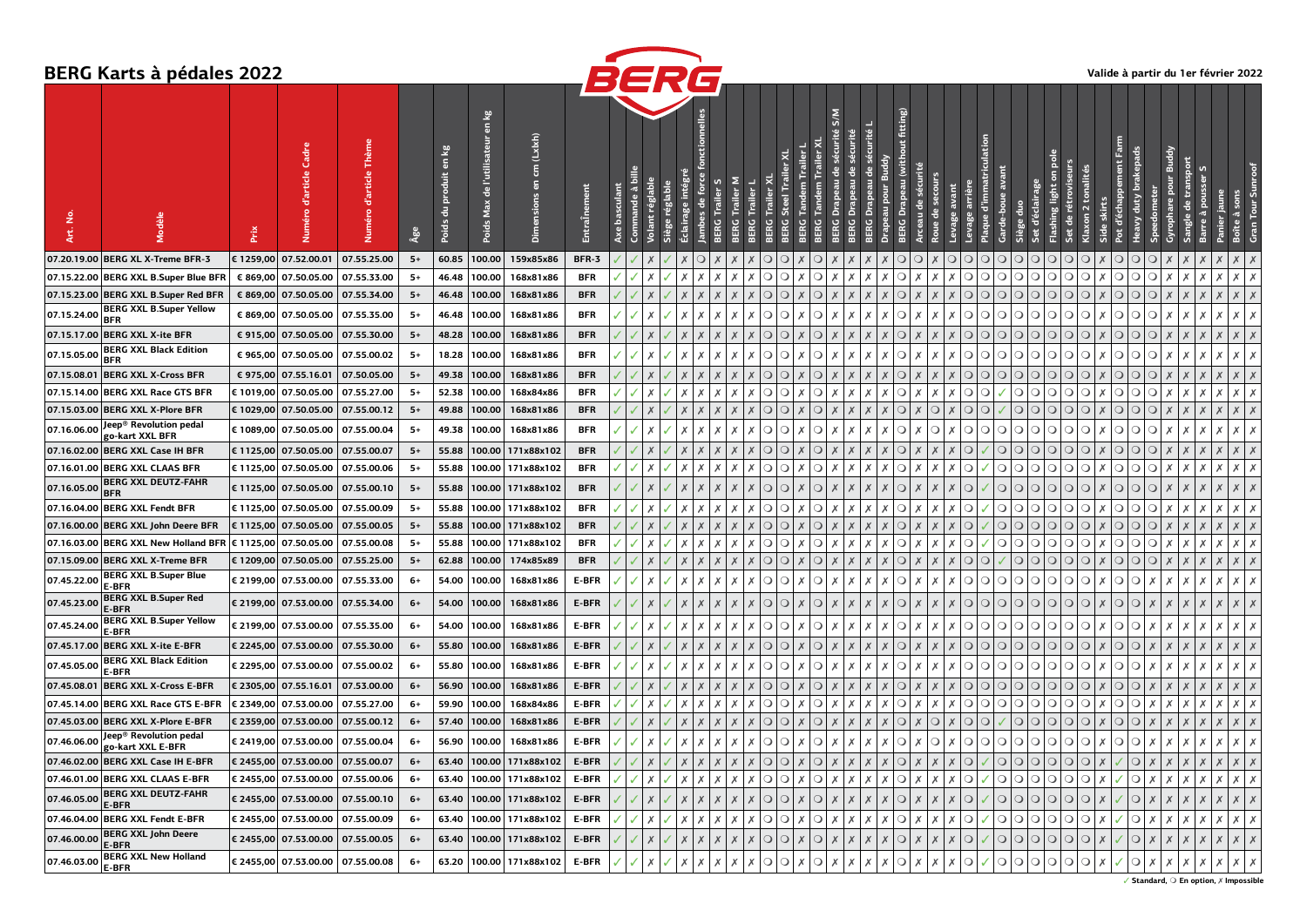

|                         | <b>BERG Karts à pédales 2022</b>              |           |                                   |             |      |                                                     |                 |                                     |                            | BERG       |             |                  |                                      |                     |                                      |                                                |                                |                    |                           |                      |                                                                         |                      |                    |                                  |                                         |                                            |            | Valide à partir du 1er février 2022 |                                        |                   |                   |
|-------------------------|-----------------------------------------------|-----------|-----------------------------------|-------------|------|-----------------------------------------------------|-----------------|-------------------------------------|----------------------------|------------|-------------|------------------|--------------------------------------|---------------------|--------------------------------------|------------------------------------------------|--------------------------------|--------------------|---------------------------|----------------------|-------------------------------------------------------------------------|----------------------|--------------------|----------------------------------|-----------------------------------------|--------------------------------------------|------------|-------------------------------------|----------------------------------------|-------------------|-------------------|
| ۱ġ<br>Art.              | odèle                                         | Prix      | d'article                         |             | ٩å   | $\frac{50}{2}$<br>$\overline{5}$<br>roduit<br>Poids | е<br>듮<br>Poids | (Lx!x!)<br>ŧ<br>5<br>Dimensions     | <b>Entra</b> Înement       |            |             | Trailer          |                                      |                     |                                      |                                                |                                | fitting)           |                           |                      |                                                                         |                      |                    | 冟<br>5                           |                                         |                                            |            |                                     |                                        |                   |                   |
| 07.20.19.00             | <b>BERG XL X-Treme BFR-3</b>                  |           | € 1259,00 07.52.00.01             | 07.55.25.00 | $5+$ | 60.85                                               | 100.00          | 159x85x86                           | BFR-3                      |            | ◡           |                  |                                      |                     |                                      | $\circ$                                        |                                | $\Omega$           | Ő                         | $\cup$               | $\Omega$                                                                | $\Omega$<br>$\cup$   | $\cup$             | $\circ$<br>$\circ$               | $\circ$<br>О                            | О                                          | $\circ$    | О                                   |                                        |                   |                   |
|                         | 07.15.22.00 BERG XXL B.Super Blue BF          |           | € 869,00 07.50.05.00              | 07.55.33.00 | 5+   | 46.48                                               | 100.00          | 168x81x86                           | <b>BFR</b>                 | Х          |             | Х                | Х<br>Х                               | $\circ$<br>$\circ$  |                                      | $\circ$<br>Х<br>х                              | х                              | $\circ$            |                           | х                    | $\circ$                                                                 | ◑<br>$\circ$         | $\circ$            | $\circ$<br>$\circ$               | $\circ$<br>$\circ$                      | $\circ$<br>х                               | $\circ$    | $\circ$<br>Х                        | Х                                      |                   | $x \mid x$        |
| 07.15.23.00             | <b>BERG XXL B.Super Red BFR</b>               |           | € 869,00 07.50.05.00              | 07.55.34.00 | $5+$ | 46.48                                               | 100.00          | 168x81x86                           | <b>BFR</b>                 |            |             |                  |                                      | $\circ$<br>$\circ$  |                                      | $\circ$<br>$\boldsymbol{\mathsf{x}}$<br>$\chi$ | $\boldsymbol{X}$               | $\circ$            |                           |                      |                                                                         | O O O                | $\Omega$           |                                  | Q Q <br>$\circ$                         | $\circ$<br>X                               | $\circ$    | $\circ$                             |                                        |                   | $X$ $X$           |
| 07.15.24.00             | <b>BERG XXL B.Super Yellow</b><br><b>BFR</b>  |           | € 869,00 07.50.05.00              | 07.55.35.00 | 5+   | 46.48                                               | 100.00          | 168x81x86                           | <b>BFR</b>                 | х          |             | х                | х                                    | $\circ$<br>$\circ$  |                                      | $\circ$<br>Х                                   | Х<br>х                         | х<br>$\circ$       |                           |                      |                                                                         | $\circ$<br>$\circ$   | $\circ$<br>$\circ$ | $\circ$                          | $\circ$<br>$\circ$                      | $\circ$<br>х                               | $\circ$    | $\circ$                             | Х<br>х                                 |                   | Х                 |
|                         | 07.15.17.00 BERG XXL X-ite BFR                |           | € 915,00 07.50.05.00              | 07.55.30.00 | $5+$ | 48.28                                               | 100.00          | 168x81x86                           | <b>BFR</b>                 |            |             |                  | x                                    | $\circ$             | $\circ$                              | $\circ$<br>$\boldsymbol{\mathsf{x}}$<br>X      | $\boldsymbol{\mathsf{x}}$      | $\circ$            |                           |                      |                                                                         | 000                  | $\circ$            | $\overline{O}$<br>$\overline{O}$ | $\circ$<br>$\circ$                      | $\circ$<br>Х                               | $\circ$    | $\circ$<br>X                        |                                        |                   |                   |
| 07.15.05.00             | <b>BERG XXL Black Edition</b><br><b>BFR</b>   |           | € 965,00 07.50.05.00              | 07.55.00.02 | $5+$ | 18.28                                               | 100.00          | 168x81x86                           | <b>BFR</b>                 |            |             |                  |                                      | $\circ$<br>$\circ$  |                                      | $\circ$<br>Х                                   |                                | $\circ$            |                           |                      |                                                                         | otolo                | $\circ$            | $\circ$<br>$\circ$               | $\circ$<br>$\circ$                      | x<br>$\circ$                               | $\circ$    | $\circ$                             | Х<br>х                                 |                   |                   |
| 07.15.08.01             | <b>BERG XXL X-Cross BFR</b>                   |           | € 975,00 07.55.16.01              | 07.50.05.00 | $5+$ | 49.38                                               | 100.00          | 168x81x86                           | <b>BFR</b>                 |            |             |                  |                                      | $\circ$<br>$\circ$  |                                      | $\circ$                                        |                                | C                  |                           |                      |                                                                         | $\Omega$<br>$\circ$  | $\circ$<br>$\circ$ | $\circ$                          | O<br>O                                  | $\circ$                                    | $\circ$    | O                                   |                                        |                   | $\times$          |
| 07.15.14.00             | <b>BERG XXL Race GTS BFR</b>                  |           | € 1019,00 07.50.05.00             | 07.55.27.00 | $5+$ | 52.38                                               | 100.00          | 168x84x86                           | <b>BFR</b>                 |            |             | Х                | х<br>Х                               | $\circ$<br>$\circ$  |                                      | $\circ$<br>$\times$<br>х                       | Х                              | Х<br>$\circ$       |                           |                      | $\circ$                                                                 | IO.                  | $\circ$            | $\circ$<br>$\circ$               | $\circ$<br>$\mathsf{O}^+$               | $\circ$<br>x                               | $\circ$    | $\circ$<br>Х                        | Х<br>х                                 |                   | $x \mid x$        |
|                         | 07.15.03.00 BERG XXL X-Plore BFR              |           | € 1029,00 07.50.05.00             | 07.55.00.12 | $5+$ | 49.88                                               | 100.00          | 168x81x86                           | <b>BFR</b>                 |            |             |                  | $\boldsymbol{x}$                     | $\circ$<br>$\circ$  | $\times$                             | $\circ$<br>$\times$<br>$\boldsymbol{X}$        | $\boldsymbol{X}$               | $\circ$            | $\boldsymbol{\mathsf{x}}$ | <b>O</b>             | Q Q                                                                     |                      |                    | $\Omega$    $\Omega$    $\Omega$ | $\circ$                                 | $\circ$<br>X                               | $\circ$    | $\circ$<br>X                        |                                        |                   |                   |
| 07.16.06.00             | Jeep® Revolution pedal<br>go-kart XXL BFR     |           | € 1089,00 07.50.05.00             | 07.55.00.04 | $5+$ | 49.38                                               | 100.00          | 168x81x86                           | <b>BFR</b>                 |            |             |                  |                                      | $\circ$<br>$\circ$  |                                      | $\circ$<br>Х<br>X                              | Х                              | $\circ$            |                           | $\circ$<br>$\cdot x$ | $\overline{\mathrm{o}}$ $\overline{\mathrm{o}}$ $\overline{\mathrm{o}}$ | $\circ$              | $\circ$            | $\circ$<br>$\circ$               | $\overline{O}$<br>$\circ$               | $\circ$<br>x                               | $\circ$    | $\circ$<br>x                        | х                                      |                   | Х                 |
|                         | 07.16.02.00 BERG XXL Case IH BFR              |           | € 1125,00 07.50.05.00             | 07.55.00.07 | $5+$ | 55.88                                               | 100.00          | 171x88x102                          | <b>BFR</b>                 |            |             |                  |                                      | $\circ$<br>$\circ$  |                                      | $\circ$                                        |                                | O                  |                           |                      |                                                                         | $\circ$              | $\circ$            | $\circ$<br>$\circ$               | $\circ$<br>О                            | $\circ$                                    | $\circ$    | $\circ$                             |                                        |                   |                   |
| 07.16.01.00             | <b>BERG XXL CLAAS BFR</b>                     |           | € 1125,00 07.50.05.00             | 07.55.00.06 | 5+   | 55.88                                               | 100.00          | 171x88x102                          | <b>BFR</b>                 | x          |             | х                | х                                    | $\circ$<br>$\circ$  |                                      | $\circ$<br>Х                                   | х<br>х                         | O                  |                           |                      |                                                                         | $\circ$              | $\circ$            | ◑<br>$\circ$                     | О<br>∩                                  | х<br>$\circ$                               | $\circ$    | х<br>О                              | Х<br>х                                 |                   | x                 |
| 07.16.05.00             | <b>BERG XXL DEUTZ-FAHR</b><br><b>BFR</b>      | € 1125,00 | 07.50.05.00                       | 07.55.00.10 | $5+$ | 55.88                                               | 100.00          | 171x88x102                          | <b>BFR</b>                 |            |             |                  |                                      | $\Omega$<br>$\circ$ |                                      | $\circ$                                        |                                | O                  |                           |                      |                                                                         | $\circ$              | $\circ$            | $\circ$<br>$\circ$               | $\circ$<br>O                            | $\circ$                                    | $\circ$    | $\circ$                             |                                        |                   |                   |
|                         | 07.16.04.00 BERG XXL Fendt BFR                |           | € 1125,00 07.50.05.00             | 07.55.00.09 | $5+$ | 55.88                                               | 100.00          | 171x88x102                          | <b>BFR</b>                 | x          |             | Х                | х<br>х                               | $\circ$<br>$\circ$  |                                      | $\circ$<br>X<br>х                              | х                              | $\circ$            |                           |                      | $\circ$                                                                 |                      | $\overline{O}$     | $\Omega$<br>$\circ$              | $\circ$<br>$\circ$                      | $\circ$<br>Х                               | $\circ$    | $\circ$<br>х                        | х<br>х                                 | Х                 | $X$   $X$         |
| 07.16.00.00             | <b>BERG XXL John Deere BFR</b>                |           | € 1125,00 07.50.05.00             | 07.55.00.05 | $5+$ | 55.88                                               | 100.00          | 171x88x102                          | <b>BFR</b>                 |            |             |                  |                                      | $\circ$<br>$\circ$  |                                      | $\circ$<br>$\boldsymbol{\mathsf{x}}$           | $\boldsymbol{\mathsf{x}}$      | $\circ$            |                           |                      | $\Omega$                                                                | $\Omega$             | $\circ$            | $\circ$<br>$\circ$               | $\circ$<br>$\circ$                      | $\circ$                                    | $\circ$    | $\circ$                             |                                        |                   |                   |
| 07.16.03.00             | <b>BERG XXL New Holland BFR</b>               |           | € 1125,00 07.50.05.00             | 07.55.00.08 | 5+   | 55.88                                               | 100.00          | 171x88x102                          | <b>BFR</b>                 |            |             |                  |                                      | $\circ$<br>$\circ$  |                                      | $\circ$<br>Х<br>х                              | х                              | $\circ$            |                           |                      | $\Omega$                                                                | $\circ$              | $\circ$            | $\circ$<br>$\circ$               | $\circ$<br>О                            | $\circ$                                    | $\circ$    | O                                   |                                        |                   | Х                 |
| 07.15.09.00             | BERG XXL X-Treme BFR                          |           | € 1209,00 07.50.05.00             | 07.55.25.00 | $5+$ | 62.88                                               | 100.00          | 174x85x89                           | <b>BFR</b>                 |            |             |                  |                                      | $\circ$<br>$\circ$  |                                      | $\circ$                                        |                                | O                  |                           |                      | $\Omega$                                                                | $\circ$              | $\circ$            | $\circ$<br>$\overline{O}$        | $\circ$<br>О                            | $\circ$<br>x                               | $\circ$    | $\circ$                             |                                        |                   | $\times$          |
| 07.45.22.00             | <b>BERG XXL B.Super Blue</b><br><b>E-BFR</b>  |           | € 2199,00 07.53.00.00             | 07.55.33.00 | $6+$ | 54.00                                               | 100.00          | 168x81x86                           | <b>E-BFR</b>               |            |             |                  |                                      | ∩<br>$\circ$        |                                      | $\circ$<br>Х<br>х                              |                                | $\circ$            |                           |                      | $\Omega$                                                                | ∩∣<br>◘              | $\circ$            | $\circ$<br>$\circ$               | $\circ$<br>$\circ$                      | $\circ$<br>х                               | $\circ$    |                                     | х                                      |                   | Х                 |
| 07.45.23.00             | <b>BERG XXL B.Super Red</b><br><b>E-BFR</b>   |           | € 2199,00 07.53.00.00             | 07.55.34.00 | 6+   | 54.00                                               | 100.00          | 168x81x86                           | E-BFR                      | X          | X           | X                | X                                    | $\circ$<br>$\circ$  |                                      | $\circ$<br>X                                   | $\boldsymbol{\mathsf{x}}$      | $\circ$            |                           | X                    |                                                                         | O O O                | $\circ$            | $\circ$<br>$\circ$               | $\circ$<br>$\circ$                      | Х<br>$\circ$                               | $\circ$    | Х                                   |                                        |                   | X                 |
| 07.45.24.00             | <b>BERG XXL B.Super Yellow</b><br>E-BFR       |           | € 2199,00 07.53.00.00             | 07.55.35.00 | 6+   | 54.00                                               | 100.00          | 168x81x86                           | E-BFR                      |            |             |                  |                                      | $\circ$<br>$\circ$  |                                      | $\circ$<br>Х                                   |                                | $\Omega$           |                           |                      | $\Omega$                                                                | ∩⊥<br>◘              | $\circ$            | $\circ$ l<br>$\circ$             | $\overline{O}$<br>O                     | $\circ$                                    | $\circ$    |                                     |                                        |                   |                   |
|                         | 07.45.17.00 BERG XXL X-ite E-BFR              |           | € 2245,00 07.53.00.00             | 07.55.30.00 | $6+$ | 55.80                                               | 100.00          | 168x81x86                           | E-BFR                      |            |             |                  |                                      | ∩<br>$\circ$        |                                      | $\circ$                                        |                                | O                  |                           |                      | $\Omega$                                                                | $\Omega$<br>$\Omega$ | $\circ$            | $\circ$<br>$\circ$               | $\circ$<br>$\circ$                      | $\circ$                                    | $\circ$    |                                     |                                        |                   |                   |
| 07.45.05.00             | <b>BERG XXL Black Edition</b><br><b>E-BFR</b> |           | € 2295,00 07.53.00.00             | 07.55.00.02 | 6+   | 55.80                                               | 100.00          | 168x81x86                           | <b>E-BFR</b>               |            |             |                  |                                      | $\circ$<br>$\circ$  |                                      | $\circ$                                        |                                | $\circ$            |                           |                      |                                                                         | ◑<br>ΟI              | $\circ$            | ◑<br>$\circ$                     | $\circ$<br>$\circ$                      | $\circ$<br>х                               | $\circ$    | х                                   | Х<br>х                                 |                   | Х                 |
| 07.45.08.01             | <b>BERG XXL X-Cross E-BFR</b>                 |           | € 2305,00 07.55.16.01             | 07.53.00.00 | 6+   | 56.90                                               | 100.00          | 168x81x86                           | E-BFR                      |            |             |                  |                                      | $\circ$<br>$\circ$  |                                      | $\circ$<br>$\boldsymbol{\mathsf{x}}$<br>Х      | $\times$                       | $\circ$<br>X       | х                         | Х                    | $\circ$                                                                 | Q Q                  | $\circ$            | $\circ$<br>$\circ$               | $\circ$<br>$\circ$                      | $\circ$<br>X                               | $\circ$    | $\boldsymbol{X}$<br>X               |                                        |                   | $\times$          |
| 07.45.14.00             | BERG XXL Race GTS E-BFR                       |           | € 2349,00 07.53.00.00             | 07.55.27.00 | 6+   | 59.90                                               | 100.00          | 168x84x86                           | <b>E-BFR</b>               | Х          | х           | Х                | Х<br>Х                               | $\circ$             | $\circ$<br>Х                         | $\circ$<br>$\times$                            | Х<br>$\boldsymbol{\mathsf{x}}$ | $\circ$<br>Х       |                           | Х<br>х               |                                                                         | O O O                |                    | $\circ$                          | Q Q <br>$\circ$                         | $\mathsf{I}\bigcirc\mathsf{I}$<br>$\times$ | $\circ$    | Х<br>Х                              | Х<br>Х                                 | Х                 | $x \mid x$        |
|                         | 07.45.03.00 BERG XXL X-Plore E-BFR            |           | € 2359,00 07.53.00.00             | 07.55.00.12 | 6+   | 57.40                                               | 100.00          | 168x81x86                           | E-BFR                      | X          | Х<br>X      | Х                | Х<br>Х                               | $\circ$             | $\circ$<br>$\boldsymbol{\mathsf{x}}$ | $\bigcirc$ $x$                                 | $\times$<br>$\overline{X}$     | $\times$           | $\bigcirc$ $\mathsf{X}$   | O X                  | Q Q                                                                     |                      | $\circ$            | O O                              | $\circ$                                 | $\times$                                   | O Q        | Х<br>Х                              | Х<br>Х                                 | Х                 | $\times$          |
| 07.46.06.00             | Jeep® Revolution pedal<br>go-kart XXL E-BFR   |           | € 2419,00 07.53.00.00 07.55.00.04 |             |      |                                                     |                 | 56.90   100.00   168x81x86          | E-BFR $ V V X V X X X X X$ |            |             |                  |                                      |                     |                                      |                                                |                                |                    |                           |                      |                                                                         |                      |                    |                                  |                                         |                                            |            |                                     |                                        | $X \mid X \mid X$ |                   |
|                         | 07.46.02.00 BERG XXL Case IH E-BFR            |           | € 2455,00 07.53.00.00 07.55.00.07 |             | $6+$ |                                                     |                 | 63.40   100.00   171x88x102   E-BFR |                            |            |             |                  |                                      |                     |                                      |                                                |                                |                    |                           |                      |                                                                         |                      |                    |                                  |                                         |                                            |            |                                     |                                        |                   |                   |
|                         | 07.46.01.00 BERG XXL CLAAS E-BFR              |           | € 2455,00 07.53.00.00 07.55.00.06 |             | 6+   |                                                     |                 | 63.40 100.00 171x88x102             | <b>E-BFR</b>               |            |             |                  |                                      |                     |                                      |                                                |                                |                    |                           |                      |                                                                         |                      |                    |                                  |                                         |                                            |            |                                     |                                        |                   | $X$ $X$ $X$       |
|                         | 07.46.05.00 BERG XXL DEUTZ-FAHR<br>E-BFR      |           | € 2455,00 07.53.00.00 07.55.00.10 |             | $6+$ |                                                     |                 | 63.40 100.00 171x88x102             | E-BFR                      |            |             |                  |                                      |                     |                                      |                                                |                                |                    |                           |                      |                                                                         |                      |                    |                                  |                                         |                                            |            | $\times$                            | $\chi$<br>Х                            |                   | $x \mid x \mid x$ |
|                         | 07.46.04.00 BERG XXL Fendt E-BFR              |           | € 2455,00 07.53.00.00 07.55.00.09 |             | 6+   |                                                     |                 | 63.40   100.00   171x88x102         | <b>E-BFR</b>               | $\sqrt{X}$ | Х           | $X$ $X$          | $\mathsf{E}(\mathsf{X})$             |                     |                                      |                                                |                                |                    |                           |                      |                                                                         |                      |                    |                                  |                                         |                                            |            |                                     | $x \mid x \mid x \mid x \mid x \mid x$ |                   |                   |
| $ 07.46.00.00 $ $E-BFR$ | <b>BERG XXL John Deere</b>                    |           | € 2455,00 07.53.00.00 07.55.00.05 |             | 6+   |                                                     |                 | 63.40   100.00   171x88x102         | E-BFR                      | X          | $\chi$<br>X | $\times$         | Х<br>X                               | Q Q X               |                                      | $\cup x$<br>$\mathsf{X}$                       |                                |                    |                           |                      |                                                                         |                      |                    |                                  | X 0 0 0 0 0 0 0 0 0 1 X X 0 X 1 X 0 X 1 |                                            | $\bigcirc$ | X<br>X                              | Х<br>Х                                 |                   | $X$ $X$ $X$       |
| $ 07.46.03.00 $ E-BFR   | <b>BERG XXL New Holland</b>                   |           | € 2455,00 07.53.00.00 07.55.00.08 |             | $6+$ |                                                     |                 | 63.20   100.00   171x88x102         | <b>E-BFR</b>               | $\times$   | x<br>x      | $\boldsymbol{x}$ | $\boldsymbol{x}$<br>$\boldsymbol{x}$ | Q Q X               |                                      | $Q \mid X$                                     | X<br>$\mathsf{X}$              | $X$ $\bigcirc$ $X$ |                           |                      | $X$ O                                                                   |                      |                    |                                  | X C C C C C C                           |                                            | $\circ$    | $\boldsymbol{x}$<br>x               | Х<br>Х                                 |                   | $X$ $X$ $X$       |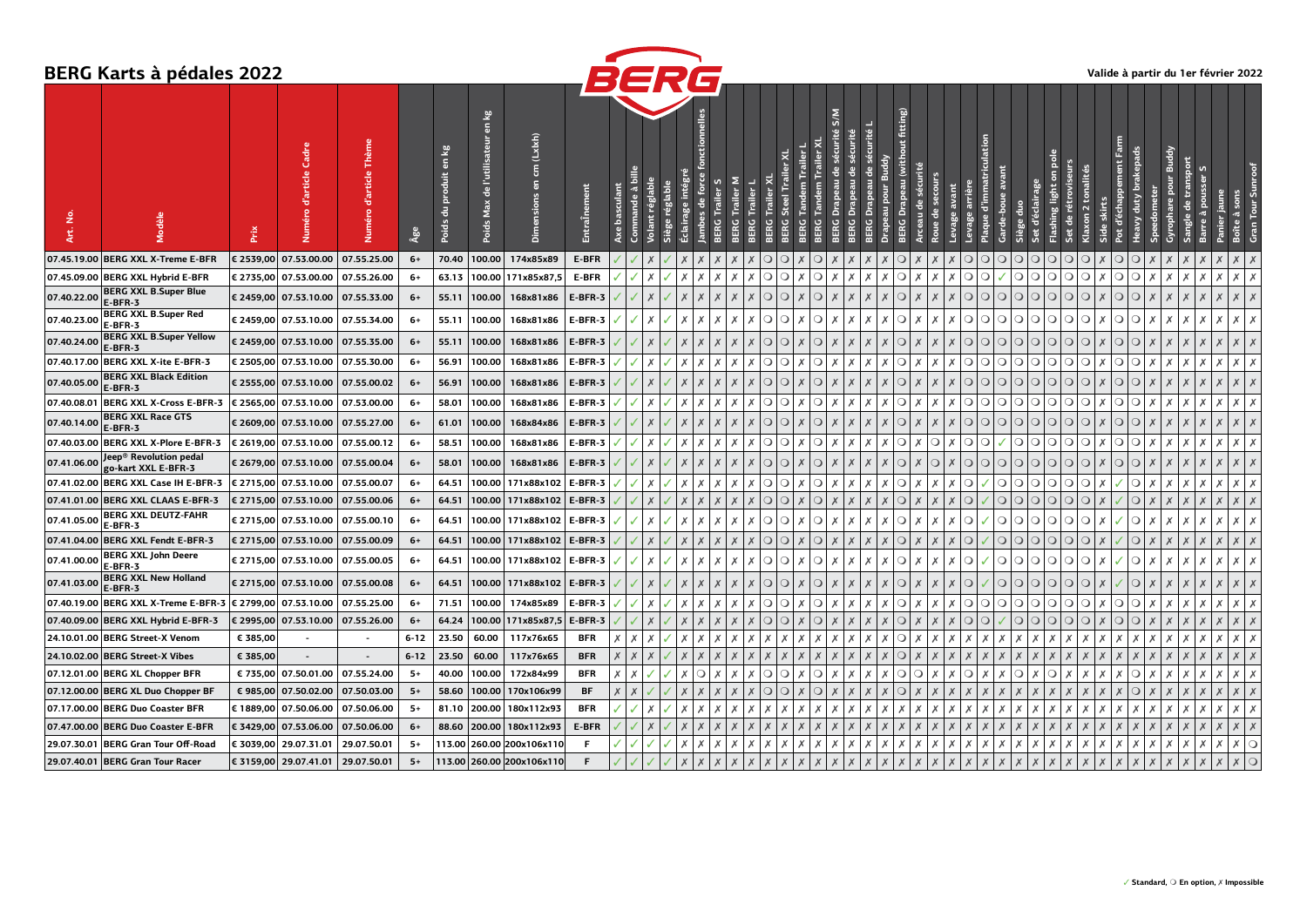## **BERG Karts à pédales 2022**



|             | BERG Narts a pedales 2022                                  |           |                                      |                                   |                       |                                    |                                                          |                                 |                | BERG                |        |         |                  |                  |              |                    |                                    |                                              |                  |                                               |                          |         |                            |                                  |                           |                                       |                           | Valide à partir du 1er février 2022 |                             |          |             |                    |            |
|-------------|------------------------------------------------------------|-----------|--------------------------------------|-----------------------------------|-----------------------|------------------------------------|----------------------------------------------------------|---------------------------------|----------------|---------------------|--------|---------|------------------|------------------|--------------|--------------------|------------------------------------|----------------------------------------------|------------------|-----------------------------------------------|--------------------------|---------|----------------------------|----------------------------------|---------------------------|---------------------------------------|---------------------------|-------------------------------------|-----------------------------|----------|-------------|--------------------|------------|
| ٤<br>ξ.     |                                                            | Prix      | Ğ<br>Numéro d'article                |                                   | $\hat{\mathbf{A}}$ ge | kg<br>$\overline{a}$<br>ы<br>Poids | 7s<br>$\overline{5}$<br>l'utilisate<br>읩<br>Max<br>Poids | (Lx x )<br>Ê<br>듮<br>Dimensions | EntraÎn        | mande à<br>basculan | réglab | réglabl | force<br>음       | BERG             |              |                    |                                    | $\frac{8}{5}$                                |                  | fitting)                                      |                          |         |                            | ã                                |                           | ē<br>$\overline{\bf s}$<br>hing light |                           |                                     | duty                        |          | Ε           |                    |            |
|             | 07.45.19.00 BERG XXL X-Treme E-BFR                         | € 2539,00 | 07.53.00.00                          | 07.55.25.00                       | $6+$                  | 70.40                              | 100.00                                                   | 174x85x89                       | <b>E-BFR</b>   |                     |        |         |                  |                  | $\Omega$     | Ω                  | C                                  |                                              |                  |                                               |                          |         |                            |                                  | $\Omega$<br>O             | $\circ$                               | ∩<br>n                    | ∩                                   | ∩                           |          |             |                    |            |
|             | 07.45.09.00 BERG XXL Hybrid E-BFR                          |           | € 2735,00  07.53.00.00   07.55.26.00 |                                   | $6+$                  | 63.13                              |                                                          | 100.00 171x85x87,5              | <b>E-BFR</b>   |                     |        |         |                  |                  |              | $\circ$<br>$\circ$ | $\circ$                            |                                              |                  |                                               |                          |         | $\overline{\mathrm{O}}$ to |                                  | $\circ$<br>◑              | $\circ$                               | $\circ$<br>$\circ$        | $\circ$<br>x                        | $\circ$                     | х        |             | х                  |            |
| 07.40.22.00 | <b>BERG XXL B.Super Blue</b><br>E-BFR-3                    |           | € 2459,00 07.53.10.00                | 07.55.33.00                       | $6+$                  | 55.11                              | 100.00                                                   | 168x81x86                       | E-BFR-3        |                     |        |         |                  |                  | $\circ$      | $\circ$            | $\circ$                            |                                              |                  | $\circ$                                       |                          |         | $\bigcap$                  | $\Omega$<br>$\circ$              | $\circ$<br>$\overline{O}$ | $\circ$                               | $\circ$<br>$\circ$        | $\circ$                             | $\circ$                     |          |             |                    |            |
| 07.40.23.00 | <b>BERG XXL B.Super Red</b><br>E-BFR-3                     |           | € 2459,00 07.53.10.00                | 07.55.34.00                       | 6+                    | 55.11                              | 100.00                                                   | 168x81x86                       | E-BFR-3        |                     |        | х       | х                | х                | $\circ$<br>Х | $\circ$            | $\circ$<br>$\mathsf{X}$            | $\boldsymbol{X}$<br>$\overline{\phantom{1}}$ | $\mathsf{X}$     | $\circ$                                       | l X                      | X       |                            | QQQQ                             | $\circ$<br>$\circ$        | $\circ$                               | $\circ$<br>$\bigcirc$     | $\circ$<br>$\times$                 | $\circ$<br>X                | Х        | Х<br>Х      | х                  | $X$   $X$  |
| 07.40.24.00 | <b>BERG XXL B.Super Yellow</b><br><b>E-BFR-3</b>           |           | € 2459,00  07.53.10.00   07.55.35.00 |                                   | 6+                    | 55.11                              | 100.00                                                   | 168x81x86                       | E-BFR-3        |                     |        |         |                  |                  | $\circ$      | $\circ$            | $\circ$                            |                                              |                  | $\circ$                                       |                          |         | O                          | $\circ$                          | $\circ$<br>$\circ$        | $\circ$                               | $\circ$<br>$\circ$        | $\circ$                             | $\circ$                     |          |             |                    |            |
|             | 07.40.17.00 BERG XXL X-ite E-BFR-3                         |           | € 2505,00 07.53.10.00                | 07.55.30.00                       | 6+                    | 56.91                              | 100.00                                                   | 168x81x86                       | E-BFR-3        |                     |        |         |                  |                  |              | $\circ$<br>$\circ$ | $\circ$<br>х                       | $\boldsymbol{\mathsf{x}}$                    |                  | $\circ$                                       | X                        |         | Q Q                        | $\circ$                          | $\circ$<br>$\circ$        | $\circ$                               | $\circ$<br>$\circ$        | $\circ$<br>x                        | $\circ$                     | х        | Х           | Х                  |            |
| 07.40.05.00 | <b>BERG XXL Black Edition</b><br><b>E-BFR-3</b>            |           | € 2555,00 07.53.10.00                | 07.55.00.02                       | $6+$                  | 56.91                              | 100.00                                                   | 168x81x86                       | E-BFR-3        |                     |        |         |                  |                  | $\circ$      | $\circ$            | $\circ$                            |                                              |                  | $\circ$                                       |                          |         | ∩∣                         | $\Omega$<br>$\circ$              | $\circ$<br>$\circ$        | $\bigcirc$                            | ∩<br>O                    | $\circ$                             | ∩                           |          |             |                    |            |
|             | 07.40.08.01 BERG XXL X-Cross E-BFR-3                       |           | € 2565,00 07.53.10.00                | 07.53.00.00                       | $6+$                  | 58.01                              | 100.00                                                   | 168x81x86                       | E-BFR-3        |                     |        | х       | х                | х<br>Х           |              | $\circ$<br>$\circ$ | $\circ$<br>$\mathsf{X}$            | Х<br>Х                                       |                  | $\circ$                                       | IX.                      | ΙX      |                            | $\bigcirc$ $\bigcirc$ $\bigcirc$ | $\circ$<br>$\circ$        | $\circ$                               | $\circ$<br>$\circ$        | $\circ$<br>Х                        | $\circ$<br>х                | Х        | Х<br>х      | х                  | $X$   $X$  |
| 07.40.14.00 | <b>BERG XXL Race GTS</b><br>E-BFR-3                        |           | € 2609,00 07.53.10.00                | 07.55.27.00                       | 6+                    | 61.01                              | 100.00                                                   | 168x84x86                       | E-BFR-3        |                     | X      |         | X                | X                | $\circ$      | $\circ$            | $\overline{X}$<br>$\circ$          | $\boldsymbol{X}$<br>$\mathsf{X}$             | $\mathsf{X}$     | $\mathsf{X}$                                  | O <sub>K</sub>           |         | Q Q                        | $\circ$                          | $\Omega$<br>$\Omega$      | $\circ$                               | $\overline{O}$<br>$\circ$ | X<br>$\circ$                        | $\circ$                     |          |             |                    |            |
|             | 07.40.03.00 BERG XXL X-Plore E-BFR-3                       |           | € 2619,00 07.53.10.00                | 07.55.00.12                       | $6+$                  | 58.51                              | 100.00                                                   | 168x81x86                       | E-BFR-3        |                     |        | х       | х                | Х                |              | $\circ$<br>$\circ$ | $\circ$<br>ΙX                      | $\boldsymbol{X}$<br>l X                      |                  | $\circ$                                       | $\mathsf{I}(\mathsf{X})$ | $\circ$ | O                          |                                  | $\circ$<br>$\circ$        | $\circ$                               | $\circ$<br>$\circ$        | x<br>$\circ$                        | $\circ$<br>X                | Х        | Х<br>х      | $\times$           |            |
| 07.41.06.00 | Jeep® Revolution pedal<br>go-kart XXL E-BFR-3              |           | € 2679,00 07.53.10.00                | 07.55.00.04                       | $6+$                  | 58.01                              | 100.00                                                   | 168x81x86                       | E-BFR-3        |                     |        |         |                  |                  | $\circ$      | $\circ$            | $\circ$                            |                                              |                  | $\Omega$                                      |                          |         | $\Omega$                   | $\Omega$<br>$\circ$              | $\circ$<br>$\circ$        | $\circ$                               | O<br>$\circ$              | $\circ$                             | $\circ$                     |          |             |                    |            |
|             | 07.41.02.00 BERG XXL Case IH E-BFR-3                       |           | € 2715,00 07.53.10.00                | 07.55.00.07                       | $6+$                  | 64.51                              | 100.00                                                   | 171x88x102                      | E-BFR-3        |                     |        |         |                  |                  |              | $\circ$<br>$\circ$ | $\boldsymbol{X}$<br>$\circ$        | $\boldsymbol{\mathsf{x}}$                    |                  | ∩                                             |                          |         | $\Omega$                   | $\Omega$                         | $\Omega$<br>$\circ$       | $\circ$                               | $\circ$<br>O              |                                     | O                           | x        | Х<br>х      | $\times$           |            |
|             | 07.41.01.00 BERG XXL CLAAS E-BFR-3                         |           |                                      | € 2715,00 07.53.10.00 07.55.00.06 | $6+$                  | 64.51                              | 100.00                                                   | 171x88x102 E-BFR-3              |                |                     |        |         |                  |                  |              | $\circ$<br>$\circ$ | $\circ$                            |                                              |                  | $\circ$                                       |                          |         | $\Omega$                   | $\circ$                          | QQQ                       |                                       | $\circ$<br>$\circ$        |                                     | O                           |          |             |                    |            |
| 07.41.05.00 | <b>BERG XXL DEUTZ-FAHR</b><br>E-BFR-3                      |           | € 2715,00 07.53.10.00                | 07.55.00.10                       | $6+$                  | 64.51                              | 100.00                                                   | 171x88x102 E-BFR-3              |                |                     |        |         |                  |                  | $\Omega$     | $\circ$            | Ω                                  |                                              |                  |                                               |                          |         |                            | $\Omega$                         | $\Omega$<br>$\Omega$      | Ω.                                    | $\circ$<br>∩              |                                     |                             |          |             |                    |            |
|             | 07.41.04.00 BERG XXL Fendt E-BFR-3                         |           | € 2715,00 07.53.10.00                | 07.55.00.09                       | $6+$                  | 64.51                              | 100.00                                                   | 171x88x102 E-BFR-3              |                |                     |        |         |                  |                  | $\circ$      | $\circ$            | $\circ$                            |                                              |                  | O                                             |                          |         |                            | $\Omega$                         | $\circ$<br>$\circ$        | $\circ$                               | $\circ$<br>$\circ$        |                                     | O                           |          |             |                    |            |
| 07.41.00.00 | <b>BERG XXL John Deere</b><br>E-BFR-3                      |           | € 2715,00 07.53.10.00                | 07.55.00.05                       | $6+$                  | 64.51                              | 100.00                                                   | 171x88x102   E-BFR-3            |                |                     |        |         |                  |                  | $\circ$      | $\circ$            | X<br>$\circ$                       |                                              |                  | $\circ$                                       |                          |         |                            | $\circ$                          | $\circ$<br>$\circ$        | $\circ$                               | $\circ$<br>$\circ$        |                                     | $\circ$<br>х                | Х        | Х<br>x      | Х                  |            |
| 07.41.03.00 | <b>BERG XXL New Holland</b><br><b>E-BFR-3</b>              |           | € 2715,00 07.53.10.00                | 07.55.00.08                       | $6+$                  | 64.51                              | 100.00                                                   | 171x88x102                      | E-BFR-3        |                     |        |         |                  |                  | $\circ$      | $\circ$            | $\circ$                            |                                              |                  | $\circ$                                       |                          |         | $\circ$                    | $\circ$                          | $\circ$<br>$\circ$        | $\circ$                               | $\circ$<br>$\circ$        |                                     | $\circ$                     |          |             |                    |            |
|             | 07.40.19.00 BERG XXL X-Treme E-BFR-3 € 2799,00 07.53.10.00 |           |                                      | 07.55.25.00                       | $6+$                  | 71.51                              | 100.00                                                   | 174x85x89                       | <b>E-BFR-3</b> |                     |        |         |                  |                  |              | $\circ$<br>$\circ$ | $\boldsymbol{X}$<br>$\circ$        | $\boldsymbol{\mathsf{x}}$                    |                  | $\circ$                                       |                          |         | $\overline{O}$             | $\circ$                          | $\circ$<br>$\circ$        | $\circ$                               | $\circ$<br>$\circ$        | x<br>$\circ$                        | $\circ$                     | x        | Х           | Х                  |            |
|             | 07.40.09.00  BERG XXL Hybrid E-BFR-3                       |           | € 2995,00 07.53.10.00                | 07.55.26.00                       | $6+$                  | 64.24                              |                                                          | 100.00 171x85x87,5              | E-BFR-3        |                     |        |         |                  |                  |              | $\circ$<br>$\circ$ | $\circ$<br>$\boldsymbol{X}$        | $\boldsymbol{X}$                             |                  | $\circ$                                       |                          |         | $\bigcirc$ $\bigcirc$      |                                  | $\circ$<br>$\circ$        | $\circ$                               | $\circ$<br>$\circ$        | $\circ$                             | $\circ$                     |          |             |                    |            |
|             | 24.10.01.00 BERG Street-X Venom                            | € 385,00  | $\sim$                               | $\overline{\phantom{a}}$          | $6 - 12$              | 23.50                              | 60.00                                                    | 117x76x65                       | <b>BFR</b>     |                     |        |         |                  |                  |              | Х                  | Х<br>Х                             | Х<br>X                                       |                  |                                               | QX                       | Х       | $\times$ 1                 |                                  |                           |                                       | х                         |                                     |                             | х        | х           | Х                  |            |
|             | 24.10.02.00 BERG Street-X Vibes                            | € 385,00  | $\overline{\phantom{a}}$             | $\overline{\phantom{a}}$          | $6 - 12$              | 23.50                              | 60.00                                                    | 117x76x65                       | <b>BFR</b>     |                     |        |         |                  |                  |              |                    |                                    | $\times$                                     |                  | $\circ$                                       |                          |         |                            |                                  |                           |                                       |                           |                                     |                             |          |             |                    |            |
|             | 07.12.01.00 BERG XL Chopper BFR                            |           | € 735,00 07.50.01.00                 | 07.55.24.00                       | $5+$                  | 40.00                              | 100.00                                                   | 172x84x99                       | <b>BFR</b>     | Х<br>х              |        | Х       | $\circ$          | Х<br>Х           |              | $\circ$<br>$\circ$ | $\overline{\mathsf{x}}$<br>$\circ$ | Х                                            | $X$   $X$        | X<br>$\circ$                                  | 1 Q                      | X       | $\circ$                    | X                                | $\circ$<br>X              | $\circ$                               | х<br>х                    | Х<br>Х                              | $\circ$<br>Х                | Х        | Х           |                    | $x \mid x$ |
|             | 07.12.00.00 BERG XL Duo Chopper BF                         |           | € 985,00 07.50.02.00                 | 07.50.03.00                       | $5+$                  | 58.60                              | 100.00                                                   | 170x106x99                      | BF             | $\times$<br>X       |        |         | $\boldsymbol{x}$ |                  |              | $\circ$<br>$\circ$ | $\circ$<br>$\times$                | $\boldsymbol{X}$                             |                  | $\circ$                                       |                          |         |                            |                                  |                           |                                       |                           | X                                   | $\circ$<br>$\boldsymbol{x}$ | X        |             |                    | $x \mid x$ |
|             | 07.17.00.00 BERG Duo Coaster BFR                           |           | € 1889,00 07.50.06.00 07.50.06.00    |                                   | $5+$                  | 81.10                              | 200.00                                                   | 180x112x93                      | <b>BFR</b>     |                     |        | Х       | х                |                  |              | Х                  | Х<br>Х                             | Х<br>X                                       |                  |                                               | Х                        | х       |                            |                                  |                           | х                                     | х<br>х                    | х<br>х                              | х<br>х                      | Х        | Х<br>Х      | х                  | $X$ $X$    |
|             | 07.47.00.00 BERG Duo Coaster E-BFR                         |           | € 3429,00 07.53.06.00                | 07.50.06.00                       | 6+                    | 88.60                              |                                                          | 200.00 180x112x93               | E-BFR          |                     |        |         |                  |                  |              |                    |                                    |                                              |                  |                                               |                          |         |                            |                                  |                           |                                       |                           |                                     |                             |          | Х           | $\times$           |            |
|             | 29.07.30.01 BERG Gran Tour Off-Road                        |           | € 3039,00 29.07.31.01                | 29.07.50.01                       | 5+                    |                                    |                                                          | 113.00 260.00 200x106x110       | -F             |                     |        |         |                  |                  |              |                    | х<br>х                             | х<br>х                                       |                  |                                               |                          |         |                            |                                  |                           |                                       |                           | х<br>х                              |                             | Х        | Х<br>х      | Х                  | $x \circ$  |
|             | 29.07.40.01 BERG Gran Tour Racer                           |           | € 3159,00 29.07.41.01 29.07.50.01    |                                   | $5+$                  |                                    |                                                          | 113.00 260.00 200x106x110       | F              |                     |        | $\chi$  | $\chi$           | $\boldsymbol{x}$ |              | $\boldsymbol{X}$   | $\chi$<br>$\times$                 | $\chi$<br>$\chi$                             | $\boldsymbol{X}$ | $\boldsymbol{X}$<br>$\boldsymbol{\mathsf{x}}$ | $\boldsymbol{X}$         |         |                            |                                  |                           |                                       | X<br>X                    | $\times$<br>$\boldsymbol{x}$        | X<br>$\boldsymbol{x}$       | $\times$ | Х<br>$\chi$ | $\chi$<br>$\times$ | $\circ$    |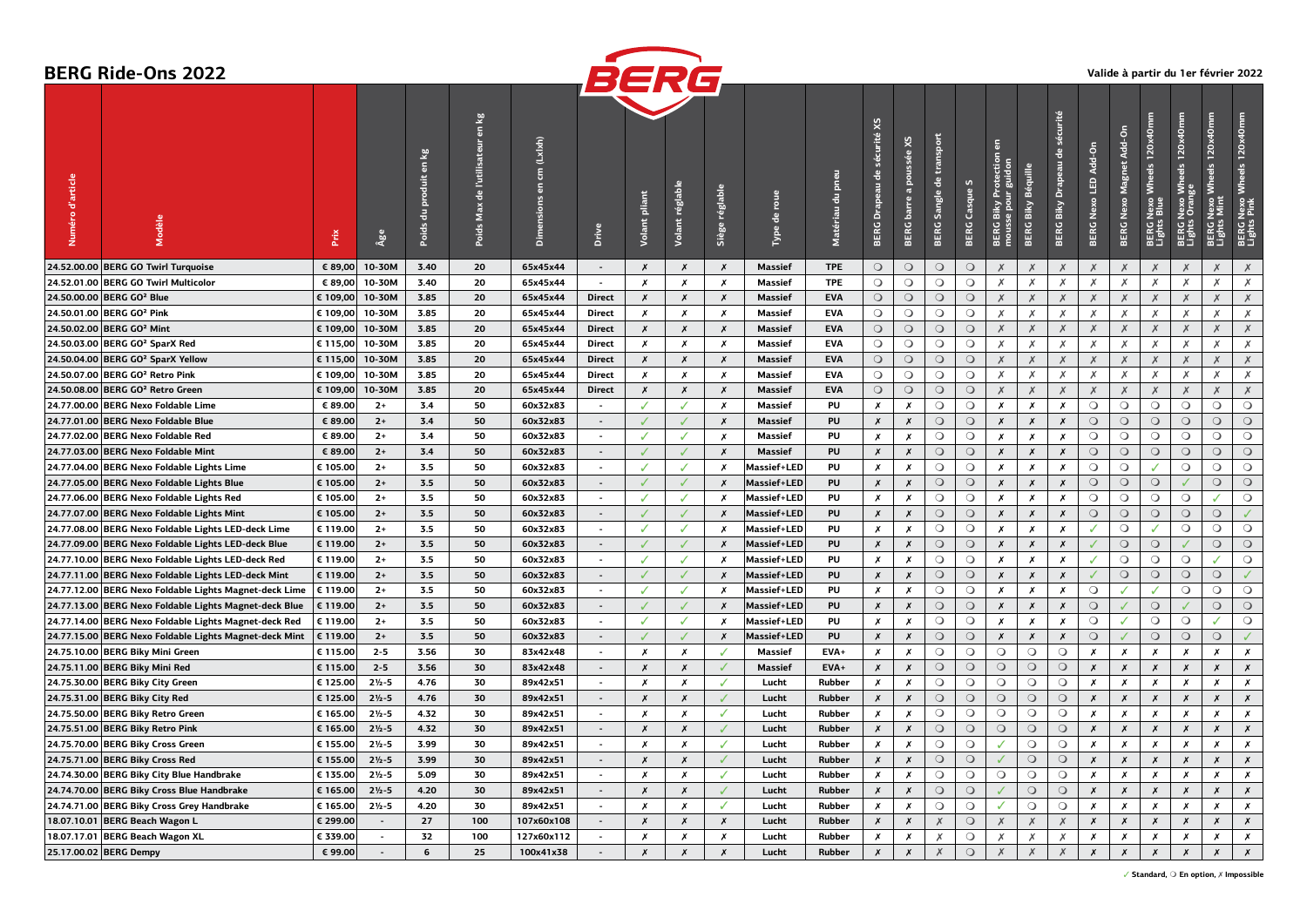|                   | <b>BERG Ride-Ons 2022</b>                              |             |                    |                                   |                                                                                  |                                        |                | BERG             |                    |                           |                    |                                             |                                             |                                    |                                                   |                            |                                           |                          |                                           |                      |                                   |                                               |                                            |                                                              | Valide à partir du 1er février 2022           |
|-------------------|--------------------------------------------------------|-------------|--------------------|-----------------------------------|----------------------------------------------------------------------------------|----------------------------------------|----------------|------------------|--------------------|---------------------------|--------------------|---------------------------------------------|---------------------------------------------|------------------------------------|---------------------------------------------------|----------------------------|-------------------------------------------|--------------------------|-------------------------------------------|----------------------|-----------------------------------|-----------------------------------------------|--------------------------------------------|--------------------------------------------------------------|-----------------------------------------------|
| d'article<br>méro | Modèle                                                 | <b>Prix</b> | Âge                | ≌<br>$\overline{a}$<br>B<br>Poids | $\vec{\bm{s}}$<br>$\overline{\mathbf{5}}$<br>l'utilisateur<br>-음<br>Max<br>Poids | (Lx!x!)<br>Ê<br>5<br><b>Dimensions</b> | Drive          | pliant<br>Volant | réglable<br>Volant | réglable<br>Siège         | roue<br>出<br>Type  | pneu<br>$\overline{\mathtt{d}}$<br>Matériau | 5x<br>sécurité<br><b>Drapeau</b> de<br>BERG | x<br>poussée<br>đ<br>barre<br>BERG | transport<br>$\frac{e}{\sigma}$<br>Sangle<br>BERG | S<br>Casque<br><b>BERG</b> | BERG Biky Protectio<br>mousse pour guidon | Béquille<br>Biky<br>BERG | sécurité<br>응<br><b>BERG Biky Drapeau</b> | BERG Nexo LED Add-On | Add-On<br><b>BERG Nexo Magnet</b> | Wheels 120x40mm<br>BERG Nexo I<br>Lights Blue | BERG Nexo Wheels 120x40mm<br>Lights Orange | 120x40mm<br>$\frac{9}{9}$<br>ξ<br>BERG Nexo N<br>Lights Mint | Wheels 120x40mm<br>BERG Nexo \<br>Lights Pink |
|                   | 24.52.00.00 BERG GO Twirl Turquoise                    | € 89,00     | 10-30M             | 3.40                              | 20                                                                               | 65x45x44                               | $\sim$         | Х                | $\boldsymbol{x}$   | X                         | Massief            | <b>TPE</b>                                  | $\circ$                                     | $\circ$                            | $\circ$                                           | $\circ$                    | X                                         | Х                        | $\times$                                  | Х                    | Х                                 |                                               | X                                          | X                                                            | Х                                             |
|                   | 24.52.01.00 BERG GO Twirl Multicolor                   | € 89,00     | 10-30M             | 3.40                              | 20                                                                               | 65x45x44                               | $\sim$         | Х                | Х                  | Х                         | Massief            | <b>TPE</b>                                  | $\circ$                                     | $\circ$                            | $\circ$                                           | $\circ$                    | Х                                         | Х                        | Х                                         | Х                    | Х                                 | Х                                             | Х                                          | Х                                                            | $\times$                                      |
|                   | 24.50.00.00 BERG GO <sup>2</sup> Blue                  | € 109,00    | 10-30M             | 3.85                              | 20                                                                               | 65x45x44                               | <b>Direct</b>  | Х                | $\boldsymbol{x}$   | $\boldsymbol{x}$          | <b>Massief</b>     | <b>EVA</b>                                  | $\circ$                                     | $\circ$                            | $\circ$                                           | $\circ$                    | $\times$                                  | X                        | Х                                         | Х                    | X                                 | Х                                             | $\times$                                   | X                                                            | $\times$                                      |
|                   | 24.50.01.00 BERG GO <sup>2</sup> Pink                  | € 109,00    | 10-30M             | 3.85                              | 20                                                                               | 65x45x44                               | Direct         | Х                | $\boldsymbol{x}$   | $\boldsymbol{x}$          | Massief            | <b>EVA</b>                                  | $\circ$                                     | $\circ$                            | $\circ$                                           | $\circ$                    | Х                                         | Х                        | Х                                         | Х                    | Х                                 | Х                                             | Х                                          | Х                                                            | Х                                             |
|                   | 24.50.02.00 BERG GO <sup>2</sup> Mint                  | € 109,00    | 10-30M             | 3.85                              | 20                                                                               | 65x45x44                               | Direct         | X                | $\boldsymbol{x}$   | $\boldsymbol{x}$          | Massief            | <b>EVA</b>                                  | $\circ$                                     | $\circ$                            | $\circ$                                           | $\circ$                    | $\times$                                  | Х                        | $\times$                                  | $\times$             | $\times$                          | Х                                             | $\times$                                   | Х                                                            | $\times$                                      |
|                   | 24.50.03.00 BERG GO <sup>2</sup> SparX Red             | € 115,00    | 10-30M             | 3.85                              | 20                                                                               | 65x45x44                               | Direct         | x                | Х                  | $\boldsymbol{x}$          | Massief            | <b>EVA</b>                                  | $\circ$                                     | $\circ$                            | $\circ$                                           | $\circ$                    | Х                                         | Х                        | Х                                         | Х                    | Х                                 | Х                                             | Х                                          | Х                                                            | Х                                             |
|                   | 24.50.04.00 BERG GO <sup>2</sup> SparX Yellow          | € 115,00    | 10-30M             | 3.85                              | 20                                                                               | 65x45x44                               | Direct         | Х                | Х                  | $\boldsymbol{x}$          | Massief            | <b>EVA</b>                                  | $\circ$                                     | $\circ$                            | $\circ$                                           | $\circ$                    | $\times$                                  | $\chi$                   | $\times$                                  | $\times$             | X                                 | Х                                             | $\times$                                   | Х                                                            | $\times$                                      |
|                   | 24.50.07.00 BERG GO <sup>2</sup> Retro Pink            | € 109,00    | 10-30M             | 3.85                              | 20                                                                               | 65x45x44                               | Direct         | Х                | Х                  | X                         | Massief            | <b>EVA</b>                                  | $\circ$                                     | $\circ$                            | $\circ$                                           | $\circ$                    | Х                                         | Х                        | Х                                         | Х                    | Х                                 | Х                                             | Х                                          | Х                                                            | Х                                             |
|                   | 24.50.08.00 BERG GO <sup>2</sup> Retro Green           | € 109,00    | 10-30M             | 3.85                              | 20                                                                               | 65x45x44                               | Direct         | Х                | $\boldsymbol{x}$   | $\boldsymbol{x}$          | Massief            | <b>EVA</b>                                  | $\bigcirc$                                  | $\bigcirc$                         | $\circ$                                           | $\circ$                    | $\times$                                  | $\times$                 | $\times$                                  | X                    | $\times$                          | Х                                             | $\boldsymbol{x}$                           | X                                                            | $\times$                                      |
|                   | 24.77.00.00 BERG Nexo Foldable Lime                    | € 89.00     | $2+$               | 3.4                               | 50                                                                               | 60x32x83                               | $\sim$         |                  | ✓                  | $\boldsymbol{x}$          | Massief            | PU                                          | Х                                           | Х                                  | $\circ$                                           | $\circ$                    | X                                         | Х                        | Х                                         | $\circ$              | $\circ$                           | $\circ$                                       | $\circ$                                    | $\circ$                                                      | $\circ$                                       |
|                   | 24.77.01.00 BERG Nexo Foldable Blue                    | € 89.00     | $2+$               | 3.4                               | 50                                                                               | 60x32x83                               | $\sim$         |                  | J                  | $\boldsymbol{x}$          | <b>Massief</b>     | PU                                          | Х                                           | $\boldsymbol{x}$                   | $\circ$                                           | $\circ$                    | X                                         | $\pmb{\chi}$             | $\pmb{\chi}$                              | $\bigcirc$           | $\bigcirc$                        | $\circ$                                       | $\circ$                                    | $\circ$                                                      | $\bigcirc$                                    |
|                   | 24.77.02.00 BERG Nexo Foldable Red                     | € 89.00     | $2+$               | 3.4                               | 50                                                                               | 60x32x83                               | $\sim$         | ✓                | ✓                  | $\boldsymbol{x}$          | Massief            | PU                                          | Х                                           | Х                                  | $\circ$                                           | $\circ$                    | Х                                         | Х                        | Х                                         | $\circ$              | $\circ$                           | $\circ$                                       | $\circ$                                    | $\circ$                                                      | $\circ$                                       |
|                   | 24.77.03.00 BERG Nexo Foldable Mint                    | € 89.00     | $2+$               | 3.4                               | 50                                                                               | 60x32x83                               | $\sim$         |                  | $\checkmark$       | X                         | <b>Massief</b>     | PU                                          | Х                                           | X                                  | $\circ$                                           | $\circ$                    | $\boldsymbol{x}$                          | $\boldsymbol{x}$         | $\pmb{\chi}$                              | $\bigcirc$           | $\bigcirc$                        | $\circ$                                       | $\circ$                                    | $\circ$                                                      | $\circ$                                       |
|                   | 24.77.04.00 BERG Nexo Foldable Lights Lime             | € 105.00    | $2+$               | 3.5                               | 50                                                                               | 60x32x83                               | $\sim$         | J                | ✓                  | $\boldsymbol{x}$          | Massief+LED        | PU                                          | Х                                           | Х                                  | $\circ$                                           | $\circ$                    | X                                         | Х                        | Х                                         | $\circ$              | $\circ$                           |                                               | $\circ$                                    | $\circ$                                                      | $\circ$                                       |
|                   | 24.77.05.00 BERG Nexo Foldable Lights Blue             | € 105.00    | $2+$               | 3.5                               | 50                                                                               | 60x32x83                               | $\sim$         |                  | $\checkmark$       | X                         | <b>Massief+LED</b> | PU                                          | Х                                           | Х                                  | $\circ$                                           | $\circ$                    | $\boldsymbol{x}$                          | Х                        | $\pmb{\chi}$                              | $\circ$              | $\circ$                           | $\circ$                                       |                                            | $\circ$                                                      | $\circ$                                       |
|                   | 24.77.06.00 BERG Nexo Foldable Lights Red              | € 105.00    | $2+$               | 3.5                               | 50                                                                               | 60x32x83                               | $\sim$         |                  | ✓                  | x                         | <b>Massief+LED</b> | PU                                          | Х                                           | Х                                  | $\circ$                                           | $\circ$                    | X                                         | Х                        | Х                                         | $\bigcirc$           | $\circ$                           | $\circ$                                       | $\bigcirc$                                 | J                                                            | $\circ$                                       |
|                   | 24.77.07.00 BERG Nexo Foldable Lights Mint             | € 105.00    | $2+$               | 3.5                               | 50                                                                               | 60x32x83                               | $\sim$         |                  | J                  | X                         | <b>Massief+LED</b> | PU                                          | Х                                           | Х                                  | $\circ$                                           | $\circ$                    | $\boldsymbol{x}$                          | $\boldsymbol{x}$         | $\pmb{\chi}$                              | $\bigcirc$           | $\circ$                           | $\circ$                                       | $\circ$                                    | $\circ$                                                      | $\checkmark$                                  |
|                   | 24.77.08.00 BERG Nexo Foldable Lights LED-deck Lime    | € 119.00    | $2+$               | 3.5                               | 50                                                                               | 60x32x83                               | $\sim$         | ✓                | ✓                  | x                         | <b>Massief+LED</b> | PU                                          | Х                                           | Х                                  | $\circ$                                           | $\circ$                    | X                                         | Х                        | Х                                         | ✓                    | $\circ$                           |                                               | $\circ$                                    | $\circ$                                                      | $\circ$                                       |
|                   | 24.77.09.00 BERG Nexo Foldable Lights LED-deck Blue    | € 119.00    | $2+$               | 3.5                               | 50                                                                               | 60x32x83                               | $\sim$         |                  | ✓                  | X                         | Massief+LED        | PU                                          | Х                                           | X                                  | $\circ$                                           | $\circ$                    | X                                         | X                        | $\boldsymbol{x}$                          | ✓                    | $\bigcirc$                        | $\circ$                                       |                                            | $\circ$                                                      | $\circ$                                       |
|                   | 24.77.10.00 BERG Nexo Foldable Lights LED-deck Red     | € 119.00    | $2+$               | 3.5                               | 50                                                                               | 60x32x83                               | $\sim$         | ✓                | ✓                  | X                         | Massief+LED        | PU                                          | Х                                           | Х                                  | $\circ$                                           | $\circ$                    | Х                                         | Х                        | Х                                         | ✓                    | $\circ$                           | $\circ$                                       | $\circ$                                    | J                                                            | $\circ$                                       |
|                   | 24.77.11.00 BERG Nexo Foldable Lights LED-deck Mint    | € 119.00    | $2+$               | 3.5                               | 50                                                                               | 60x32x83                               | $\sim$         |                  | $\checkmark$       | $\boldsymbol{\mathsf{x}}$ | Massief+LED        | PU                                          | Х                                           | Х                                  | $\circ$                                           | $\bigcirc$                 | X                                         | $\pmb{\chi}$             | $\pmb{\chi}$                              | ✓                    | $\bigcirc$                        | $\circ$                                       | $\circ$                                    | $\bigcirc$                                                   | $\checkmark$                                  |
|                   | 24.77.12.00 BERG Nexo Foldable Lights Magnet-deck Lime | € 119.00    | $2+$               | 3.5                               | 50                                                                               | 60x32x83                               | $\sim$         |                  | ✓                  | x                         | <b>Massief+LED</b> | PU                                          | Х                                           | Х                                  | $\circ$                                           | $\circ$                    | X                                         | $\boldsymbol{x}$         | Х                                         | $\circ$              | J                                 |                                               | $\circ$                                    | $\circ$                                                      | $\circ$                                       |
|                   | 24.77.13.00 BERG Nexo Foldable Lights Magnet-deck Blue | € 119.00    | $2+$               | 3.5                               | 50                                                                               | 60x32x83                               | $\sim$         |                  | ✓                  | X                         | <b>Massief+LED</b> | PU                                          | Х                                           | Х                                  | $\circ$                                           | $\circ$                    | Х                                         | Х                        | Х                                         | $\circ$              | J                                 | $\circ$                                       |                                            | $\circ$                                                      | $\circ$                                       |
|                   | 24.77.14.00 BERG Nexo Foldable Lights Magnet-deck Red  | € 119.00    | $2+$               | 3.5                               | 50                                                                               | 60x32x83                               | $\sim$         | ✓                | ✓                  | X                         | Massief+LED        | PU                                          | Х                                           | Х                                  | $\circ$                                           | $\circ$                    | X                                         | Х                        | Х                                         | $\circ$              |                                   | $\circ$                                       | $\circ$                                    |                                                              | $\circ$                                       |
|                   | 24.77.15.00 BERG Nexo Foldable Lights Magnet-deck Mint | € 119.00    | $2+$               | 3.5                               | 50                                                                               | 60x32x83                               | $\sim$         |                  | ✓                  | X                         | Massief+LED        | PU                                          | x                                           | Х                                  | $\circ$                                           | $\circ$                    | X                                         | X                        | Х                                         | $\circ$              |                                   | $\circ$                                       | $\circ$                                    | $\circ$                                                      | $\checkmark$                                  |
|                   | 24.75.10.00 BERG Biky Mini Green                       | € 115.00    | $2 - 5$            | 3.56                              | 30                                                                               | 83x42x48                               | $\sim$         | Х                | $\boldsymbol{x}$   |                           | Massief            | EVA+                                        | Х                                           | Х                                  | $\circ$                                           | $\circ$                    | $\circ$                                   | $\circ$                  | $\circ$                                   | Х                    | Х                                 | Х                                             | Х                                          | X                                                            | Х                                             |
|                   | 24.75.11.00 BERG Biky Mini Red                         | € 115.00    | $2 - 5$            | 3.56                              | 30                                                                               | 83x42x48                               | $\sim$         | X                | $\boldsymbol{x}$   |                           | Massief            | EVA+                                        | Х                                           | Х                                  | $\circ$                                           | $\circ$                    | $\circ$                                   | $\circ$                  | $\circ$                                   | X                    | $\boldsymbol{x}$                  | Х                                             | X                                          | X                                                            | $\boldsymbol{x}$                              |
|                   | 24.75.30.00 BERG Biky City Green                       | € 125.00    | $2\frac{1}{2} - 5$ | 4.76                              | 30                                                                               | 89x42x51                               | $\sim$         | х                | Х                  | J                         | Lucht              | Rubber                                      | Х                                           | Х                                  | $\circ$                                           | $\circ$                    | $\circ$                                   | $\circ$                  | $\circ$                                   | $\boldsymbol{x}$     | x                                 | Х                                             | x                                          | Х                                                            | $\boldsymbol{x}$                              |
|                   | 24.75.31.00 BERG Biky City Red                         | € 125.00    | $2\frac{1}{2} - 5$ | 4.76                              | 30                                                                               | 89x42x51                               | $\sim$         | Х                | $\boldsymbol{x}$   | $\overline{\mathcal{L}}$  | Lucht              | Rubber                                      | Х                                           | X                                  | $\circ$                                           | $\circ$                    | $\circ$                                   | $\bigcirc$               | $\circ$                                   | $\boldsymbol{x}$     | Х                                 | Х                                             | $\boldsymbol{x}$                           | Х                                                            | $\boldsymbol{x}$                              |
|                   | 24.75.50.00 BERG Biky Retro Green                      | € 165.00    | $2\frac{1}{2} - 5$ | 4.32                              | 30                                                                               | 89x42x51                               | $\sim$         | Х                | x                  | ℐ                         | Lucht              | Rubber                                      | Х                                           | х                                  | $\circ$                                           | $\circ$                    | $\circ$                                   | $\circ$                  | $\circ$                                   | Х                    | Х                                 | Х                                             | Х                                          | Х                                                            | $\boldsymbol{x}$                              |
|                   | 24.75.51.00 BERG Biky Retro Pink                       | € 165.00    | $2\frac{1}{2} - 5$ | 4.32                              | 30                                                                               | 89x42x51                               | $\sim$         | X                | X                  |                           | Lucht              | Rubber                                      | X                                           | $\boldsymbol{x}$                   | $\circ$                                           | $\circ$                    | $\circ$                                   | $\circ$                  | $\circ$                                   | $\boldsymbol{x}$     | $\boldsymbol{x}$                  | $\boldsymbol{x}$                              | $\boldsymbol{x}$                           | Х                                                            | $\pmb{\chi}$                                  |
|                   | 24.75.70.00 BERG Biky Cross Green                      | € 155.00    | $2\frac{1}{2} - 5$ | 3.99                              | 30                                                                               | 89x42x51                               | $\blacksquare$ | Х                | x                  |                           | Lucht              | Rubber                                      | Х                                           | Х                                  | $\circ$                                           | $\circ$                    |                                           | $\circ$                  | $\circ$                                   | X                    | x                                 | Х                                             | x                                          | x                                                            | x                                             |
|                   | 24.75.71.00 BERG Biky Cross Red                        | € 155.00    | $2\frac{1}{2} - 5$ | 3.99                              | 30                                                                               | 89x42x51                               | $\sim$         | Х                | $\boldsymbol{x}$   | ✓                         | Lucht              | Rubber                                      | $\boldsymbol{x}$                            | $\boldsymbol{x}$                   | $\bigcirc$                                        | $\circ$                    | ✓                                         | $\bigcirc$               | $\bigcirc$                                | $\boldsymbol{x}$     | $\boldsymbol{x}$                  | $\boldsymbol{x}$                              | $\boldsymbol{x}$                           | $\boldsymbol{x}$                                             | $\boldsymbol{x}$                              |
|                   | 24.74.30.00 BERG Biky City Blue Handbrake              | € 135.00    | $2\frac{1}{2} - 5$ | 5.09                              | 30                                                                               | 89x42x51                               | $\sim$         | Х                | $\boldsymbol{x}$   | √                         | Lucht              | Rubber                                      | x                                           | Х                                  | $\bigcirc$                                        | $\circ$                    | $\circ$                                   | $\circ$                  | $\bigcirc$                                | Х                    | Х                                 | Х                                             | Х                                          | $\boldsymbol{x}$                                             | $\boldsymbol{x}$                              |
|                   | 24.74.70.00 BERG Biky Cross Blue Handbrake             | € 165.00    | $2\frac{1}{2} - 5$ | 4.20                              | 30                                                                               | 89x42x51                               | $\sim$         | $\pmb{\chi}$     | $\boldsymbol{x}$   | $\checkmark$              | Lucht              | Rubber                                      | Х                                           | $\pmb{\mathsf{x}}$                 | $\circ$                                           | $\circ$                    |                                           | $\bigcirc$               | $\bigcirc$                                | $\pmb{\chi}$         | $\pmb{\mathsf{x}}$                | $\pmb{\times}$                                | $\boldsymbol{x}$                           | $\boldsymbol{x}$                                             | $\boldsymbol{x}$                              |
|                   | 24.74.71.00 BERG Biky Cross Grey Handbrake             | € 165.00    | $2\frac{1}{2} - 5$ | 4.20                              | 30                                                                               | 89x42x51                               | $\sim$         | Х                | $\boldsymbol{x}$   | ✓                         | Lucht              | Rubber                                      | x                                           | x                                  | $\circ$                                           | $\circ$                    | √                                         | $\circ$                  | $\circ$                                   | $\boldsymbol{x}$     | $\boldsymbol{x}$                  | $\boldsymbol{x}$                              | $\boldsymbol{x}$                           | $\boldsymbol{x}$                                             | $\boldsymbol{x}$                              |
|                   | 18.07.10.01 BERG Beach Wagon L                         | € 299.00    | $\sim$             | 27                                | 100                                                                              | 107x60x108                             | $\sim$         | $\pmb{\times}$   | $\boldsymbol{x}$   | $\boldsymbol{x}$          | Lucht              | Rubber                                      | $\pmb{\mathsf{x}}$                          | $\pmb{\times}$                     | $\chi$                                            | $\bigcirc$                 | $\chi$                                    | $\chi$                   | $\chi$                                    | $\pmb{\times}$       | $\pmb{\chi}$                      | $\pmb{\chi}$                                  | $\pmb{\chi}$                               | $\boldsymbol{x}$                                             | $\boldsymbol{x}$                              |
|                   | 18.07.17.01 BERG Beach Wagon XL                        | € 339.00    | $\sim$             | 32                                | 100                                                                              | 127x60x112                             | $\sim$         | x                | $\boldsymbol{x}$   | $\boldsymbol{x}$          | Lucht              | Rubber                                      | x                                           | x                                  | Х                                                 | $\circ$                    | Х                                         | Х                        | Х                                         | $\boldsymbol{x}$     | $\boldsymbol{x}$                  | $\boldsymbol{x}$                              | $\boldsymbol{x}$                           | $\boldsymbol{x}$                                             | $\boldsymbol{x}$                              |
|                   | 25.17.00.02 BERG Dempy                                 | € 99.00     | $\sim$             | 6                                 | 25                                                                               | 100x41x38                              | $\sim$         | X                | $\boldsymbol{x}$   | $\boldsymbol{x}$          | Lucht              | Rubber                                      | $\boldsymbol{x}$                            | $\pmb{\mathsf{x}}$                 | $\boldsymbol{X}$                                  | $\bigcirc$                 | $\boldsymbol{X}$                          | $\times$                 | $\chi$                                    | $\pmb{\times}$       | $\boldsymbol{x}$                  | $\pmb{\chi}$                                  | $\pmb{\times}$                             | $\boldsymbol{x}$                                             | $\boldsymbol{x}$                              |